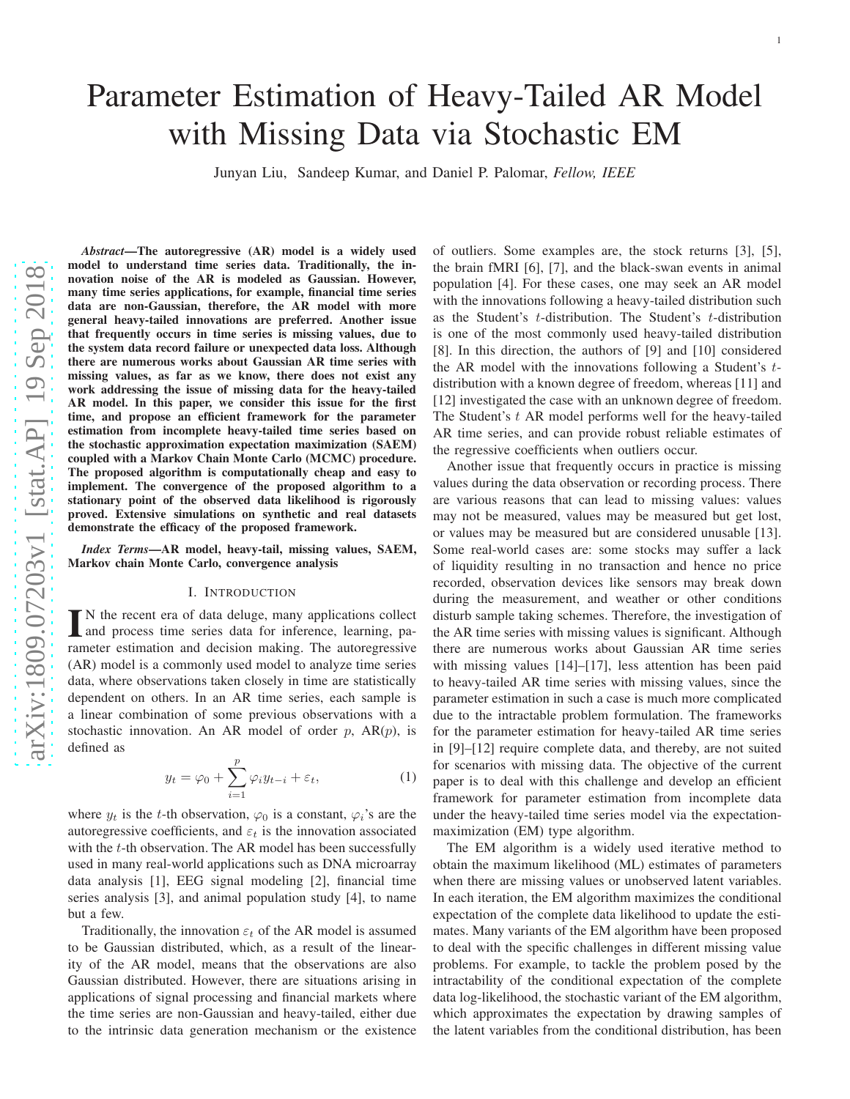# Parameter Estimation of Heavy-Tailed AR Model with Missing Data via Stochastic EM

Junyan Liu, Sandeep Kumar, and Daniel P. Palomar, *Fellow, IEEE*

*Abstract*—The autoregressive (AR) model is a widely used model to understand time series data. Traditionally, the in novation noise of the AR is modeled as Gaussian. However, many time series applications, for example, financial time series data are non-Gaussian, therefore, the AR model with more general heavy-tailed innovations are preferred. Another issue that frequently occurs in time series is missing values, due to the system data record failure or unexpected data loss. Although there are numerous works about Gaussian AR time series with missing values, as far as we know, there does not exist any work addressing the issue of missing data for the heavy-tailed AR model. In this paper, we consider this issue for the first time, and propose an efficient framework for the parameter estimation from incomplete heavy-tailed time series based on the stochastic approximation expectation maximization (SAEM) coupled with a Markov Chain Monte Carlo (MCMC) procedure. The proposed algorithm is computationally cheap and easy to implement. The convergence of the proposed algorithm to a stationary point of the observed data likelihood is rigorously proved. Extensive simulations on synthetic and real datasets demonstrate the efficacy of the proposed framework.

*Index Terms*—AR model, heavy-tail, missing values, SAEM, Markov chain Monte Carlo, convergence analysis

#### I. INTRODUCTION

IN the recent era of data deluge, many applications collect and process time series data for inference, learning, parameter estimation and decision making. The autoregressive N the recent era of data deluge, many applications collect and process time series data for inference, learning, pa-(AR) model is a commonly used model to analyze time series data, where observations taken closely in time are statistically dependent on others. In an AR time series, each sample is a linear combination of some previous observations with a stochastic innovation. An AR model of order  $p$ , AR $(p)$ , is defined as

$$
y_t = \varphi_0 + \sum_{i=1}^p \varphi_i y_{t-i} + \varepsilon_t, \tag{1}
$$

where  $y_t$  is the t-th observation,  $\varphi_0$  is a constant,  $\varphi_i$ 's are the autoregressive coefficients, and  $\varepsilon_t$  is the innovation associated with the t-th observation. The AR model has been successfully used in many real-world applications such as DNA microarray data analysis [\[1\]](#page-12-0), EEG signal modeling [\[2\]](#page-12-1), financial time series analysis [\[3\]](#page-12-2), and animal population study [\[4\]](#page-12-3), to name but a few.

Traditionally, the innovation  $\varepsilon_t$  of the AR model is assumed to be Gaussian distributed, which, as a result of the linearity of the AR model, means that the observations are also Gaussian distributed. However, there are situations arising in applications of signal processing and financial markets where the time series are non-Gaussian and heavy-tailed, either due to the intrinsic data generation mechanism or the existence of outliers. Some examples are, the stock returns [\[3\]](#page-12-2), [\[5\]](#page-12-4), the brain fMRI [\[6\]](#page-12-5), [\[7\]](#page-12-6), and the black-swan events in animal population [\[4\]](#page-12-3). For these cases, one may seek an AR model with the innovations following a heavy-tailed distribution such as the Student's  $t$ -distribution. The Student's  $t$ -distribution is one of the most commonly used heavy-tailed distribution [\[8\]](#page-12-7). In this direction, the authors of [\[9\]](#page-12-8) and [\[10\]](#page-12-9) considere d the AR model with the innovations following a Student's tdistribution with a known degree of freedom, whereas [\[11\]](#page-12-10) an d [\[12\]](#page-12-11) investigated the case with an unknown degree of freedom. The Student's  $t$  AR model performs well for the heavy-tailed AR time series, and can provide robust reliable estimates of the regressive coefficients when outliers occur.

Another issue that frequently occurs in practice is missing values during the data observation or recording process. There are various reasons that can lead to missing values: values may not be measured, values may be measured but get lost, or values may be measured but are considered unusable [\[13\]](#page-12-12). Some real-world cases are: some stocks may suffer a lack of liquidity resulting in no transaction and hence no price recorded, observation devices like sensors may break down during the measurement, and weather or other conditions disturb sample taking schemes. Therefore, the investigation of the AR time series with missing values is significant. Although there are numerous works about Gaussian AR time series with missing values [\[14\]](#page-12-13)–[\[17\]](#page-12-14), less attention has been paid to heavy-tailed AR time series with missing values, since th e parameter estimation in such a case is much more complicated due to the intractable problem formulation. The frameworks for the parameter estimation for heavy-tailed AR time serie s in [\[9\]](#page-12-8)–[\[12\]](#page-12-11) require complete data, and thereby, are not suited for scenarios with missing data. The objective of the curren t paper is to deal with this challenge and develop an efficient framework for parameter estimation from incomplete data under the heavy-tailed time series model via the expectationmaximization (EM) type algorithm.

The EM algorithm is a widely used iterative method to obtain the maximum likelihood (ML) estimates of parameters when there are missing values or unobserved latent variables. In each iteration, the EM algorithm maximizes the conditional expectation of the complete data likelihood to update the estimates. Many variants of the EM algorithm have been proposed to deal with the specific challenges in different missing value problems. For example, to tackle the problem posed by the intractability of the conditional expectation of the complete data log-likelihood, the stochastic variant of the EM algorithm, which approximates the expectation by drawing samples of the latent variables from the conditional distribution, has been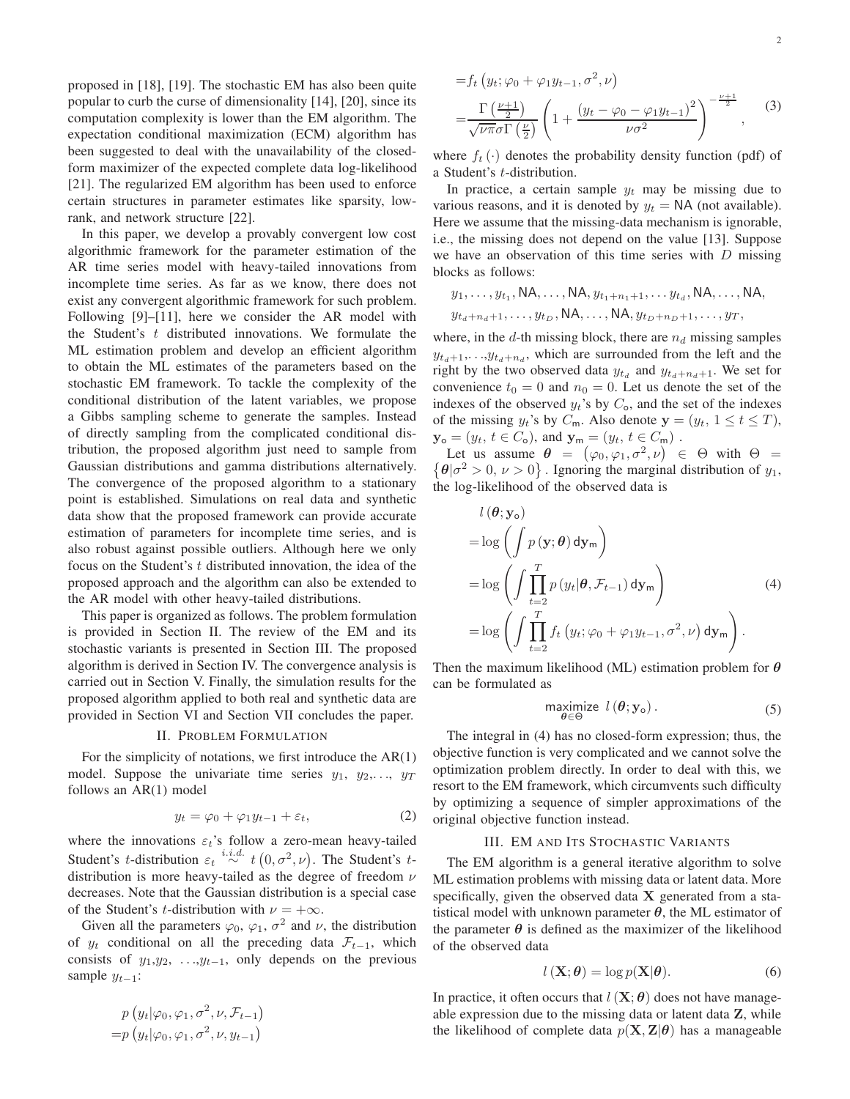proposed in [\[18\]](#page-12-15), [\[19\]](#page-12-16). The stochastic EM has also been quite popular to curb the curse of dimensionality [\[14\]](#page-12-13), [\[20\]](#page-12-17), since its computation complexity is lower than the EM algorithm. The expectation conditional maximization (ECM) algorithm has been suggested to deal with the unavailability of the closedform maximizer of the expected complete data log-likelihood [\[21\]](#page-12-18). The regularized EM algorithm has been used to enforce certain structures in parameter estimates like sparsity, lowrank, and network structure [\[22\]](#page-12-19).

In this paper, we develop a provably convergent low cost algorithmic framework for the parameter estimation of the AR time series model with heavy-tailed innovations from incomplete time series. As far as we know, there does not exist any convergent algorithmic framework for such problem. Following [\[9\]](#page-12-8)–[\[11\]](#page-12-10), here we consider the AR model with the Student's  $t$  distributed innovations. We formulate the ML estimation problem and develop an efficient algorithm to obtain the ML estimates of the parameters based on the stochastic EM framework. To tackle the complexity of the conditional distribution of the latent variables, we propose a Gibbs sampling scheme to generate the samples. Instead of directly sampling from the complicated conditional distribution, the proposed algorithm just need to sample from Gaussian distributions and gamma distributions alternatively. The convergence of the proposed algorithm to a stationary point is established. Simulations on real data and synthetic data show that the proposed framework can provide accurate estimation of parameters for incomplete time series, and is also robust against possible outliers. Although here we only focus on the Student's  $t$  distributed innovation, the idea of the proposed approach and the algorithm can also be extended to the AR model with other heavy-tailed distributions.

This paper is organized as follows. The problem formulation is provided in Section II. The review of the EM and its stochastic variants is presented in Section III. The proposed algorithm is derived in Section IV. The convergence analysis is carried out in Section V. Finally, the simulation results for the proposed algorithm applied to both real and synthetic data are provided in Section VI and Section VII concludes the paper.

#### II. PROBLEM FORMULATION

For the simplicity of notations, we first introduce the  $AR(1)$ model. Suppose the univariate time series  $y_1, y_2,..., y_T$ follows an AR(1) model

$$
y_t = \varphi_0 + \varphi_1 y_{t-1} + \varepsilon_t, \tag{2}
$$

where the innovations  $\varepsilon_t$ 's follow a zero-mean heavy-tailed Student's *t*-distribution  $\varepsilon_t \stackrel{i.i.d.}{\sim} t(0, \sigma^2, \nu)$ . The Student's *t*distribution is more heavy-tailed as the degree of freedom  $\nu$ decreases. Note that the Gaussian distribution is a special case of the Student's *t*-distribution with  $\nu = +\infty$ .

Given all the parameters  $\varphi_0$ ,  $\varphi_1$ ,  $\sigma^2$  and  $\nu$ , the distribution of  $y_t$  conditional on all the preceding data  $\mathcal{F}_{t-1}$ , which consists of  $y_1, y_2, \ldots, y_{t-1}$ , only depends on the previous sample  $y_{t-1}$ :

$$
p(y_t|\varphi_0, \varphi_1, \sigma^2, \nu, \mathcal{F}_{t-1})
$$
  
=  $p(y_t|\varphi_0, \varphi_1, \sigma^2, \nu, y_{t-1})$ 

$$
=f_t\left(y_t;\varphi_0+\varphi_1y_{t-1},\sigma^2,\nu\right)
$$
  
=
$$
\frac{\Gamma\left(\frac{\nu+1}{2}\right)}{\sqrt{\nu\pi}\sigma\Gamma\left(\frac{\nu}{2}\right)}\left(1+\frac{\left(y_t-\varphi_0-\varphi_1y_{t-1}\right)^2}{\nu\sigma^2}\right)^{-\frac{\nu+1}{2}},
$$
(3)

where  $f_t(\cdot)$  denotes the probability density function (pdf) of a Student's t-distribution.

In practice, a certain sample  $y_t$  may be missing due to various reasons, and it is denoted by  $y_t = \text{NA}$  (not available). Here we assume that the missing-data mechanism is ignorable, i.e., the missing does not depend on the value [\[13\]](#page-12-12). Suppose we have an observation of this time series with  $D$  missing blocks as follows:

$$
y_1, \ldots, y_{t_1}, \text{NA}, \ldots, \text{NA}, y_{t_1+n_1+1}, \ldots, y_{t_d}, \text{NA}, \ldots, \text{NA}, y_{t_d+n_d+1}, \ldots, y_{t_D}, \text{NA}, \ldots, \text{NA}, y_{t_D+n_D+1}, \ldots, y_T,
$$

where, in the d-th missing block, there are  $n_d$  missing samples  $y_{t_d+1}, \ldots, y_{t_d+n_d}$ , which are surrounded from the left and the right by the two observed data  $y_{t_d}$  and  $y_{t_d+n_d+1}$ . We set for convenience  $t_0 = 0$  and  $n_0 = 0$ . Let us denote the set of the indexes of the observed  $y_t$ 's by  $C_0$ , and the set of the indexes of the missing  $y_t$ 's by  $C_m$ . Also denote  $y = (y_t, 1 \le t \le T)$ ,  $\mathbf{y}_{\mathsf{o}} = (y_t, t \in C_{\mathsf{o}}), \text{ and } \mathbf{y}_{\mathsf{m}} = (y_t, t \in C_{\mathsf{m}}).$ 

Let us assume  $\theta = (\varphi_0, \varphi_1, \sigma^2, \nu) \in \Theta$  with  $\Theta =$  $\{\theta | \sigma^2 > 0, \nu > 0\}$ . Ignoring the marginal distribution of  $y_1$ , the log-likelihood of the observed data is

$$
l(\theta; \mathbf{y}_{0})
$$
  
= log  $\left( \int p(\mathbf{y}; \theta) d\mathbf{y}_{m} \right)$   
= log  $\left( \int \prod_{t=2}^{T} p(y_{t} | \theta, \mathcal{F}_{t-1}) d\mathbf{y}_{m} \right)$   
= log  $\left( \int \prod_{t=2}^{T} f_{t} (y_{t}; \varphi_{0} + \varphi_{1} y_{t-1}, \sigma^{2}, \nu) d\mathbf{y}_{m} \right)$ . (4)

Then the maximum likelihood (ML) estimation problem for  $\theta$ can be formulated as

<span id="page-1-1"></span><span id="page-1-0"></span>
$$
\underset{\theta \in \Theta}{\text{maximize}} \quad l\left(\boldsymbol{\theta}; \mathbf{y}_{\text{o}}\right). \tag{5}
$$

The integral in [\(4\)](#page-1-0) has no closed-form expression; thus, the objective function is very complicated and we cannot solve the optimization problem directly. In order to deal with this, we resort to the EM framework, which circumvents such difficulty by optimizing a sequence of simpler approximations of the original objective function instead.

#### III. EM AND ITS STOCHASTIC VARIANTS

The EM algorithm is a general iterative algorithm to solve ML estimation problems with missing data or latent data. More specifically, given the observed data  $X$  generated from a statistical model with unknown parameter  $\theta$ , the ML estimator of the parameter  $\theta$  is defined as the maximizer of the likelihood of the observed data

$$
l\left(\mathbf{X};\boldsymbol{\theta}\right) = \log p(\mathbf{X}|\boldsymbol{\theta}).\tag{6}
$$

In practice, it often occurs that  $l(\mathbf{X}; \boldsymbol{\theta})$  does not have manageable expression due to the missing data or latent data Z, while the likelihood of complete data  $p(X, Z | \theta)$  has a manageable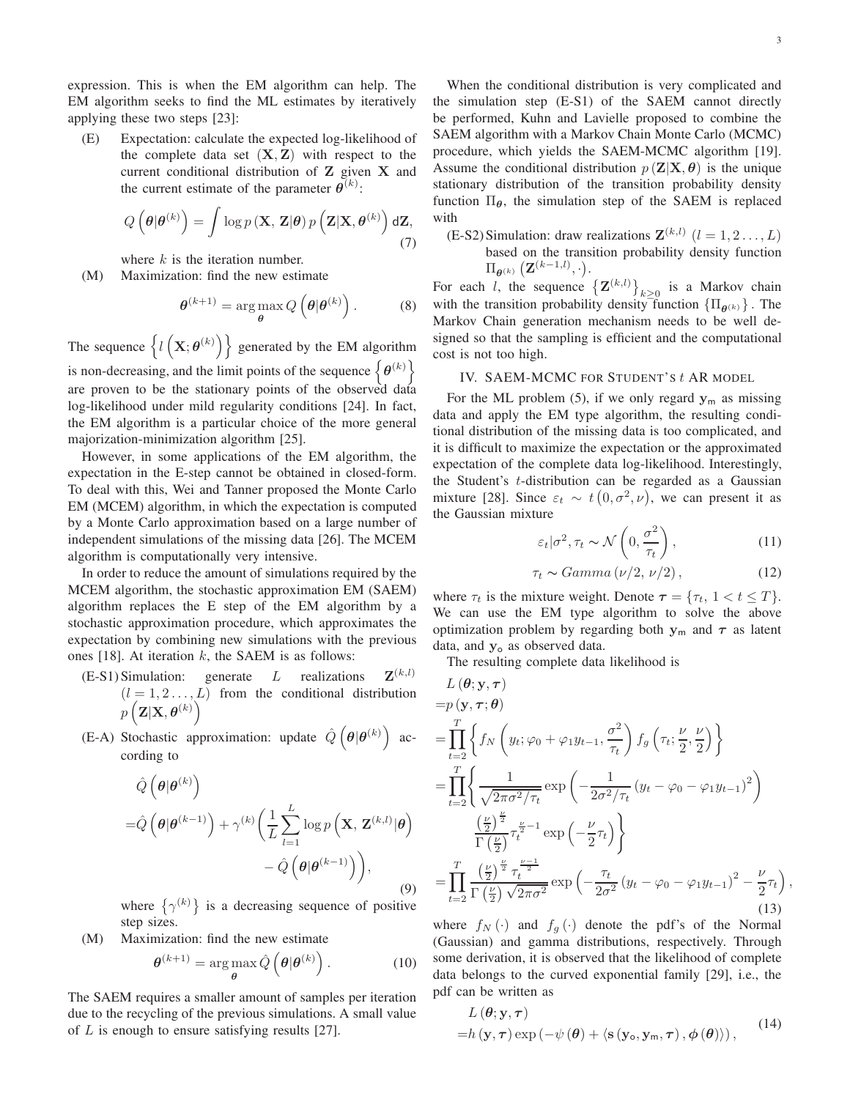,

expression. This is when the EM algorithm can help. The EM algorithm seeks to find the ML estimates by iteratively applying these two steps [\[23\]](#page-12-20):

(E) Expectation: calculate the expected log-likelihood of the complete data set  $(X, Z)$  with respect to the current conditional distribution of Z given X and the current estimate of the parameter  $\boldsymbol{\theta}^{(k)}$ :

$$
Q\left(\boldsymbol{\theta}|\boldsymbol{\theta}^{(k)}\right) = \int \log p\left(\mathbf{X}, \mathbf{Z}|\boldsymbol{\theta}\right) p\left(\mathbf{Z}|\mathbf{X}, \boldsymbol{\theta}^{(k)}\right) d\mathbf{Z},\tag{7}
$$

where  $k$  is the iteration number.

(M) Maximization: find the new estimate

$$
\boldsymbol{\theta}^{(k+1)} = \arg \max_{\boldsymbol{\theta}} Q\left(\boldsymbol{\theta} | \boldsymbol{\theta}^{(k)}\right). \tag{8}
$$

The sequence  $\{l(\mathbf{X}; \boldsymbol{\theta}^{(k)})\}$  generated by the EM algorithm is non-decreasing, and the limit points of the sequence  $\{\theta^{(k)}\}$ are proven to be the stationary points of the observed data log-likelihood under mild regularity conditions [\[24\]](#page-12-21). In fact, the EM algorithm is a particular choice of the more general majorization-minimization algorithm [\[25\]](#page-12-22).

However, in some applications of the EM algorithm, the expectation in the E-step cannot be obtained in closed-form. To deal with this, Wei and Tanner proposed the Monte Carlo EM (MCEM) algorithm, in which the expectation is computed by a Monte Carlo approximation based on a large number of independent simulations of the missing data [\[26\]](#page-12-23). The MCEM algorithm is computationally very intensive.

In order to reduce the amount of simulations required by the MCEM algorithm, the stochastic approximation EM (SAEM) algorithm replaces the E step of the EM algorithm by a stochastic approximation procedure, which approximates the expectation by combining new simulations with the previous ones [\[18\]](#page-12-15). At iteration  $k$ , the SAEM is as follows:

- $(E-S1)$  Simulation: generate  $L$  realizations  $\mathbf{Z}^{(k,l)}$  $(l = 1, 2, \ldots, L)$  from the conditional distribution  $p\left( {{\bf{Z}}|{\bf{X}},{{\boldsymbol{\theta }}^{(k)}}} \right)$
- (E-A) Stochastic approximation: update  $\hat{Q}(\theta|\theta^{(k)})$  according to

$$
\hat{Q}\left(\theta|\theta^{(k)}\right) = \hat{Q}\left(\theta|\theta^{(k-1)}\right) + \gamma^{(k)}\left(\frac{1}{L}\sum_{l=1}^{L}\log p\left(\mathbf{X}, \mathbf{Z}^{(k,l)}|\theta\right) - \hat{Q}\left(\theta|\theta^{(k-1)}\right)\right),\tag{9}
$$

where  $\{\gamma^{(k)}\}$  is a decreasing sequence of positive step sizes.

(M) Maximization: find the new estimate

$$
\boldsymbol{\theta}^{(k+1)} = \arg\max_{\boldsymbol{\theta}} \hat{Q}\left(\boldsymbol{\theta}|\boldsymbol{\theta}^{(k)}\right). \tag{10}
$$

The SAEM requires a smaller amount of samples per iteration due to the recycling of the previous simulations. A small value of  $L$  is enough to ensure satisfying results [\[27\]](#page-12-24).

When the conditional distribution is very complicated and the simulation step (E-S1) of the SAEM cannot directly be performed, Kuhn and Lavielle proposed to combine the SAEM algorithm with a Markov Chain Monte Carlo (MCMC) procedure, which yields the SAEM-MCMC algorithm [\[19\]](#page-12-16). Assume the conditional distribution  $p(\mathbf{Z}|\mathbf{X}, \theta)$  is the unique stationary distribution of the transition probability density function  $\Pi_{\theta}$ , the simulation step of the SAEM is replaced with

(E-S2) Simulation: draw realizations  $\mathbf{Z}^{(k,l)}$   $(l = 1, 2, \dots, L)$ based on the transition probability density function  $\Pi_{\boldsymbol{\theta}^{(k)}}\left(\mathbf{Z}^{(k-1,l)},\cdot\right)$ .

For each *l*, the sequence  $\left\{ \mathbf{Z}^{(k,l)} \right\}_{k \geq 0}$  is a Markov chain with the transition probability density function  $\{\Pi_{\theta^{(k)}}\}\.$  The Markov Chain generation mechanism needs to be well designed so that the sampling is efficient and the computational cost is not too high.

#### IV. SAEM-MCMC FOR STUDENT'S t AR MODEL

For the ML problem [\(5\)](#page-1-1), if we only regard  $y_m$  as missing data and apply the EM type algorithm, the resulting conditional distribution of the missing data is too complicated, and it is difficult to maximize the expectation or the approximated expectation of the complete data log-likelihood. Interestingly, the Student's t-distribution can be regarded as a Gaussian mixture [\[28\]](#page-21-0). Since  $\varepsilon_t \sim t(0, \sigma^2, \nu)$ , we can present it as the Gaussian mixture

<span id="page-2-0"></span>
$$
\varepsilon_t|\sigma^2, \tau_t \sim \mathcal{N}\left(0, \frac{\sigma^2}{\tau_t}\right),\tag{11}
$$

<span id="page-2-1"></span>
$$
\tau_t \sim Gamma\left(\nu/2, \nu/2\right),\tag{12}
$$

where  $\tau_t$  is the mixture weight. Denote  $\tau = {\tau_t, 1 < t \leq T}.$ We can use the EM type algorithm to solve the above optimization problem by regarding both  $y_m$  and  $\tau$  as latent data, and  $y_0$  as observed data.

The resulting complete data likelihood is

$$
L(\theta; \mathbf{y}, \tau)
$$
  
\n
$$
= p(\mathbf{y}, \tau; \theta)
$$
  
\n
$$
= \prod_{t=2}^{T} \left\{ f_N \left( y_t; \varphi_0 + \varphi_1 y_{t-1}, \frac{\sigma^2}{\tau_t} \right) f_g \left( \tau_t; \frac{\nu}{2}, \frac{\nu}{2} \right) \right\}
$$
  
\n
$$
= \prod_{t=2}^{T} \left\{ \frac{1}{\sqrt{2\pi\sigma^2/\tau_t}} \exp\left( -\frac{1}{2\sigma^2/\tau_t} \left( y_t - \varphi_0 - \varphi_1 y_{t-1} \right)^2 \right) \frac{\left( \frac{\nu}{2} \right)^{\frac{\nu}{2}}}{\Gamma \left( \frac{\nu}{2} \right)^{\frac{\nu}{2}} \tau_t^{\frac{\nu}{2}-1} \exp\left( -\frac{\nu}{2} \tau_t \right)} \right\}
$$
  
\n
$$
= \prod_{t=2}^{T} \frac{\left( \frac{\nu}{2} \right)^{\frac{\nu}{2}} \tau_t^{\frac{\nu-1}{2}}}{\Gamma \left( \frac{\nu}{2} \right) \sqrt{2\pi\sigma^2}} \exp\left( -\frac{\tau_t}{2\sigma^2} \left( y_t - \varphi_0 - \varphi_1 y_{t-1} \right)^2 - \frac{\nu}{2} \tau_t \right)
$$
  
\n(13)

where  $f_N(\cdot)$  and  $f_q(\cdot)$  denote the pdf's of the Normal (Gaussian) and gamma distributions, respectively. Through some derivation, it is observed that the likelihood of complete data belongs to the curved exponential family [\[29\]](#page-13-0), i.e., the pdf can be written as

$$
L(\boldsymbol{\theta}; \mathbf{y}, \boldsymbol{\tau}) = h(\mathbf{y}, \boldsymbol{\tau}) \exp(-\psi(\boldsymbol{\theta}) + \langle \mathbf{s}(\mathbf{y}_0, \mathbf{y}_m, \boldsymbol{\tau}), \boldsymbol{\phi}(\boldsymbol{\theta}) \rangle), \qquad (14)
$$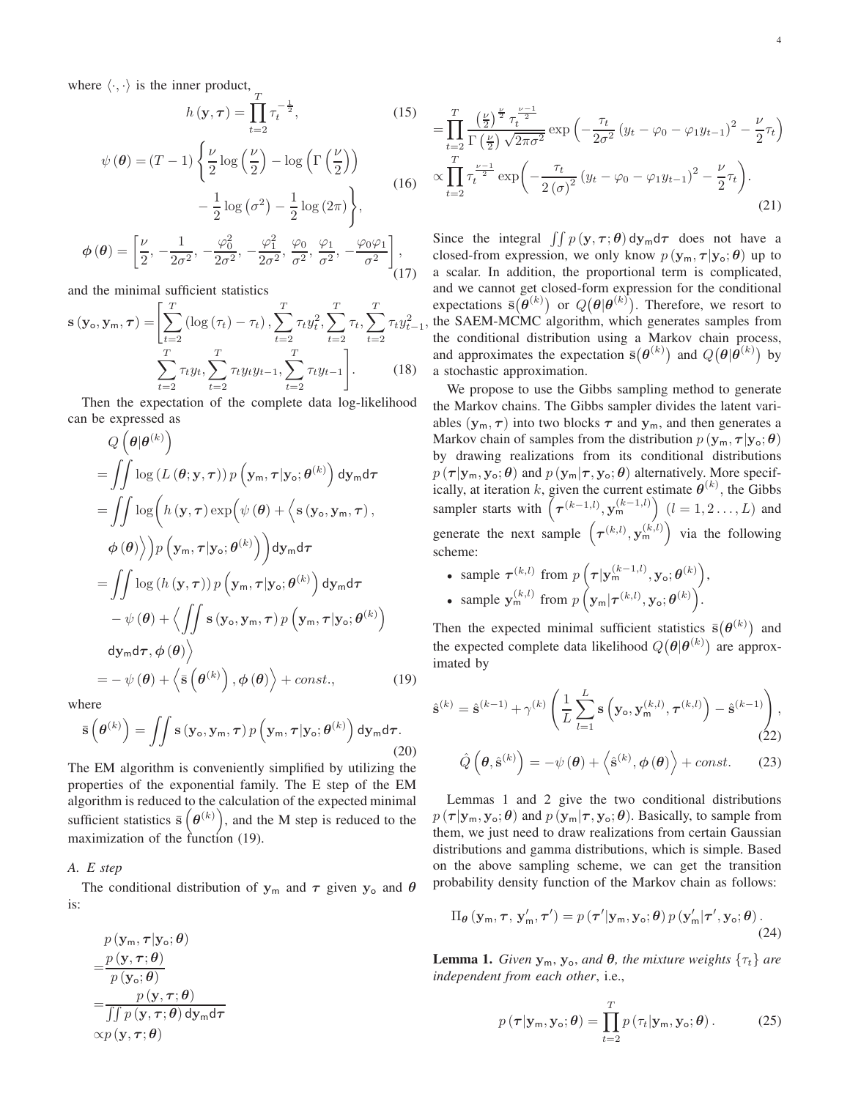where  $\langle \cdot, \cdot \rangle$  is the inner product,  $\frac{1}{T}$ 

<span id="page-3-4"></span>
$$
h(\mathbf{y}, \tau) = \prod_{t=2}^{\infty} \tau_t^{-\frac{1}{2}}, \qquad (15)
$$

$$
\psi(\boldsymbol{\theta}) = (T - 1) \left\{ \frac{\nu}{2} \log \left( \frac{\nu}{2} \right) - \log \left( \Gamma \left( \frac{\nu}{2} \right) \right) - \frac{1}{2} \log \left( \sigma^2 \right) - \frac{1}{2} \log \left( 2\pi \right) \right\}, \qquad (16)
$$

$$
(\boldsymbol{\theta}) = \left[ \frac{\nu}{2}, -\frac{1}{2\sigma^2}, -\frac{\varphi_0^2}{2\sigma^2}, -\frac{\varphi_1^2}{2\sigma^2}, \frac{\varphi_0}{\sigma^2}, \frac{\varphi_1}{\sigma^2}, -\frac{\varphi_0 \varphi_1}{\sigma^2} \right], \qquad (17)
$$

and the minimal sufficient statistics

<span id="page-3-5"></span> $\phi$ 

$$
\mathbf{s}(\mathbf{y_o}, \mathbf{y_m}, \tau) = \left[ \sum_{t=2}^{T} \left( \log \left( \tau_t \right) - \tau_t \right), \sum_{t=2}^{T} \tau_t y_t^2, \sum_{t=2}^{T} \tau_t, \sum_{t=2}^{T} \tau_t y_{t-1}^2 \right] - \sum_{t=2}^{T} \tau_t y_t, \sum_{t=2}^{T} \tau_t y_t y_{t-1}, \sum_{t=2}^{T} \tau_t y_{t-1} \right].
$$
 (18)

Then the expectation of the complete data log-likelihood can be expressed as

$$
Q(\theta|\theta^{(k)})
$$
  
=  $\iint \log(L(\theta; \mathbf{y}, \tau)) p(\mathbf{y}_m, \tau | \mathbf{y}_o; \theta^{(k)}) d\mathbf{y}_m d\tau$   
=  $\iint \log(h(\mathbf{y}, \tau) \exp(\psi(\theta) + \langle \mathbf{s}(\mathbf{y}_o, \mathbf{y}_m, \tau), \phi(\theta) \rangle) p(\mathbf{y}_m, \tau | \mathbf{y}_o; \theta^{(k)}) d\mathbf{y}_m d\tau$   
=  $\iint \log(h(\mathbf{y}, \tau)) p(\mathbf{y}_m, \tau | \mathbf{y}_o; \theta^{(k)}) d\mathbf{y}_m d\tau$   
 $- \psi(\theta) + \langle \iint \mathbf{s}(\mathbf{y}_o, \mathbf{y}_m, \tau) p(\mathbf{y}_m, \tau | \mathbf{y}_o; \theta^{(k)}) d\mathbf{y}_m d\tau$   
 $= - \psi(\theta) + \langle \bar{\mathbf{s}}(\theta^{(k)}), \phi(\theta) \rangle + const.,$  (19)

where

$$
\bar{\mathbf{s}}\left(\boldsymbol{\theta}^{(k)}\right) = \iint \mathbf{s}\left(\mathbf{y}_{\mathsf{o}}, \mathbf{y}_{\mathsf{m}}, \boldsymbol{\tau}\right) p\left(\mathbf{y}_{\mathsf{m}}, \boldsymbol{\tau} | \mathbf{y}_{\mathsf{o}}; \boldsymbol{\theta}^{(k)}\right) \mathrm{d} \mathbf{y}_{\mathsf{m}} \mathrm{d} \boldsymbol{\tau}.\tag{20}
$$

The EM algorithm is conveniently simplified by utilizing the properties of the exponential family. The E step of the EM algorithm is reduced to the calculation of the expected minimal sufficient statistics  $\bar{s}(\theta^{(k)})$ , and the M step is reduced to the maximization of the function [\(19\)](#page-3-0).

#### *A. E step*

The conditional distribution of  $y_m$  and  $\tau$  given  $y_o$  and  $\theta$ is:

$$
p(\mathbf{y}_{\mathsf{m}}, \boldsymbol{\tau} | \mathbf{y}_{\mathsf{o}}; \boldsymbol{\theta})
$$
  
= 
$$
\frac{p(\mathbf{y}, \boldsymbol{\tau}; \boldsymbol{\theta})}{p(\mathbf{y}_{\mathsf{o}}; \boldsymbol{\theta})}
$$
  
= 
$$
\frac{p(\mathbf{y}, \boldsymbol{\tau}; \boldsymbol{\theta})}{\iint p(\mathbf{y}, \boldsymbol{\tau}; \boldsymbol{\theta}) d\mathbf{y}_{\mathsf{m}} d\boldsymbol{\tau}}
$$
  
 
$$
\propto p(\mathbf{y}, \boldsymbol{\tau}; \boldsymbol{\theta})
$$

$$
= \prod_{t=2}^{T} \frac{\left(\frac{\nu}{2}\right)^{\frac{\nu}{2}} \tau_t^{\frac{\nu-1}{2}}}{\Gamma\left(\frac{\nu}{2}\right) \sqrt{2\pi\sigma^2}} \exp\left(-\frac{\tau_t}{2\sigma^2} \left(y_t - \varphi_0 - \varphi_1 y_{t-1}\right)^2 - \frac{\nu}{2} \tau_t\right) \times \prod_{t=2}^{T} \tau_t^{\frac{\nu-1}{2}} \exp\left(-\frac{\tau_t}{2\left(\sigma\right)^2} \left(y_t - \varphi_0 - \varphi_1 y_{t-1}\right)^2 - \frac{\nu}{2} \tau_t\right). \tag{21}
$$

Since the integral  $\iint p(\mathbf{y}, \tau; \theta) d\mathbf{y}_{m} d\tau$  does not have a closed-from expression, we only know  $p(\mathbf{y}_m, \tau | \mathbf{y}_o; \theta)$  up to a scalar. In addition, the proportional term is complicated, and we cannot get closed-form expression for the conditional expectations  $\bar{\mathbf{s}}(\bar{\boldsymbol{\theta}}^{(k)})$  or  $Q(\boldsymbol{\theta}|\boldsymbol{\theta}^{(k)})$ . Therefore, we resort to the SAEM-MCMC algorithm, which generates samples from the conditional distribution using a Markov chain process, and approximates the expectation  $\bar{s}(\theta^{(k)})$  and  $Q(\theta|\bar{\theta}^{(k)})$  by a stochastic approximation.

,

<span id="page-3-3"></span>We propose to use the Gibbs sampling method to generate the Markov chains. The Gibbs sampler divides the latent variables  $(\mathbf{y}_m, \tau)$  into two blocks  $\tau$  and  $\mathbf{y}_m$ , and then generates a Markov chain of samples from the distribution  $p(\mathbf{y}_m, \tau | \mathbf{y}_o; \theta)$ by drawing realizations from its conditional distributions  $p(\tau | y_m, y_o; \theta)$  and  $p(y_m | \tau, y_o; \theta)$  alternatively. More specifically, at iteration k, given the current estimate  $\boldsymbol{\theta}^{(k)}$ , the Gibbs sampler starts with  $(\tau^{(k-1,l)}, \mathbf{y_m^{(k-1,l)}})$   $(l = 1, 2, ..., L)$  and generate the next sample  $(\tau^{(k,l)}, \mathbf{y_m^{(k,l)}})$  via the following scheme:

• sample  $\tau^{(k,l)}$  from  $p\left(\tau|\mathbf{y}_{m}^{(k-1,l)}, \mathbf{y}_{\text{o}}; \theta^{(k)}\right)$ , • sample  $\mathbf{y}_{\mathsf{m}}^{(k,l)}$  from  $p\left(\mathbf{y}_{\mathsf{m}}|\boldsymbol{\tau}^{(k,l)}, \mathbf{y}_{\mathsf{o}}; \boldsymbol{\theta}^{(k)}\right)$ .

Then the expected minimal sufficient statistics  $\bar{s}(\theta^{(k)})$  and the expected complete data likelihood  $Q(\theta|\theta^{(k)})$  are approximated by

<span id="page-3-2"></span><span id="page-3-0"></span>
$$
\hat{\mathbf{s}}^{(k)} = \hat{\mathbf{s}}^{(k-1)} + \gamma^{(k)} \left( \frac{1}{L} \sum_{l=1}^{L} \mathbf{s} \left( \mathbf{y}_{\mathsf{o}}, \mathbf{y}_{\mathsf{m}}^{(k,l)}, \tau^{(k,l)} \right) - \hat{\mathbf{s}}^{(k-1)} \right),\tag{22}
$$

<span id="page-3-1"></span>
$$
\hat{Q}(\boldsymbol{\theta}, \hat{\mathbf{s}}^{(k)}) = -\psi(\boldsymbol{\theta}) + \langle \hat{\mathbf{s}}^{(k)}, \boldsymbol{\phi}(\boldsymbol{\theta}) \rangle + const.
$$
 (23)

Lemmas 1 and 2 give the two conditional distributions  $p(\tau | y_m, y_o; \theta)$  and  $p(y_m | \tau, y_o; \theta)$ . Basically, to sample from them, we just need to draw realizations from certain Gaussian distributions and gamma distributions, which is simple. Based on the above sampling scheme, we can get the transition probability density function of the Markov chain as follows:

<span id="page-3-6"></span>
$$
\Pi_{\theta}(\mathbf{y}_{\mathsf{m}}, \boldsymbol{\tau}, \mathbf{y}'_{\mathsf{m}}, \boldsymbol{\tau}') = p(\boldsymbol{\tau}'|\mathbf{y}_{\mathsf{m}}, \mathbf{y}_{\mathsf{o}}; \theta) p(\mathbf{y}'_{\mathsf{m}}|\boldsymbol{\tau}', \mathbf{y}_{\mathsf{o}}; \theta).
$$
\n(24)

**Lemma 1.** *Given*  $y_m$ ,  $y_o$ , *and*  $\theta$ *, the mixture weights*  $\{\tau_t\}$  *are independent from each other*, i.e.,

$$
p(\boldsymbol{\tau}|\mathbf{y}_{\mathsf{m}}, \mathbf{y}_{\mathsf{o}}; \boldsymbol{\theta}) = \prod_{t=2}^{T} p(\tau_t|\mathbf{y}_{\mathsf{m}}, \mathbf{y}_{\mathsf{o}}; \boldsymbol{\theta}). \tag{25}
$$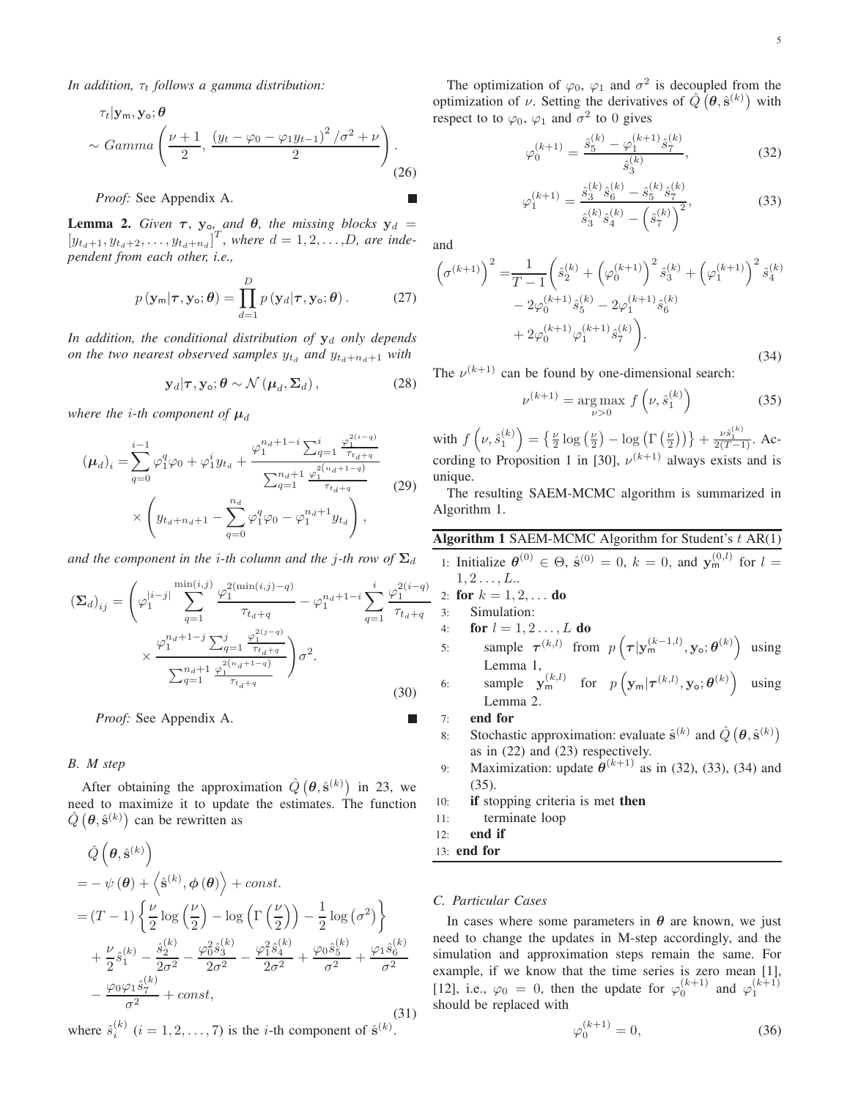*In addition,*  $\tau_t$  *follows a gamma distribution:* 

$$
\tau_t|\mathbf{y_m}, \mathbf{y_o}; \boldsymbol{\theta} \sim Gamma\left(\frac{\nu+1}{2}, \frac{\left(y_t - \varphi_0 - \varphi_1 y_{t-1}\right)^2/\sigma^2 + \nu}{2}\right).
$$
\n(26)

*Proof:* See Appendix A.

**Lemma 2.** *Given*  $\tau$ ,  $y_{o}$  *and*  $\theta$ *, the missing blocks*  $y_d$  =  $[y_{t_d+1}, y_{t_d+2}, \ldots, y_{t_d+n_d}]^T$ , where  $d = 1, 2, \ldots, D$ , are inde*pendent from each other, i.e.,*

$$
p(\mathbf{y}_{\mathsf{m}}|\boldsymbol{\tau}, \mathbf{y}_{\mathsf{o}}; \boldsymbol{\theta}) = \prod_{d=1}^{D} p(\mathbf{y}_{d}|\boldsymbol{\tau}, \mathbf{y}_{\mathsf{o}}; \boldsymbol{\theta}). \tag{27}
$$

In addition, the conditional distribution of  $y_d$  only depends *on the two nearest observed samples*  $y_{t_d}$  *and*  $y_{t_d+n_d+1}$  *with* 

$$
\mathbf{y}_{d}|\boldsymbol{\tau}, \mathbf{y}_{o}; \boldsymbol{\theta} \sim \mathcal{N}\left(\boldsymbol{\mu}_{d}, \boldsymbol{\Sigma}_{d}\right), \qquad (28)
$$

*where the i-th component of*  $\mu_d$ 

$$
(\mu_d)_i = \sum_{q=0}^{i-1} \varphi_1^q \varphi_0 + \varphi_1^i y_{t_d} + \frac{\varphi_1^{n_d+1-i} \sum_{q=1}^i \frac{\varphi_1^{2(i-q)}}{\tau_{t_d+q}}}{\sum_{q=1}^{n_d+1} \frac{\varphi_1^{2(n_d+1-q)}}{\tau_{t_d+q}}} \times \left( y_{t_d+n_d+1} - \sum_{q=0}^{n_d} \varphi_1^q \varphi_0 - \varphi_1^{n_d+1} y_{t_d} \right),
$$
\n(29)

*and the component in the i-th column and the j-th row of*  $\Sigma_d$ 

$$
\left(\mathbf{\Sigma}_{d}\right)_{ij} = \left(\varphi_{1}^{|i-j|} \sum_{q=1}^{\min(i,j)} \frac{\varphi_{1}^{2(\min(i,j)-q)}}{\tau_{t_{d}+q}} - \varphi_{1}^{n_{d}+1-i} \sum_{q=1}^{i} \frac{\varphi_{1}^{2(i-q)}}{\tau_{t_{d}+q}} \times \frac{\varphi_{1}^{n_{d}+1-j} \sum_{q=1}^{j} \frac{\varphi_{1}^{2(j-q)}}{\tau_{t_{d}+q}}}{\sum_{q=1}^{n_{d}+1} \frac{\varphi_{1}^{2(n_{d}+1-q)}}{\tau_{t_{d}+q}}} \right) \sigma^{2}.
$$
\n(30)

*Proof:* See Appendix A. 

#### *B. M step*

After obtaining the approximation  $\hat{Q}(\theta, \hat{\mathbf{s}}^{(k)})$  in [23,](#page-3-1) we need to maximize it to update the estimates. The function  $\hat{Q}(\theta, \hat{\mathbf{s}}^{(k)})$  can be rewritten as

$$
\hat{Q}\left(\theta, \hat{\mathbf{s}}^{(k)}\right)
$$
\n
$$
= -\psi(\theta) + \left\langle \hat{\mathbf{s}}^{(k)}, \phi(\theta) \right\rangle + const.
$$
\n
$$
= (T - 1) \left\{ \frac{\nu}{2} \log \left( \frac{\nu}{2} \right) - \log \left( \Gamma \left( \frac{\nu}{2} \right) \right) - \frac{1}{2} \log \left( \sigma^2 \right) \right\}
$$
\n
$$
+ \frac{\nu}{2} \hat{s}_1^{(k)} - \frac{\hat{s}_2^{(k)}}{2\sigma^2} - \frac{\varphi_0^2 \hat{s}_3^{(k)}}{2\sigma^2} - \frac{\varphi_1^2 \hat{s}_4^{(k)}}{2\sigma^2} + \frac{\varphi_0 \hat{s}_5^{(k)}}{\sigma^2} + \frac{\varphi_1 \hat{s}_6^{(k)}}{\sigma^2}
$$
\n
$$
- \frac{\varphi_0 \varphi_1 \hat{s}_7^{(k)}}{\sigma^2} + const,
$$
\n(31)

where  $\hat{s}_i^{(k)}$   $(i = 1, 2, ..., 7)$  is the *i*-th component of  $\hat{\mathbf{s}}^{(k)}$ .

The optimization of  $\varphi_0$ ,  $\varphi_1$  and  $\sigma^2$  is decoupled from the optimization of v. Setting the derivatives of  $\hat{Q}(\theta, \hat{s}^{(k)})$  with respect to to  $\varphi_0$ ,  $\varphi_1$  and  $\sigma^2$  to 0 gives

<span id="page-4-0"></span>
$$
\varphi_0^{(k+1)} = \frac{\hat{s}_5^{(k)} - \varphi_1^{(k+1)}\hat{s}_7^{(k)}}{\hat{s}_3^{(k)}},\tag{32}
$$

<span id="page-4-1"></span>
$$
\varphi_1^{(k+1)} = \frac{\hat{s}_3^{(k)} \hat{s}_6^{(k)} - \hat{s}_5^{(k)} \hat{s}_7^{(k)}}{\hat{s}_3^{(k)} \hat{s}_4^{(k)} - (\hat{s}_7^{(k)})^2},\tag{33}
$$

and

П

<span id="page-4-2"></span>
$$
\left(\sigma^{(k+1)}\right)^2 = \frac{1}{T-1} \left(\hat{s}_2^{(k)} + \left(\varphi_0^{(k+1)}\right)^2 \hat{s}_3^{(k)} + \left(\varphi_1^{(k+1)}\right)^2 \hat{s}_4^{(k)} - 2\varphi_0^{(k+1)} \hat{s}_5^{(k)} - 2\varphi_1^{(k+1)} \hat{s}_6^{(k)} + 2\varphi_0^{(k+1)} \varphi_1^{(k+1)} \hat{s}_7^{(k)}\right).
$$
\n(34)

The  $\nu^{(k+1)}$  can be found by one-dimensional search:

<span id="page-4-3"></span>
$$
\nu^{(k+1)} = \underset{\nu > 0}{\arg \max} f\left(\nu, \hat{s}_1^{(k)}\right) \tag{35}
$$

with  $f\left(\nu,\hat{s}_1^{(k)}\right) = \left\{\frac{\nu}{2}\log\left(\frac{\nu}{2}\right) - \log\left(\Gamma\left(\frac{\nu}{2}\right)\right)\right\} + \frac{\nu \hat{s}_1^{(k)}}{2(T-1)}$ . Ac-cording to Proposition 1 in [\[30\]](#page-13-1),  $\nu^{(k+1)}$  always exists and is unique.

The resulting SAEM-MCMC algorithm is summarized in Algorithm 1.

#### Algorithm 1 SAEM-MCMC Algorithm for Student's  $t$  AR(1)

1: Initialize  $\theta^{(0)} \in \Theta$ ,  $\hat{\mathbf{s}}^{(0)} = 0$ ,  $k = 0$ , and  $\mathbf{y}_{m}^{(0,l)}$  for  $l =$  $1, 2, \ldots, L$ .. 2: for  $k = 1, 2, ...$  do 3: Simulation: 4: **for**  $l = 1, 2, ..., L$  **do** 5: sample  $\tau^{(k,l)}$  from  $p\left(\tau|\mathbf{y}_{m}^{(k-1,l)}, \mathbf{y}_{\text{o}}; \theta^{(k)}\right)$  using Lemma 1, 6: sample  $\mathbf{y}_{m}^{(k,l)}$  for  $p\left(\mathbf{y}_{m}|\boldsymbol{\tau}^{(k,l)}, \mathbf{y}_{\text{o}}; \boldsymbol{\theta}^{(k)}\right)$  using Lemma 2. 7: end for 8: Stochastic approximation: evaluate  $\hat{\mathbf{s}}^{(k)}$  and  $\hat{Q}(\theta, \hat{\mathbf{s}}^{(k)})$ as in [\(22\)](#page-3-2) and [\(23\)](#page-3-1) respectively. 9: Maximization: update  $\theta^{(k+1)}$  as in [\(32\)](#page-4-0), [\(33\)](#page-4-1), [\(34\)](#page-4-2) and [\(35\)](#page-4-3).

10: if stopping criteria is met then

11: terminate loop

12: end if

13: end for

#### *C. Particular Cases*

In cases where some parameters in  $\theta$  are known, we just need to change the updates in M-step accordingly, and the simulation and approximation steps remain the same. For example, if we know that the time series is zero mean [\[1\]](#page-12-0), [\[12\]](#page-12-11), i.e.,  $\varphi_0 = 0$ , then the update for  $\varphi_0^{(k+1)}$  and  $\varphi_1^{(k+1)}$ should be replaced with

$$
\varphi_0^{(k+1)} = 0,\t\t(36)
$$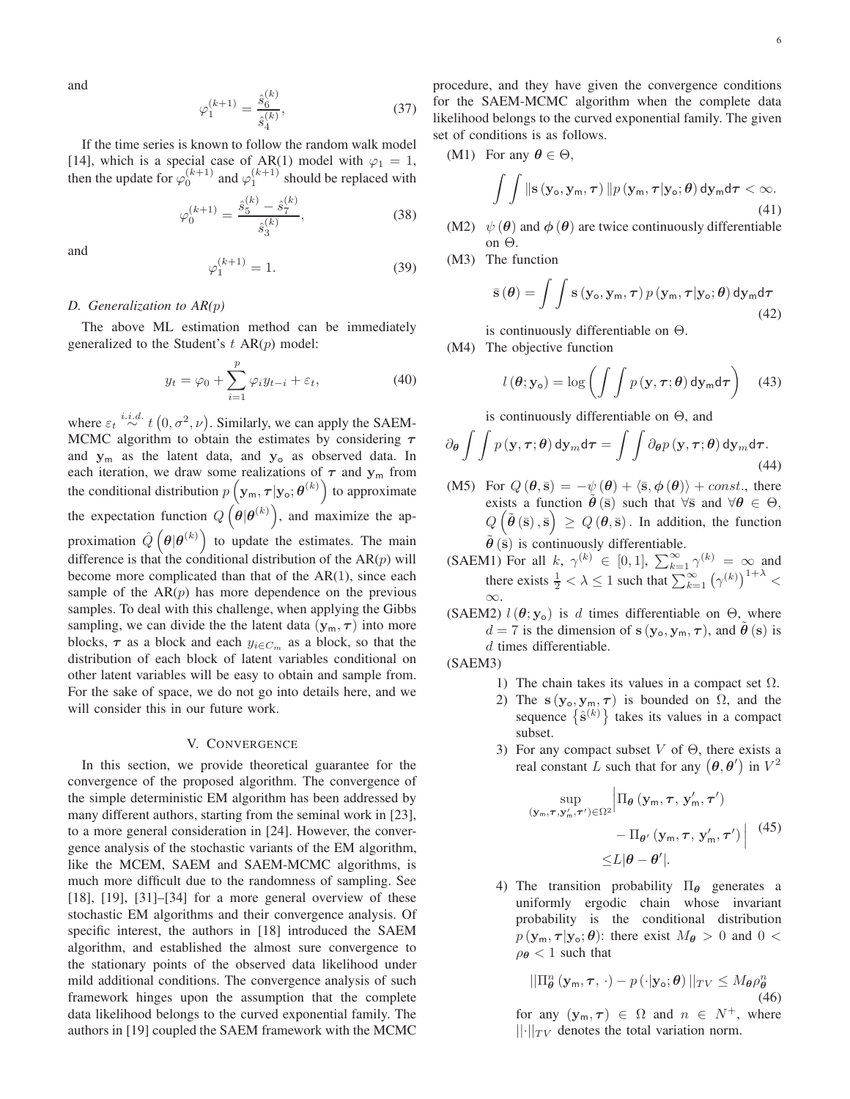and

$$
\varphi_1^{(k+1)} = \frac{\hat{s}_6^{(k)}}{\hat{s}_4^{(k)}},\tag{37}
$$

If the time series is known to follow the random walk model [\[14\]](#page-12-13), which is a special case of AR(1) model with  $\varphi_1 = 1$ , then the update for  $\varphi_0^{(k+1)}$  and  $\varphi_1^{(k+1)}$  should be replaced with

$$
\varphi_0^{(k+1)} = \frac{\hat{s}_5^{(k)} - \hat{s}_7^{(k)}}{\hat{s}_3^{(k)}},\tag{38}
$$

and

$$
_{1}^{(k+1)} = 1.
$$
 (39)

#### *D. Generalization to AR(*p*)*

The above ML estimation method can be immediately generalized to the Student's  $t$  AR $(p)$  model:

 $\varphi_1'$ 

$$
y_t = \varphi_0 + \sum_{i=1}^p \varphi_i y_{t-i} + \varepsilon_t, \tag{40}
$$

where  $\varepsilon_t \stackrel{i.i.d.}{\sim} t(0, \sigma^2, \nu)$ . Similarly, we can apply the SAEM-MCMC algorithm to obtain the estimates by considering  $\tau$ and  $y_m$  as the latent data, and  $y_o$  as observed data. In each iteration, we draw some realizations of  $\tau$  and  $y_m$  from the conditional distribution  $p\left(\mathbf{y}_{\text{m}}, \boldsymbol{\tau} | \mathbf{y}_{\text{o}}; \boldsymbol{\theta}^{(k)}\right)$  to approximate the expectation function  $Q(\theta|\theta^{(k)})$ , and maximize the approximation  $\hat{Q}(\theta|\theta^{(k)})$  to update the estimates. The main difference is that the conditional distribution of the  $AR(p)$  will become more complicated than that of the AR(1), since each sample of the  $AR(p)$  has more dependence on the previous samples. To deal with this challenge, when applying the Gibbs sampling, we can divide the the latent data  $(\mathbf{y}_m, \tau)$  into more blocks,  $\tau$  as a block and each  $y_{i \in C_m}$  as a block, so that the distribution of each block of latent variables conditional on other latent variables will be easy to obtain and sample from. For the sake of space, we do not go into details here, and we will consider this in our future work.

#### V. CONVERGENCE

In this section, we provide theoretical guarantee for the convergence of the proposed algorithm. The convergence of the simple deterministic EM algorithm has been addressed by many different authors, starting from the seminal work in [\[23\]](#page-12-20), to a more general consideration in [\[24\]](#page-12-21). However, the convergence analysis of the stochastic variants of the EM algorithm, like the MCEM, SAEM and SAEM-MCMC algorithms, is much more difficult due to the randomness of sampling. See [\[18\]](#page-12-15), [\[19\]](#page-12-16), [\[31\]](#page-13-2)–[\[34\]](#page-13-3) for a more general overview of these stochastic EM algorithms and their convergence analysis. Of specific interest, the authors in [\[18\]](#page-12-15) introduced the SAEM algorithm, and established the almost sure convergence to the stationary points of the observed data likelihood under mild additional conditions. The convergence analysis of such framework hinges upon the assumption that the complete data likelihood belongs to the curved exponential family. The authors in [\[19\]](#page-12-16) coupled the SAEM framework with the MCMC procedure, and they have given the convergence conditions for the SAEM-MCMC algorithm when the complete data likelihood belongs to the curved exponential family. The given set of conditions is as follows.

$$
(M1) \ \ \text{For any} \ \theta \in \Theta,
$$

$$
\int\int\|\mathbf{s}\left(\mathbf{y}_{o},\mathbf{y}_{m},\boldsymbol{\tau}\right)\|p\left(\mathbf{y}_{m},\boldsymbol{\tau}|\mathbf{y}_{o};\boldsymbol{\theta}\right)\mathrm{d}\mathbf{y}_{m}\mathrm{d}\boldsymbol{\tau}<\infty.\tag{41}
$$

- (M2)  $\psi(\theta)$  and  $\phi(\theta)$  are twice continuously differentiable on Θ.
- (M3) The function

$$
\bar{\mathbf{s}}\left(\boldsymbol{\theta}\right) = \int\int \mathbf{s}\left(\mathbf{y}_{\mathsf{o}}, \mathbf{y}_{\mathsf{m}}, \boldsymbol{\tau}\right) p\left(\mathbf{y}_{\mathsf{m}}, \boldsymbol{\tau} | \mathbf{y}_{\mathsf{o}}; \boldsymbol{\theta}\right) \mathrm{d} \mathbf{y}_{\mathsf{m}} \mathrm{d} \boldsymbol{\tau} \tag{42}
$$

is continuously differentiable on Θ.

(M4) The objective function

$$
l(\boldsymbol{\theta}; \mathbf{y}_{\mathsf{o}}) = \log \left( \int \int p(\mathbf{y}, \boldsymbol{\tau}; \boldsymbol{\theta}) \, \mathrm{d} \mathbf{y}_{\mathsf{m}} \mathrm{d} \boldsymbol{\tau} \right) \tag{43}
$$

is continuously differentiable on  $\Theta$ , and

<span id="page-5-0"></span>
$$
\partial_{\theta} \int \int p(\mathbf{y}, \boldsymbol{\tau}; \boldsymbol{\theta}) \, \mathrm{d}\mathbf{y}_{m} \, \mathrm{d}\boldsymbol{\tau} = \int \int \partial_{\theta} p(\mathbf{y}, \boldsymbol{\tau}; \boldsymbol{\theta}) \, \mathrm{d}\mathbf{y}_{m} \, \mathrm{d}\boldsymbol{\tau}.
$$
\n(44)

- (M5) For  $Q(\theta, \bar{s}) = -\psi(\theta) + \langle \bar{s}, \phi(\theta) \rangle + const.$ , there exists a function  $\hat{\theta}(\bar{s})$  such that  $\forall \bar{s}$  and  $\forall \theta \in \Theta$ ,  $Q\left(\tilde{{\boldsymbol{\theta}}}\left(\bar{{\textbf{s}}}\right),\bar{{\textbf{s}}}\right) \,\geq\, Q\left({\boldsymbol{\theta}},\bar{{\textbf{s}}}\right).$  In addition, the function  $\tilde{\theta}$  ( $\bar{s}$ ) is continuously differentiable.
- (SAEM1) For all k,  $\gamma^{(k)} \in [0,1]$ ,  $\sum_{k=1}^{\infty} \gamma^{(k)} = \infty$  and there exists  $\frac{1}{2} < \lambda \leq 1$  such that  $\sum_{k=1}^{\infty} (\gamma^{(k)})^{1+\lambda} <$ ∞.
- (SAEM2)  $l(\theta; y_o)$  is d times differentiable on  $\Theta$ , where  $d = 7$  is the dimension of  $s(y_0, y_m, \tau)$ , and  $\theta(s)$  is d times differentiable.

(SAEM3)

- 1) The chain takes its values in a compact set  $\Omega$ .
- 2) The s ( $y_o, y_m, \tau$ ) is bounded on  $\Omega$ , and the sequence  $\{\hat{\mathbf{s}}^{(k)}\}$  takes its values in a compact subset.
- 3) For any compact subset V of  $\Theta$ , there exists a real constant L such that for any  $(\theta, \theta')$  in  $V^2$

$$
\sup_{(\mathbf{y}_{\mathsf{m}},\boldsymbol{\tau},\mathbf{y}'_{\mathsf{m}},\boldsymbol{\tau}')\in\Omega^2} \Big|\Pi_{\theta}(\mathbf{y}_{\mathsf{m}},\boldsymbol{\tau},\mathbf{y}'_{\mathsf{m}},\boldsymbol{\tau}') - \Pi_{\theta'}(\mathbf{y}_{\mathsf{m}},\boldsymbol{\tau},\mathbf{y}'_{\mathsf{m}},\boldsymbol{\tau}')\Big| \quad (45)
$$

$$
\leq L|\theta - \theta'|.
$$

4) The transition probability  $\Pi_{\theta}$  generates a uniformly ergodic chain whose invariant probability is the conditional distribution  $p(\mathbf{y}_m, \tau | \mathbf{y}_o; \theta)$ : there exist  $M_{\theta} > 0$  and  $0 <$  $\rho_{\theta}$  < 1 such that

$$
||\Pi_{\theta}^{n}(\mathbf{y}_{\mathsf{m}},\boldsymbol{\tau},\cdot)-p(\cdot|\mathbf{y}_{\mathsf{o}};\boldsymbol{\theta})||_{TV} \leq M_{\theta}\rho_{\theta}^{n}
$$
\n(46)

for any  $(\mathbf{y}_m, \tau) \in \Omega$  and  $n \in N^+$ , where  $\lVert \cdot \rVert_{TV}$  denotes the total variation norm.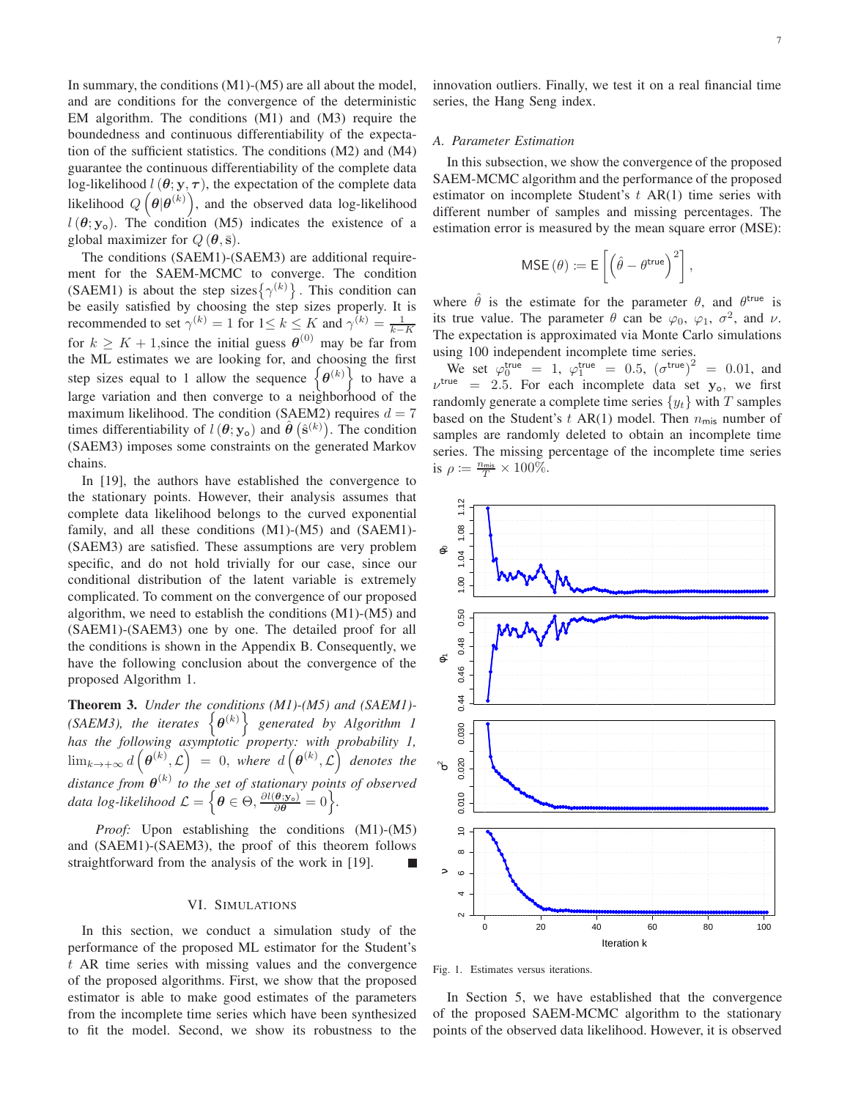In summary, the conditions (M1)-(M5) are all about the model, and are conditions for the convergence of the deterministic EM algorithm. The conditions (M1) and (M3) require the boundedness and continuous differentiability of the expectation of the sufficient statistics. The conditions (M2) and (M4) guarantee the continuous differentiability of the complete data log-likelihood  $l(\theta; y, \tau)$ , the expectation of the complete data likelihood  $Q\left(\boldsymbol{\theta}|\boldsymbol{\theta}^{(k)}\right)$ , and the observed data log-likelihood  $l(\theta; y_o)$ . The condition (M5) indicates the existence of a global maximizer for  $Q(\boldsymbol{\theta}, \bar{\mathbf{s}})$ .

The conditions (SAEM1)-(SAEM3) are additional requirement for the SAEM-MCMC to converge. The condition (SAEM1) is about the step sizes  $\{\gamma^{(k)}\}\.$  This condition can be easily satisfied by choosing the step sizes properly. It is recommended to set  $\gamma^{(k)} = 1$  for  $1 \le k \le K$  and  $\gamma^{(k)} = \frac{1}{k-K}$ for  $k \geq K + 1$ , since the initial guess  $\theta^{(0)}$  may be far from the ML estimates we are looking for, and choosing the first step sizes equal to 1 allow the sequence  $\{\theta^{(k)}\}$  to have a large variation and then converge to a neighborhood of the maximum likelihood. The condition (SAEM2) requires  $d = 7$ times differentiability of  $l(\theta; y_o)$  and  $\hat{\theta}(\hat{\mathbf{s}}^{(k)})$ . The condition (SAEM3) imposes some constraints on the generated Markov chains.

In [\[19\]](#page-12-16), the authors have established the convergence to the stationary points. However, their analysis assumes that complete data likelihood belongs to the curved exponential family, and all these conditions (M1)-(M5) and (SAEM1)- (SAEM3) are satisfied. These assumptions are very problem specific, and do not hold trivially for our case, since our conditional distribution of the latent variable is extremely complicated. To comment on the convergence of our proposed algorithm, we need to establish the conditions (M1)-(M5) and (SAEM1)-(SAEM3) one by one. The detailed proof for all the conditions is shown in the Appendix B. Consequently, we have the following conclusion about the convergence of the proposed Algorithm 1.

Theorem 3. *Under the conditions (M1)-(M5) and (SAEM1)- (SAEM3), the iterates*  $\{\theta^{(k)}\}$  generated by Algorithm 1 *has the following asymptotic property: with probability 1,*  $\lim_{k\to+\infty}d\left(\boldsymbol{\theta}^{(k)},\mathcal{L}\right) \;=\; 0,\; \textit{where}\;\; d\left(\boldsymbol{\theta}^{(k)},\mathcal{L}\right) \;\textit{ denotes the }$ distance from  $\boldsymbol{\theta}^{(k)}$  to the set of stationary points of observed data log-likelihood  $\mathcal{L} = \Big\{\boldsymbol{\theta} \in \Theta, \frac{\partial l(\boldsymbol{\theta} ; \mathbf{y}_\mathrm{o})}{\partial \boldsymbol{\theta}} = 0 \Big\}.$ 

*Proof:* Upon establishing the conditions (M1)-(M5) and (SAEM1)-(SAEM3), the proof of this theorem follows straightforward from the analysis of the work in [\[19\]](#page-12-16).

#### VI. SIMULATIONS

In this section, we conduct a simulation study of the performance of the proposed ML estimator for the Student's t AR time series with missing values and the convergence of the proposed algorithms. First, we show that the proposed estimator is able to make good estimates of the parameters from the incomplete time series which have been synthesized to fit the model. Second, we show its robustness to the

innovation outliers. Finally, we test it on a real financial time series, the Hang Seng index.

#### *A. Parameter Estimation*

In this subsection, we show the convergence of the proposed SAEM-MCMC algorithm and the performance of the proposed estimator on incomplete Student's  $t$  AR(1) time series with different number of samples and missing percentages. The estimation error is measured by the mean square error (MSE):

$$
\mathsf{MSE}\left(\theta\right) \coloneqq \mathsf{E}\left[\left(\hat{\theta} - \theta^{\mathsf{true}}\right)^{2}\right],
$$

where  $\hat{\theta}$  is the estimate for the parameter  $\theta$ , and  $\theta^{\text{true}}$  is its true value. The parameter  $\theta$  can be  $\varphi_0$ ,  $\varphi_1$ ,  $\sigma^2$ , and  $\nu$ . The expectation is approximated via Monte Carlo simulations using 100 independent incomplete time series.

We set  $\varphi_0^{\text{true}} = 1$ ,  $\varphi_1^{\text{true}} = 0.5$ ,  $(\sigma^{\text{true}})^2 = 0.01$ , and  $v^{\text{true}} = 2.5$ . For each incomplete data set  $y_0$ , we first randomly generate a complete time series  $\{y_t\}$  with T samples based on the Student's  $t$  AR(1) model. Then  $n_{\text{mis}}$  number of samples are randomly deleted to obtain an incomplete time series. The missing percentage of the incomplete time series is  $\rho \coloneqq \frac{n_{\text{mis}}}{T} \times 100\%.$ 



Fig. 1. Estimates versus iterations.

In Section 5, we have established that the convergence of the proposed SAEM-MCMC algorithm to the stationary points of the observed data likelihood. However, it is observed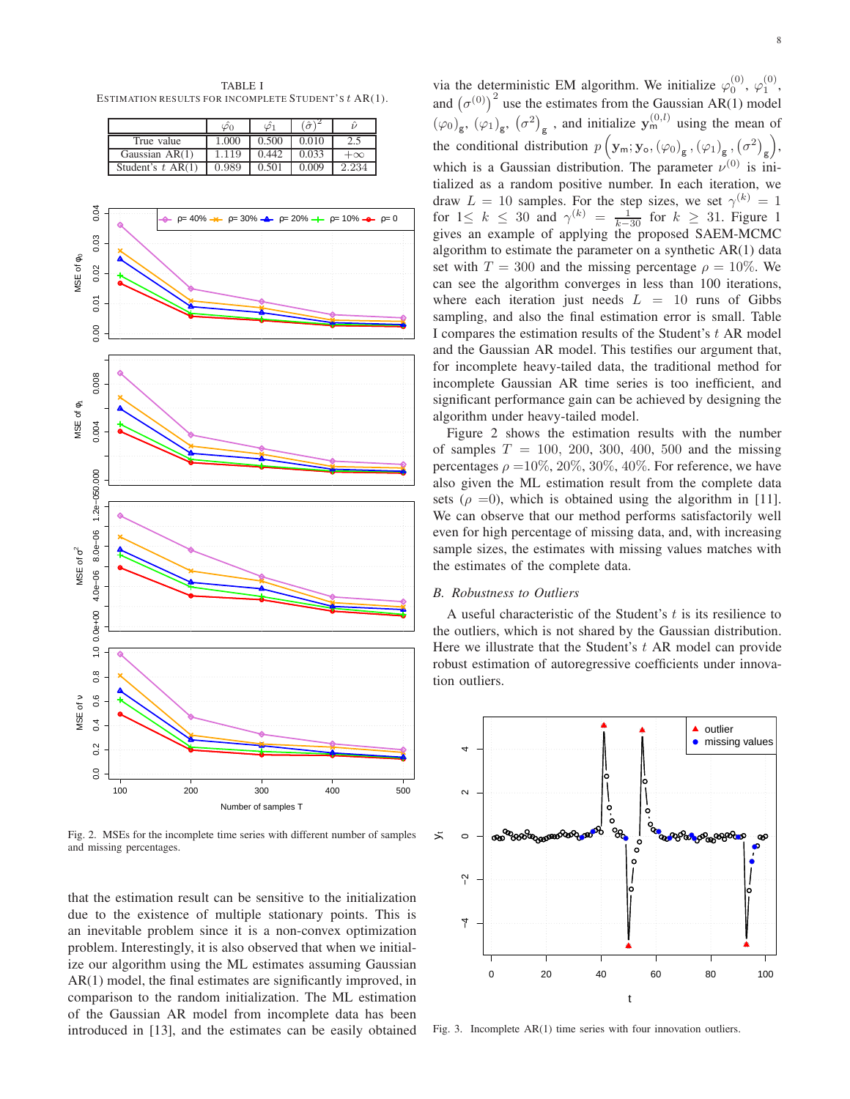TABLE I ESTIMATION RESULTS FOR INCOMPLETE STUDENT'S t AR(1).

|                     |       |       | $\hat{\sigma}$ |           |
|---------------------|-------|-------|----------------|-----------|
| True value          | 1.000 | 0.500 | 0.010          |           |
| Gaussian AR(1)      | 1.119 | 0.442 | 0.033          | $+\infty$ |
| Student's $t$ AR(1) | 0.989 | 0.501 | 0.009          | 2.234     |



Fig. 2. MSEs for the incomplete time series with different number of samples and missing percentages.

that the estimation result can be sensitive to the initialization due to the existence of multiple stationary points. This is an inevitable problem since it is a non-convex optimization problem. Interestingly, it is also observed that when we initialize our algorithm using the ML estimates assuming Gaussian AR(1) model, the final estimates are significantly improved, in comparison to the random initialization. The ML estimation of the Gaussian AR model from incomplete data has been introduced in [\[13\]](#page-12-12), and the estimates can be easily obtained

via the deterministic EM algorithm. We initialize  $\varphi_0^{(0)}$ ,  $\varphi_1^{(0)}$ , and  $(\sigma^{(0)})^2$  use the estimates from the Gaussian AR(1) model  $(\varphi_0)_{\mathsf{g}}, (\varphi_1)_{\mathsf{g}}, (\sigma^2)_{\mathsf{g}}$ , and initialize  $\mathbf{y}_{\mathsf{m}}^{(0,l)}$  using the mean of the conditional distribution  $p\left(\mathbf{y}_{\text{m}}; \mathbf{y}_{\text{o}}, (\varphi_0)_{\text{g}}, (\varphi_1)_{\text{g}}, (\sigma^2)_{\text{g}}\right)$ , which is a Gaussian distribution. The parameter  $\nu^{(0)}$  is initialized as a random positive number. In each iteration, we draw  $L = 10$  samples. For the step sizes, we set  $\gamma^{(k)} = 1$ for  $1 \leq k \leq 30$  and  $\gamma^{(k)} = \frac{1}{k-30}$  for  $k \geq 31$ . Figure 1 gives an example of applying the proposed SAEM-MCMC algorithm to estimate the parameter on a synthetic AR(1) data set with  $T = 300$  and the missing percentage  $\rho = 10\%$ . We can see the algorithm converges in less than 100 iterations, where each iteration just needs  $L = 10$  runs of Gibbs sampling, and also the final estimation error is small. Table I compares the estimation results of the Student's  $t$  AR model and the Gaussian AR model. This testifies our argument that, for incomplete heavy-tailed data, the traditional method for incomplete Gaussian AR time series is too inefficient, and significant performance gain can be achieved by designing the algorithm under heavy-tailed model.

Figure 2 shows the estimation results with the number of samples  $T = 100, 200, 300, 400, 500$  and the missing percentages  $\rho = 10\%, 20\%, 30\%, 40\%$ . For reference, we have also given the ML estimation result from the complete data sets ( $\rho = 0$ ), which is obtained using the algorithm in [\[11\]](#page-12-10). We can observe that our method performs satisfactorily well even for high percentage of missing data, and, with increasing sample sizes, the estimates with missing values matches with the estimates of the complete data.

#### *B. Robustness to Outliers*

A useful characteristic of the Student's  $t$  is its resilience to the outliers, which is not shared by the Gaussian distribution. Here we illustrate that the Student's  $t$  AR model can provide robust estimation of autoregressive coefficients under innovation outliers.



Fig. 3. Incomplete AR(1) time series with four innovation outliers.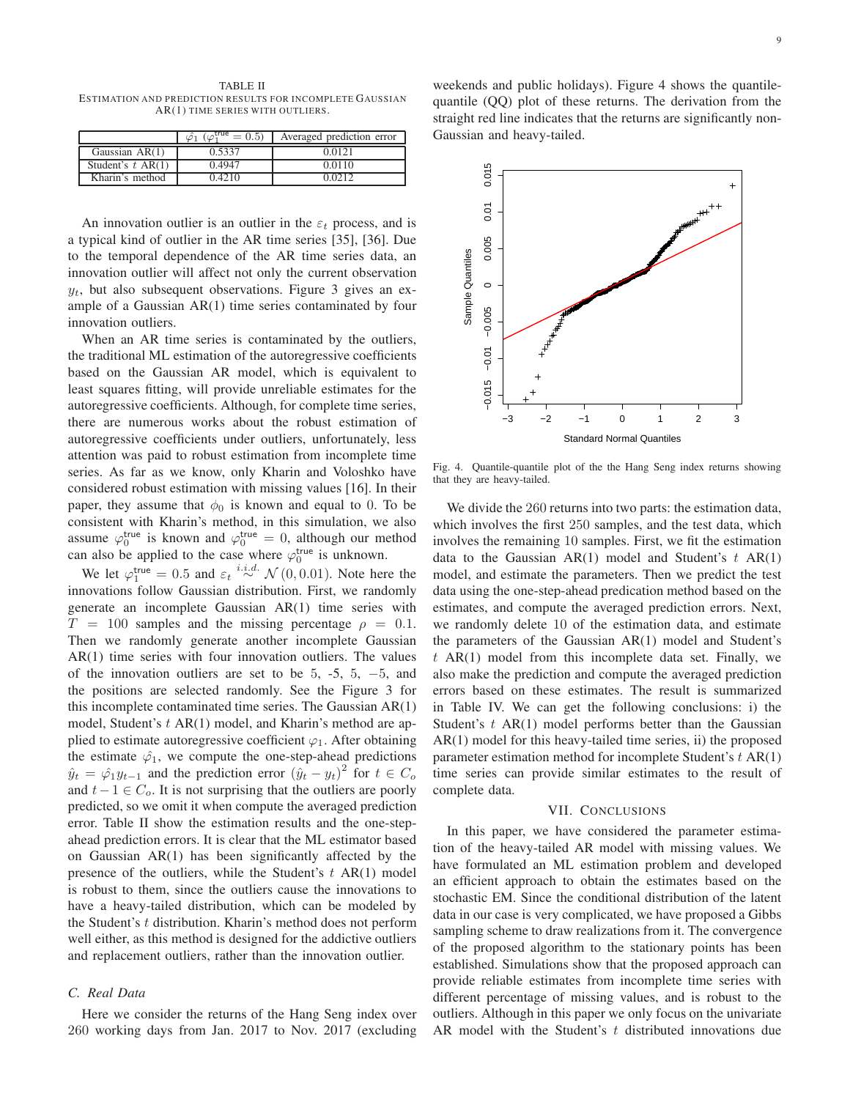TABLE II ESTIMATION AND PREDICTION RESULTS FOR INCOMPLETE GAUSSIAN AR(1) TIME SERIES WITH OUTLIERS.

|                     | $\overline{cos}$ = 0.5) | Averaged prediction error |
|---------------------|-------------------------|---------------------------|
| Gaussian AR(1)      | 0.5337                  | 0.0121                    |
| Student's $t$ AR(1) | 0.4947                  | 0.0110                    |
| Kharin's method     | 0.4210                  | Ი Იን1ን                    |

An innovation outlier is an outlier in the  $\varepsilon_t$  process, and is a typical kind of outlier in the AR time series [\[35\]](#page-13-4), [\[36\]](#page-13-5). Due to the temporal dependence of the AR time series data, an innovation outlier will affect not only the current observation  $y_t$ , but also subsequent observations. Figure 3 gives an example of a Gaussian AR(1) time series contaminated by four innovation outliers.

When an AR time series is contaminated by the outliers, the traditional ML estimation of the autoregressive coefficients based on the Gaussian AR model, which is equivalent to least squares fitting, will provide unreliable estimates for the autoregressive coefficients. Although, for complete time series, there are numerous works about the robust estimation of autoregressive coefficients under outliers, unfortunately, less attention was paid to robust estimation from incomplete time series. As far as we know, only Kharin and Voloshko have considered robust estimation with missing values [\[16\]](#page-12-25). In their paper, they assume that  $\phi_0$  is known and equal to 0. To be consistent with Kharin's method, in this simulation, we also assume  $\varphi_0^{\text{true}}$  is known and  $\varphi_0^{\text{true}} = 0$ , although our method can also be applied to the case where  $\varphi_0^{\text{true}}$  is unknown.

We let  $\varphi_1^{\text{true}} = 0.5$  and  $\varepsilon_t \stackrel{i.i.d.}{\sim} \mathcal{N}(0, 0.01)$ . Note here the innovations follow Gaussian distribution. First, we randomly generate an incomplete Gaussian AR(1) time series with  $T = 100$  samples and the missing percentage  $\rho = 0.1$ . Then we randomly generate another incomplete Gaussian AR(1) time series with four innovation outliers. The values of the innovation outliers are set to be  $5, -5, 5, -5,$  and the positions are selected randomly. See the Figure 3 for this incomplete contaminated time series. The Gaussian AR(1) model, Student's  $t$  AR(1) model, and Kharin's method are applied to estimate autoregressive coefficient  $\varphi_1$ . After obtaining the estimate  $\varphi_1$ , we compute the one-step-ahead predictions  $\hat{y}_t = \hat{\varphi}_1 y_{t-1}$  and the prediction error  $(\hat{y}_t - y_t)^2$  for  $t \in C_o$ and  $t-1 \in C_0$ . It is not surprising that the outliers are poorly predicted, so we omit it when compute the averaged prediction error. Table II show the estimation results and the one-stepahead prediction errors. It is clear that the ML estimator based on Gaussian AR(1) has been significantly affected by the presence of the outliers, while the Student's  $t$  AR(1) model is robust to them, since the outliers cause the innovations to have a heavy-tailed distribution, which can be modeled by the Student's t distribution. Kharin's method does not perform well either, as this method is designed for the addictive outliers and replacement outliers, rather than the innovation outlier.

#### *C. Real Data*

Here we consider the returns of the Hang Seng index over 260 working days from Jan. 2017 to Nov. 2017 (excluding

weekends and public holidays). Figure 4 shows the quantilequantile (QQ) plot of these returns. The derivation from the straight red line indicates that the returns are significantly non-Gaussian and heavy-tailed.



Fig. 4. Quantile-quantile plot of the the Hang Seng index returns showing that they are heavy-tailed.

We divide the 260 returns into two parts: the estimation data, which involves the first 250 samples, and the test data, which involves the remaining 10 samples. First, we fit the estimation data to the Gaussian  $AR(1)$  model and Student's  $t AR(1)$ model, and estimate the parameters. Then we predict the test data using the one-step-ahead predication method based on the estimates, and compute the averaged prediction errors. Next, we randomly delete 10 of the estimation data, and estimate the parameters of the Gaussian AR(1) model and Student's  $t$  AR(1) model from this incomplete data set. Finally, we also make the prediction and compute the averaged prediction errors based on these estimates. The result is summarized in Table IV. We can get the following conclusions: i) the Student's  $t$  AR(1) model performs better than the Gaussian AR(1) model for this heavy-tailed time series, ii) the proposed parameter estimation method for incomplete Student's  $t$  AR(1) time series can provide similar estimates to the result of complete data.

#### VII. CONCLUSIONS

In this paper, we have considered the parameter estimation of the heavy-tailed AR model with missing values. We have formulated an ML estimation problem and developed an efficient approach to obtain the estimates based on the stochastic EM. Since the conditional distribution of the latent data in our case is very complicated, we have proposed a Gibbs sampling scheme to draw realizations from it. The convergence of the proposed algorithm to the stationary points has been established. Simulations show that the proposed approach can provide reliable estimates from incomplete time series with different percentage of missing values, and is robust to the outliers. Although in this paper we only focus on the univariate AR model with the Student's  $t$  distributed innovations due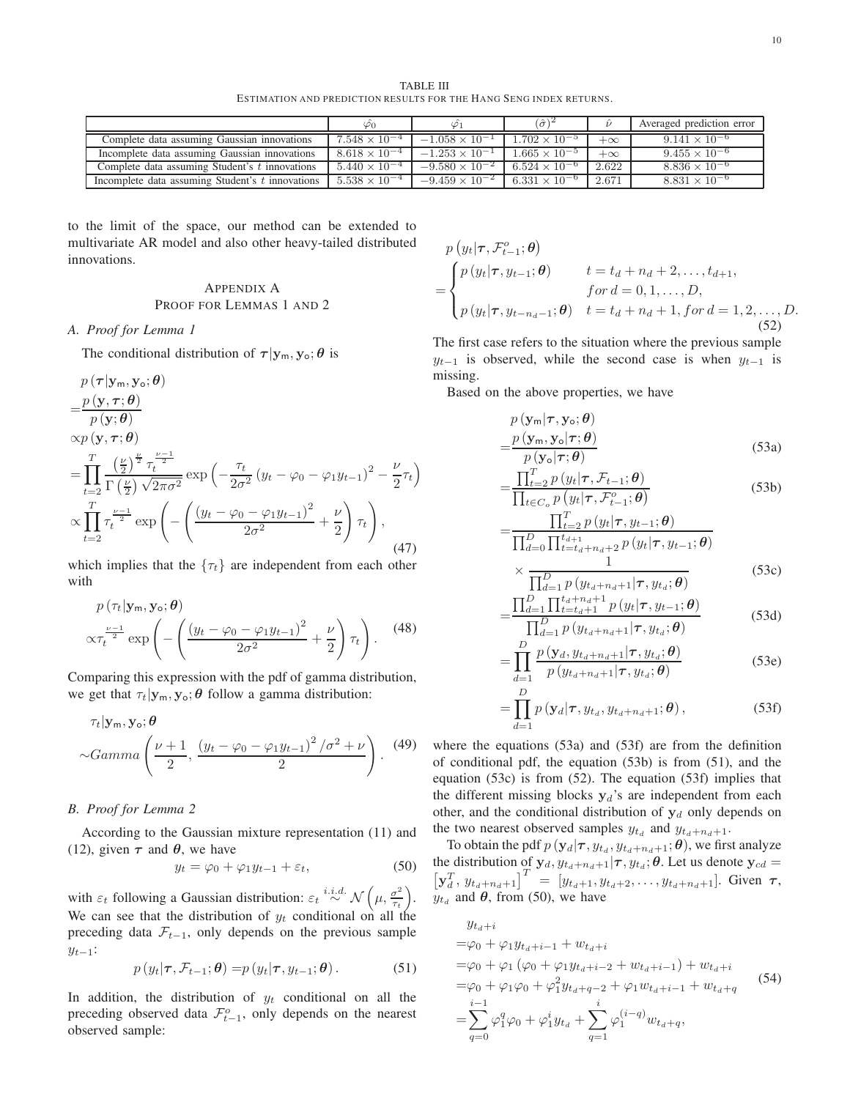TABLE III ESTIMATION AND PREDICTION RESULTS FOR THE HANG SENG INDEX RETURNS.

|                                                  | ΨO                     |                         | $(\hat{\sigma})$       |           | Averaged prediction error |
|--------------------------------------------------|------------------------|-------------------------|------------------------|-----------|---------------------------|
| Complete data assuming Gaussian innovations      | $7.548 \times 10^{-4}$ | $-1.058 \times 10^{-1}$ | $1.702 \times 10^{-5}$ | $+\infty$ | $9.141 \times 10^{-6}$    |
| Incomplete data assuming Gaussian innovations    | $8.618 \times 10^{-4}$ | $-1.253 \times 10^{-1}$ | $1.665 \times 10^{-5}$ | $+\infty$ | $9.455 \times 10^{-6}$    |
| Complete data assuming Student's t innovations   | $5.440 \times 10^{-4}$ | $-9.580 \times 10^{-2}$ | $6.524 \times 10^{-6}$ | 2.622     | $8.836 \times 10^{-6}$    |
| Incomplete data assuming Student's t innovations | $5.538 \times 10^{-4}$ | $-9.459 \times 10^{-2}$ | $6.331 \times 10^{-6}$ | 2.671     | $8.831 \times 10^{-6}$    |

to the limit of the space, our method can be extended to multivariate AR model and also other heavy-tailed distributed innovations.

#### APPENDIX A PROOF FOR LEMMAS 1 AND 2

*A. Proof for Lemma 1*

The conditional distribution of  $\tau | y_m, y_o; \theta$  is

$$
p(\tau | \mathbf{y}_m, \mathbf{y}_0; \boldsymbol{\theta})
$$
\n
$$
= \frac{p(\mathbf{y}, \tau; \boldsymbol{\theta})}{p(\mathbf{y}; \boldsymbol{\theta})}
$$
\n
$$
\propto p(\mathbf{y}, \tau; \boldsymbol{\theta})
$$
\n
$$
= \prod_{t=2}^T \frac{\left(\frac{\nu}{2}\right)^{\frac{\nu}{2}} \tau_t^{\frac{\nu-1}{2}}}{\Gamma\left(\frac{\nu}{2}\right) \sqrt{2\pi\sigma^2}} \exp\left(-\frac{\tau_t}{2\sigma^2} \left(y_t - \varphi_0 - \varphi_1 y_{t-1}\right)^2 - \frac{\nu}{2} \tau_t\right)
$$
\n
$$
\propto \prod_{t=2}^T \tau_t^{\frac{\nu-1}{2}} \exp\left(-\left(\frac{\left(y_t - \varphi_0 - \varphi_1 y_{t-1}\right)^2}{2\sigma^2} + \frac{\nu}{2}\right) \tau_t\right), \tag{47}
$$

which implies that the  $\{\tau_t\}$  are independent from each other with

$$
p(\tau_t|\mathbf{y}_m, \mathbf{y}_o; \boldsymbol{\theta})\n\propto \tau_t^{\frac{\nu-1}{2}} \exp\left(-\left(\frac{\left(y_t - \varphi_0 - \varphi_1 y_{t-1}\right)^2}{2\sigma^2} + \frac{\nu}{2}\right)\tau_t\right).
$$
\n(48)

Comparing this expression with the pdf of gamma distribution, we get that  $\tau_t|\mathbf{y}_m, \mathbf{y}_o; \theta$  follow a gamma distribution:

$$
\tau_t|\mathbf{y_m}, \mathbf{y_o}; \boldsymbol{\theta}
$$
  
 
$$
\sim Gamma\left(\frac{\nu+1}{2}, \frac{\left(y_t - \varphi_0 - \varphi_1 y_{t-1}\right)^2/\sigma^2 + \nu}{2}\right). \tag{49}
$$

#### *B. Proof for Lemma 2*

According to the Gaussian mixture representation [\(11\)](#page-2-0) and [\(12\)](#page-2-1), given  $\tau$  and  $\theta$ , we have

<span id="page-9-6"></span>
$$
y_t = \varphi_0 + \varphi_1 y_{t-1} + \varepsilon_t, \tag{50}
$$

with  $\varepsilon_t$  following a Gaussian distribution:  $\varepsilon_t \stackrel{i.i.d.}{\sim} \mathcal{N}\left(\mu, \frac{\sigma^2}{\tau_t}\right)$  $\frac{\sigma^2}{\tau_t}\Big).$ We can see that the distribution of  $y_t$  conditional on all the preceding data  $\mathcal{F}_{t-1}$ , only depends on the previous sample  $y_{t-1}$ :

<span id="page-9-3"></span>
$$
p(y_t|\boldsymbol{\tau}, \mathcal{F}_{t-1}; \boldsymbol{\theta}) = p(y_t|\boldsymbol{\tau}, y_{t-1}; \boldsymbol{\theta}). \tag{51}
$$

In addition, the distribution of  $y_t$  conditional on all the preceding observed data  $\mathcal{F}^o_{t-1}$ , only depends on the nearest observed sample:

<span id="page-9-5"></span>
$$
p(y_t | \tau, \mathcal{F}_{t-1}^o; \theta) = \begin{cases} p(y_t | \tau, y_{t-1}; \theta) & t = t_d + n_d + 2, ..., t_{d+1}, \\ p(y_t | \tau, y_{t-n_d-1}; \theta) & t = t_d + n_d + 1, for d = 1, 2, ..., D, \\ p(y_t | \tau, y_{t-n_d-1}; \theta) & t = t_d + n_d + 1, for d = 1, 2, ..., D. \end{cases}
$$
(52)

The first case refers to the situation where the previous sample  $y_{t-1}$  is observed, while the second case is when  $y_{t-1}$  is missing.

Based on the above properties, we have

=

$$
p(\mathbf{y}_{\mathsf{m}}|\boldsymbol{\tau}, \mathbf{y}_{\mathsf{o}}; \boldsymbol{\theta})
$$
  
= 
$$
\frac{p(\mathbf{y}_{\mathsf{m}}, \mathbf{y}_{\mathsf{o}}|\boldsymbol{\tau}; \boldsymbol{\theta})}{p(\mathbf{y}_{\mathsf{o}}|\boldsymbol{\tau}; \boldsymbol{\theta})}
$$
(53a)

<span id="page-9-2"></span><span id="page-9-0"></span>
$$
=\frac{\prod_{t=2}^{T} p(y_t | \tau, \mathcal{F}_{t-1}; \boldsymbol{\theta})}{\prod_{t \in C_o} p(y_t | \tau, \mathcal{F}_{t-1}^o; \boldsymbol{\theta})}
$$
(53b)

$$
=\frac{\prod_{t=2}^{I} p(y_t | \tau, y_{t-1}; \theta)}{\prod_{d=0}^{D} \prod_{t=t_d+n_d+2}^{t_{d+1}} p(y_t | \tau, y_{t-1}; \theta)}
$$

<span id="page-9-4"></span>
$$
\times \frac{1}{\prod_{d=1}^{D} p(y_{t_d+n_d+1}|\tau, y_{t_d}; \boldsymbol{\theta})}
$$
(53c)

$$
=\frac{\prod_{d=1}^{D} \prod_{t=t_d+1}^{t_d+n_d+1} p(y_t|\tau, y_{t-1}; \theta)}{\prod_{d=1}^{D} p(y_{t_d+n_d+1}|\tau, y_{t_d}; \theta)} \tag{53d}
$$

$$
= \prod_{d=1}^{D} \frac{p(y_d, y_{t_d+n_d+1} | \tau, y_{t_d}; \theta)}{p(y_{t_d+n_d+1} | \tau, y_{t_d}; \theta)}
$$
(53e)

<span id="page-9-1"></span>
$$
= \prod_{d=1}^{D} p\left(\mathbf{y}_{d}|\boldsymbol{\tau}, y_{t_d}, y_{t_d+n_d+1}; \boldsymbol{\theta}\right),
$$
\n(53f)

where the equations [\(53a\)](#page-9-0) and [\(53f\)](#page-9-1) are from the definition of conditional pdf, the equation [\(53b\)](#page-9-2) is from [\(51\)](#page-9-3), and the equation [\(53c\)](#page-9-4) is from [\(52\)](#page-9-5). The equation [\(53f\)](#page-9-1) implies that the different missing blocks  $y_d$ 's are independent from each other, and the conditional distribution of  $y_d$  only depends on the two nearest observed samples  $y_{t_d}$  and  $y_{t_d+n_d+1}$ .

To obtain the pdf  $p(\mathbf{y}_d | \boldsymbol{\tau}, y_{t_d}, y_{t_d+n_d+1}; \boldsymbol{\theta})$ , we first analyze the distribution of  $y_d, y_{t_d+n_d+1}|\tau, y_{t_d}; \theta$ . Let us denote  $y_{cd} =$  $\left[\mathbf{y}_d^T, y_{t_d+n_d+1}\right]^T = \left[y_{t_d+1}, y_{t_d+2}, \ldots, y_{t_d+n_d+1}\right]$ . Given  $\tau$ ,  $y_{t_d}$  and  $\theta$ , from [\(50\)](#page-9-6), we have

$$
y_{t_{d}+i}
$$
  
\n
$$
=\varphi_{0} + \varphi_{1}y_{t_{d}+i-1} + w_{t_{d}+i}
$$
  
\n
$$
=\varphi_{0} + \varphi_{1}(\varphi_{0} + \varphi_{1}y_{t_{d}+i-2} + w_{t_{d}+i-1}) + w_{t_{d}+i}
$$
  
\n
$$
=\varphi_{0} + \varphi_{1}\varphi_{0} + \varphi_{1}^{2}y_{t_{d}+q-2} + \varphi_{1}w_{t_{d}+i-1} + w_{t_{d}+q}
$$
  
\n
$$
=\sum_{q=0}^{i-1} \varphi_{1}^{q}\varphi_{0} + \varphi_{1}^{i}y_{t_{d}} + \sum_{q=1}^{i} \varphi_{1}^{(i-q)}w_{t_{d}+q},
$$
\n(54)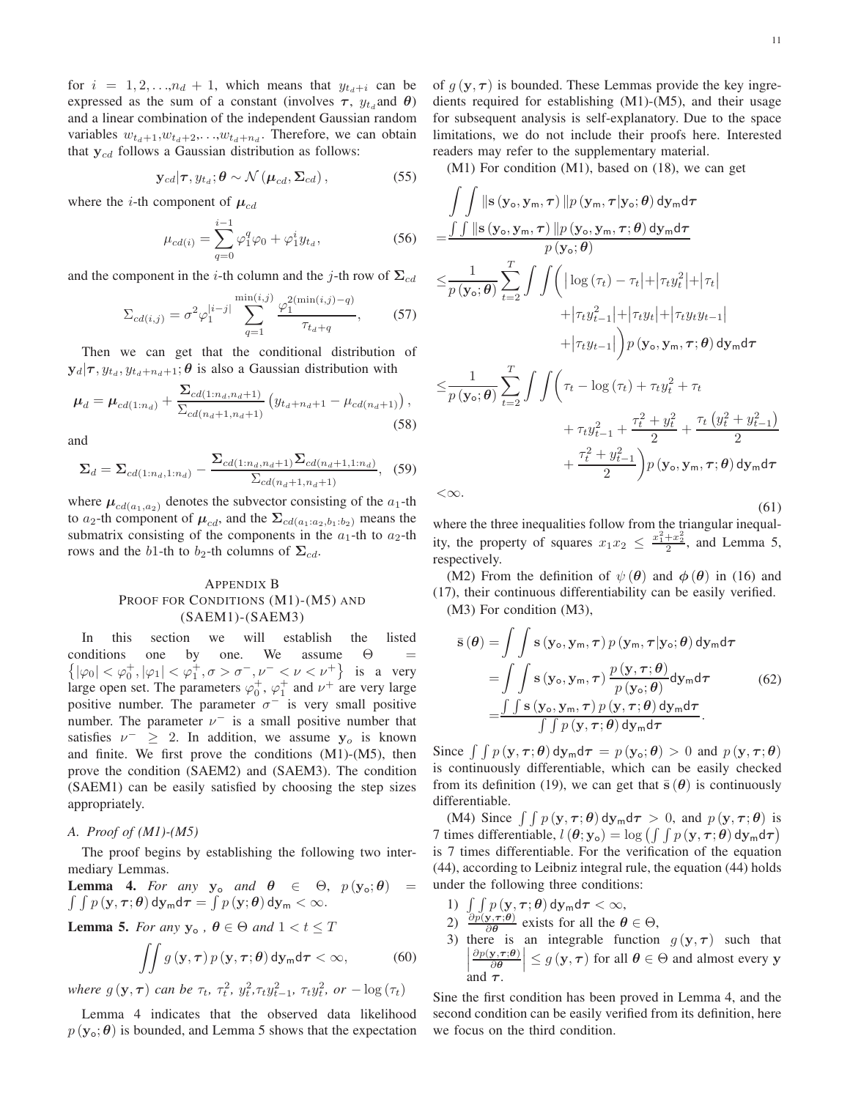for  $i = 1, 2, \ldots, n_d + 1$ , which means that  $y_{t_d+i}$  can be expressed as the sum of a constant (involves  $\tau$ ,  $y_{t_d}$  and  $\theta$ ) and a linear combination of the independent Gaussian random variables  $w_{t_d+1}, w_{t_d+2}, \ldots, w_{t_d+n_d}$ . Therefore, we can obtain that  $y_{cd}$  follows a Gaussian distribution as follows:

$$
\mathbf{y}_{cd}|\boldsymbol{\tau}, y_{t_d}; \boldsymbol{\theta} \sim \mathcal{N}\left(\boldsymbol{\mu}_{cd}, \boldsymbol{\Sigma}_{cd}\right), \tag{55}
$$

where the *i*-th component of  $\mu_{cd}$ 

$$
\mu_{cd(i)} = \sum_{q=0}^{i-1} \varphi_1^q \varphi_0 + \varphi_1^i y_{t_d},
$$
\n(56)

and the component in the *i*-th column and the *j*-th row of  $\Sigma_{cd}$ 

$$
\Sigma_{cd(i,j)} = \sigma^2 \varphi_1^{|i-j|} \sum_{q=1}^{\min(i,j)} \frac{\varphi_1^{2(\min(i,j)-q)}}{\tau_{t_d+q}},\qquad(57)
$$

Then we can get that the conditional distribution of  $\mathbf{y}_d|\boldsymbol{\tau}, y_{t_d}, y_{t_d+n_d+1}; \boldsymbol{\theta}$  is also a Gaussian distribution with

$$
\mu_d = \mu_{cd(1:n_d)} + \frac{\Sigma_{cd(1:n_d, n_d+1)}}{\Sigma_{cd(n_d+1, n_d+1)}} \left( y_{t_d+n_d+1} - \mu_{cd(n_d+1)} \right),
$$
\n(58)

and

$$
\Sigma_d = \Sigma_{cd(1:n_d,1:n_d)} - \frac{\Sigma_{cd(1:n_d,n_d+1)}\Sigma_{cd(n_d+1,1:n_d)}}{\Sigma_{cd(n_d+1,n_d+1)}},\tag{59}
$$

where  $\mu_{cd(a_1,a_2)}$  denotes the subvector consisting of the  $a_1$ -th to  $a_2$ -th component of  $\mu_{cd}$ , and the  $\Sigma_{cd(a_1:a_2,b_1:b_2)}$  means the submatrix consisting of the components in the  $a_1$ -th to  $a_2$ -th rows and the b1-th to b<sub>2</sub>-th columns of  $\Sigma_{cd}$ .

#### APPENDIX B PROOF FOR CONDITIONS (M1)-(M5) AND (SAEM1)-(SAEM3)

In this section we will establish the listed conditions one by one. We assume  $\{ |\varphi_0| < \varphi_0^+, |\varphi_1| < \varphi_1^+, \sigma > \sigma^-, \nu^- < \nu < \nu^+ \}$  is a very  $\Theta$  = large open set. The parameters  $\varphi_0^+$ ,  $\varphi_1^+$  and  $\nu^+$  are very large positive number. The parameter  $\sigma^-$  is very small positive number. The parameter  $\nu^-$  is a small positive number that satisfies  $\nu^- \geq 2$ . In addition, we assume  $y_o$  is known and finite. We first prove the conditions (M1)-(M5), then prove the condition (SAEM2) and (SAEM3). The condition (SAEM1) can be easily satisfied by choosing the step sizes appropriately.

#### *A. Proof of (M1)-(M5)*

The proof begins by establishing the following two intermediary Lemmas.

**Lemma 4.** For any  $y_o$  and  $\theta \in \Theta$ ,  $p(y_o; \theta) =$  $\int \int p\left(\mathbf{y},\boldsymbol{\tau};\boldsymbol{\theta}\right) \mathsf{d} \mathbf{y}_{\mathsf{m}} \mathsf{d} \boldsymbol{\tau} = \int p\left(\mathbf{y};\boldsymbol{\theta}\right) \mathsf{d} \mathbf{y}_{\mathsf{m}} < \infty.$ 

**Lemma 5.** *For any*  $y_0$ ,  $\theta \in \Theta$  *and*  $1 < t \leq T$ 

$$
\iint g\left(\mathbf{y},\boldsymbol{\tau}\right)p\left(\mathbf{y},\boldsymbol{\tau};\boldsymbol{\theta}\right)\mathrm{d}\mathbf{y}_{\mathsf{m}}\mathrm{d}\boldsymbol{\tau}<\infty,\tag{60}
$$

*where*  $g(\mathbf{y}, \tau)$  *can be*  $\tau_t$ ,  $\tau_t^2$ ,  $y_t^2$ ,  $\tau_t y_{t-1}^2$ ,  $\tau_t y_t^2$ ,  $or -\log(\tau_t)$ 

Lemma 4 indicates that the observed data likelihood  $p(\mathbf{y}_{\alpha}; \boldsymbol{\theta})$  is bounded, and Lemma 5 shows that the expectation of  $q(\mathbf{y}, \tau)$  is bounded. These Lemmas provide the key ingredients required for establishing (M1)-(M5), and their usage for subsequent analysis is self-explanatory. Due to the space limitations, we do not include their proofs here. Interested readers may refer to the supplementary material.

(M1) For condition (M1), based on [\(18\)](#page-3-3), we can get

$$
\int\int \|\mathbf{s}\left(\mathbf{y}_{o}, \mathbf{y}_{m}, \boldsymbol{\tau}\right) \| p\left(\mathbf{y}_{m}, \boldsymbol{\tau} | \mathbf{y}_{o}; \boldsymbol{\theta}\right) d\mathbf{y}_{m} d\boldsymbol{\tau} \n= \frac{\int\int \|\mathbf{s}\left(\mathbf{y}_{o}, \mathbf{y}_{m}, \boldsymbol{\tau}\right) \| p\left(\mathbf{y}_{o}, \mathbf{y}_{m}, \boldsymbol{\tau}; \boldsymbol{\theta}\right) d\mathbf{y}_{m} d\boldsymbol{\tau}}{p\left(\mathbf{y}_{o}; \boldsymbol{\theta}\right)} \n\leq \frac{1}{p\left(\mathbf{y}_{o}; \boldsymbol{\theta}\right)} \sum_{t=2}^{T} \int\int \left( |\log(\tau_{t}) - \tau_{t}| + |\tau_{t} y_{t}^{2}| + |\tau_{t}| + |\tau_{t} y_{t} y_{t-1}| + |\tau_{t} y_{t-1}| + |\tau_{t} y_{t-1}| \right) p\left(\mathbf{y}_{o}, \mathbf{y}_{m}, \boldsymbol{\tau}; \boldsymbol{\theta}\right) d\mathbf{y}_{m} d\boldsymbol{\tau} \n\leq \frac{1}{p\left(\mathbf{y}_{o}; \boldsymbol{\theta}\right)} \sum_{t=2}^{T} \int\int \left( \tau_{t} - \log(\tau_{t}) + \tau_{t} y_{t}^{2} + \tau_{t} + \tau_{t} y_{t-1}^{2} + \frac{\tau_{t}^{2} + y_{t}^{2}}{2} + \frac{\tau_{t} \left(y_{t}^{2} + y_{t-1}^{2}\right)}{2} + \frac{\tau_{t}^{2} + y_{t-1}^{2}}{2} \right) p\left(\mathbf{y}_{o}, \mathbf{y}_{m}, \boldsymbol{\tau}; \boldsymbol{\theta}\right) d\mathbf{y}_{m} d\boldsymbol{\tau}
$$

 $<\infty$ .

(61) where the three inequalities follow from the triangular inequality, the property of squares  $x_1 x_2 \leq \frac{x_1^2 + x_2^2}{2}$ , and Lemma 5, respectively.

(M2) From the definition of  $\psi(\theta)$  and  $\phi(\theta)$  in [\(16\)](#page-3-4) and [\(17\)](#page-3-5), their continuous differentiability can be easily verified. (M3) For condition (M3),

$$
\bar{\mathbf{s}}(\theta) = \int \int \mathbf{s} \left(\mathbf{y}_o, \mathbf{y}_m, \tau\right) p\left(\mathbf{y}_m, \tau | \mathbf{y}_o; \theta\right) d\mathbf{y}_m d\tau \n= \int \int \mathbf{s} \left(\mathbf{y}_o, \mathbf{y}_m, \tau\right) \frac{p\left(\mathbf{y}, \tau; \theta\right)}{p\left(\mathbf{y}_o; \theta\right)} d\mathbf{y}_m d\tau \n= \frac{\int \int \mathbf{s} \left(\mathbf{y}_o, \mathbf{y}_m, \tau\right) p\left(\mathbf{y}, \tau; \theta\right) d\mathbf{y}_m d\tau}{\int \int p\left(\mathbf{y}, \tau; \theta\right) d\mathbf{y}_m d\tau}.
$$
\n(62)

Since  $\int \int p(\mathbf{y}, \tau; \theta) d\mathbf{y}_m d\tau = p(\mathbf{y}_0; \theta) > 0$  and  $p(\mathbf{y}, \tau; \theta)$ is continuously differentiable, which can be easily checked from its definition [\(19\)](#page-3-0), we can get that  $\bar{s}(\theta)$  is continuously differentiable.

(M4) Since  $\int \int p(y, \tau; \theta) dy_m d\tau > 0$ , and  $p(y, \tau; \theta)$  is 7 times differentiable,  $l(\theta; y_o) = \log \left( \int \int p(y, \tau; \theta) dy_m d\tau \right)$ is 7 times differentiable. For the verification of the equation [\(44\)](#page-5-0), according to Leibniz integral rule, the equation [\(44\)](#page-5-0) holds under the following three conditions:

- 1)  $\int_{\Omega} \int p(\mathbf{y}, \tau; \boldsymbol{\theta}) \, d\mathbf{y}_{\mathsf{m}} d\tau < \infty$ ,
- 2)  $\frac{\partial p(\mathbf{y}, \tau; \theta)}{\partial \theta}$  exists for all the  $\theta \in \Theta$ ,
- 3) there is an integrable function  $g(\mathbf{y}, \boldsymbol{\tau})$  such that  $\begin{matrix} \hline \end{matrix}$  $\left|\frac{\partial p(\mathbf{y}, \tau; \theta)}{\partial \theta}\right| \leq g(\mathbf{y}, \tau)$  for all  $\theta \in \Theta$  and almost every y and  $\tau$ .

Sine the first condition has been proved in Lemma 4, and the second condition can be easily verified from its definition, here we focus on the third condition.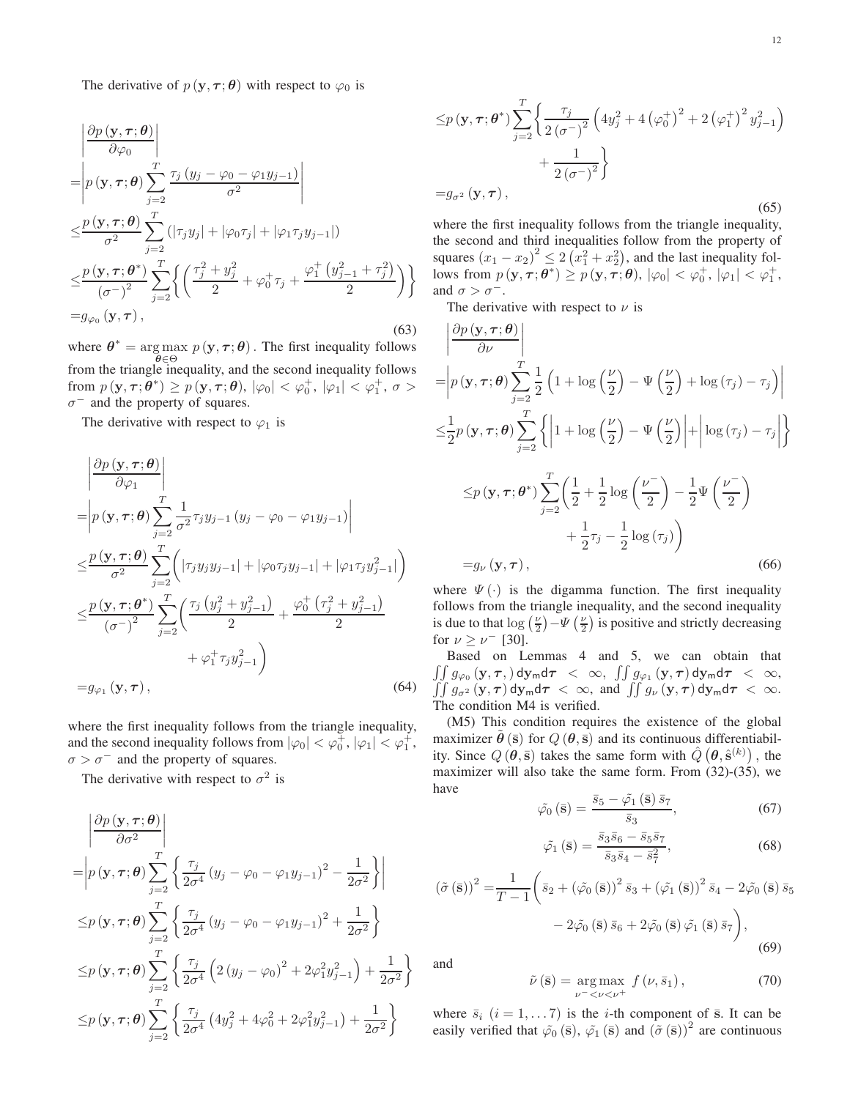The derivative of  $p(\mathbf{y}, \boldsymbol{\tau}; \boldsymbol{\theta})$  with respect to  $\varphi_0$  is

$$
\begin{aligned}\n&\left|\frac{\partial p\left(\mathbf{y},\boldsymbol{\tau};\boldsymbol{\theta}\right)}{\partial \varphi_{0}}\right| \\
&=\left|p\left(\mathbf{y},\boldsymbol{\tau};\boldsymbol{\theta}\right)\sum_{j=2}^{T}\frac{\tau_{j}\left(y_{j}-\varphi_{0}-\varphi_{1}y_{j-1}\right)}{\sigma^{2}}\right| \\
&\leq &\frac{p\left(\mathbf{y},\boldsymbol{\tau};\boldsymbol{\theta}\right)}{\sigma^{2}}\sum_{j=2}^{T}\left(\left|\tau_{j}y_{j}\right|+\left|\varphi_{0}\tau_{j}\right|+\left|\varphi_{1}\tau_{j}y_{j-1}\right|\right) \\
&\leq &\frac{p\left(\mathbf{y},\boldsymbol{\tau};\boldsymbol{\theta}^{*}\right)}{\left(\sigma^{-}\right)^{2}}\sum_{j=2}^{T}\left\{\left(\frac{\tau_{j}^{2}+y_{j}^{2}}{2}+\varphi_{0}^{+}\tau_{j}+\frac{\varphi_{1}^{+}\left(y_{j-1}^{2}+\tau_{j}^{2}\right)}{2}\right)\right\} \\
&= &g_{\varphi_{0}}\left(\mathbf{y},\boldsymbol{\tau}\right),\n\end{aligned}
$$
\n(63)

where  $\theta^* = \arg \max p(\mathbf{y}, \tau; \theta)$ . The first inequality follows θ∈Θ from the triangle inequality, and the second inequality follows from  $p(\mathbf{y}, \boldsymbol{\tau}; \boldsymbol{\theta}^*) \geq p(\mathbf{y}, \boldsymbol{\tau}; \boldsymbol{\theta}), |\varphi_0| < \varphi_0^+, |\varphi_1| < \varphi_1^+, \sigma >$  $\sigma^-$  and the property of squares.

The derivative with respect to  $\varphi_1$  is

$$
\begin{split}\n&\left|\frac{\partial p\left(\mathbf{y},\boldsymbol{\tau};\boldsymbol{\theta}\right)}{\partial \varphi_{1}}\right| \\
&=\left|p\left(\mathbf{y},\boldsymbol{\tau};\boldsymbol{\theta}\right)\sum_{j=2}^{T}\frac{1}{\sigma^{2}}\tau_{j}y_{j-1}\left(y_{j}-\varphi_{0}-\varphi_{1}y_{j-1}\right)\right| \\
&\leq &\frac{p\left(\mathbf{y},\boldsymbol{\tau};\boldsymbol{\theta}\right)}{\sigma^{2}}\sum_{j=2}^{T}\left(\left|\tau_{j}y_{j}y_{j-1}\right|+\left|\varphi_{0}\tau_{j}y_{j-1}\right|+\left|\varphi_{1}\tau_{j}y_{j-1}^{2}\right|\right) \\
&\leq &\frac{p\left(\mathbf{y},\boldsymbol{\tau};\boldsymbol{\theta}^{*}\right)}{\left(\sigma^{-}\right)^{2}}\sum_{j=2}^{T}\left(\frac{\tau_{j}\left(y_{j}^{2}+y_{j-1}^{2}\right)}{2}+\frac{\varphi_{0}^{+}\left(\tau_{j}^{2}+y_{j-1}^{2}\right)}{2} + \varphi_{1}^{+}\tau_{j}y_{j-1}^{2}\right) \\
&= &g_{\varphi_{1}}\left(\mathbf{y},\boldsymbol{\tau}\right),\n\end{split}
$$
\n(64)

where the first inequality follows from the triangle inequality, and the second inequality follows from  $|\varphi_0| < \varphi_0^+$ ,  $|\varphi_1| < \varphi_1^+$ ,  $\sigma > \sigma^-$  and the property of squares.

The derivative with respect to  $\sigma^2$  is

$$
\begin{aligned}\n&\left|\frac{\partial p\left(\mathbf{y},\boldsymbol{\tau};\boldsymbol{\theta}\right)}{\partial \sigma^2}\right| \\
&=\left|p\left(\mathbf{y},\boldsymbol{\tau};\boldsymbol{\theta}\right)\sum_{j=2}^T\left\{\frac{\tau_j}{2\sigma^4}\left(y_j-\varphi_0-\varphi_1y_{j-1}\right)^2-\frac{1}{2\sigma^2}\right\}\right| \\
&\leq& p\left(\mathbf{y},\boldsymbol{\tau};\boldsymbol{\theta}\right)\sum_{j=2}^T\left\{\frac{\tau_j}{2\sigma^4}\left(y_j-\varphi_0-\varphi_1y_{j-1}\right)^2+\frac{1}{2\sigma^2}\right\} \\
&\leq& p\left(\mathbf{y},\boldsymbol{\tau};\boldsymbol{\theta}\right)\sum_{j=2}^T\left\{\frac{\tau_j}{2\sigma^4}\left(2\left(y_j-\varphi_0\right)^2+2\varphi_1^2y_{j-1}^2\right)+\frac{1}{2\sigma^2}\right\} \\
&\leq& p\left(\mathbf{y},\boldsymbol{\tau};\boldsymbol{\theta}\right)\sum_{j=2}^T\left\{\frac{\tau_j}{2\sigma^4}\left(4y_j^2+4\varphi_0^2+2\varphi_1^2y_{j-1}^2\right)+\frac{1}{2\sigma^2}\right\}\n\end{aligned}
$$

(65) where the first inequality follows from the triangle inequality, the second and third inequalities follow from the property of squares  $(x_1 - x_2)^2 \leq 2(x_1^2 + x_2^2)$ , and the last inequality follows from  $p(\mathbf{y}, \tau; \boldsymbol{\theta}^*) \geq p(\mathbf{y}, \tau; \boldsymbol{\theta}), |\varphi_0| < \varphi_0^+, |\varphi_1| < \varphi_1^+,$ and  $\sigma > \sigma^-$ .

The derivative with respect to  $\nu$  is

$$
\begin{aligned}\n&\left|\frac{\partial p\left(\mathbf{y},\boldsymbol{\tau};\boldsymbol{\theta}\right)}{\partial\nu}\right| \\
&=\left|p\left(\mathbf{y},\boldsymbol{\tau};\boldsymbol{\theta}\right)\sum_{j=2}^{T}\frac{1}{2}\left(1+\log\left(\frac{\nu}{2}\right)-\Psi\left(\frac{\nu}{2}\right)+\log\left(\tau_{j}\right)-\tau_{j}\right)\right| \\
&\leq &\frac{1}{2}p\left(\mathbf{y},\boldsymbol{\tau};\boldsymbol{\theta}\right)\sum_{j=2}^{T}\left\{\left|1+\log\left(\frac{\nu}{2}\right)-\Psi\left(\frac{\nu}{2}\right)\right|+\left|\log\left(\tau_{j}\right)-\tau_{j}\right|\right\} \\
&\leq &p\left(\mathbf{y},\boldsymbol{\tau};\boldsymbol{\theta}^{*}\right)\sum_{j=2}^{T}\left(\frac{1}{2}+\frac{1}{2}\log\left(\frac{\nu}{2}\right)-\frac{1}{2}\Psi\left(\frac{\nu}{2}\right) \\
&\quad+\frac{1}{2}\tau_{j}-\frac{1}{2}\log\left(\tau_{j}\right)\right) \\
&= &g_{\nu}\left(\mathbf{y},\boldsymbol{\tau}\right),\n\end{aligned}
$$
\n(66)

where  $\Psi(\cdot)$  is the digamma function. The first inequality follows from the triangle inequality, and the second inequality is due to that  $\log(\frac{\nu}{2}) - \Psi(\frac{\nu}{2})$  is positive and strictly decreasing for  $\nu \ge \nu^-$  [\[30\]](#page-13-1).

Based on Lemmas 4 and 5, we can obtain that  $\iint_{\mathcal{C}} g_{\varphi_0}(\mathbf{y}, \tau) d\mathbf{y}_{\mathsf{m}} d\tau < \infty$ ,  $\iint_{\mathcal{C}} g_{\varphi_1}(\mathbf{y}, \tau) d\mathbf{y}_{\mathsf{m}} d\tau < \infty$ ,  $\int \int g_{\sigma^2} (\mathbf{y}, \tau) d\mathbf{y}_m d\tau < \infty$ , and  $\int \int g_{\nu} (\mathbf{y}, \tau) d\mathbf{y}_m d\tau < \infty$ . The condition M4 is verified.

(M5) This condition requires the existence of the global maximizer  $\theta$  ( $\bar{s}$ ) for  $Q$  ( $\theta$ ,  $\bar{s}$ ) and its continuous differentiability. Since  $Q(\theta, \bar{s})$  takes the same form with  $\hat{Q}(\theta, \hat{s}^{(k)})$ , the maximizer will also take the same form. From [\(32\)](#page-4-0)-[\(35\)](#page-4-3), we have

$$
\tilde{\varphi}_0\left(\bar{\mathbf{s}}\right) = \frac{\bar{s}_5 - \tilde{\varphi}_1\left(\bar{\mathbf{s}}\right)\bar{s}_7}{\bar{s}_3},\tag{67}
$$

$$
\tilde{\varphi}_1(\bar{s}) = \frac{\bar{s}_3 \bar{s}_6 - \bar{s}_5 \bar{s}_7}{\bar{s}_3 \bar{s}_4 - \bar{s}_7^2},\tag{68}
$$

$$
(\tilde{\sigma}(\bar{\mathbf{s}}))^{2} = \frac{1}{T - 1} \left( \bar{s}_{2} + (\tilde{\varphi}_{0}(\bar{\mathbf{s}}))^{2} \bar{s}_{3} + (\tilde{\varphi}_{1}(\bar{\mathbf{s}}))^{2} \bar{s}_{4} - 2\tilde{\varphi}_{0}(\bar{\mathbf{s}}) \bar{s}_{5} - 2\tilde{\varphi}_{0}(\bar{\mathbf{s}}) \bar{s}_{6} + 2\tilde{\varphi}_{0}(\bar{\mathbf{s}}) \tilde{\varphi}_{1}(\bar{\mathbf{s}}) \bar{s}_{7} \right),
$$
\n(69)

and

$$
\tilde{\nu}\left(\bar{\mathbf{s}}\right) = \underset{\nu^{-} < \nu < \nu^{+}}{\arg \max} f\left(\nu, \bar{s}_{1}\right),\tag{70}
$$

where  $\bar{s}_i$   $(i = 1, \ldots 7)$  is the *i*-th component of  $\bar{s}$ . It can be easily verified that  $\tilde{\varphi}_0(\bar{s}), \tilde{\varphi}_1(\bar{s})$  and  $(\tilde{\sigma}(\bar{s}))^2$  are continuous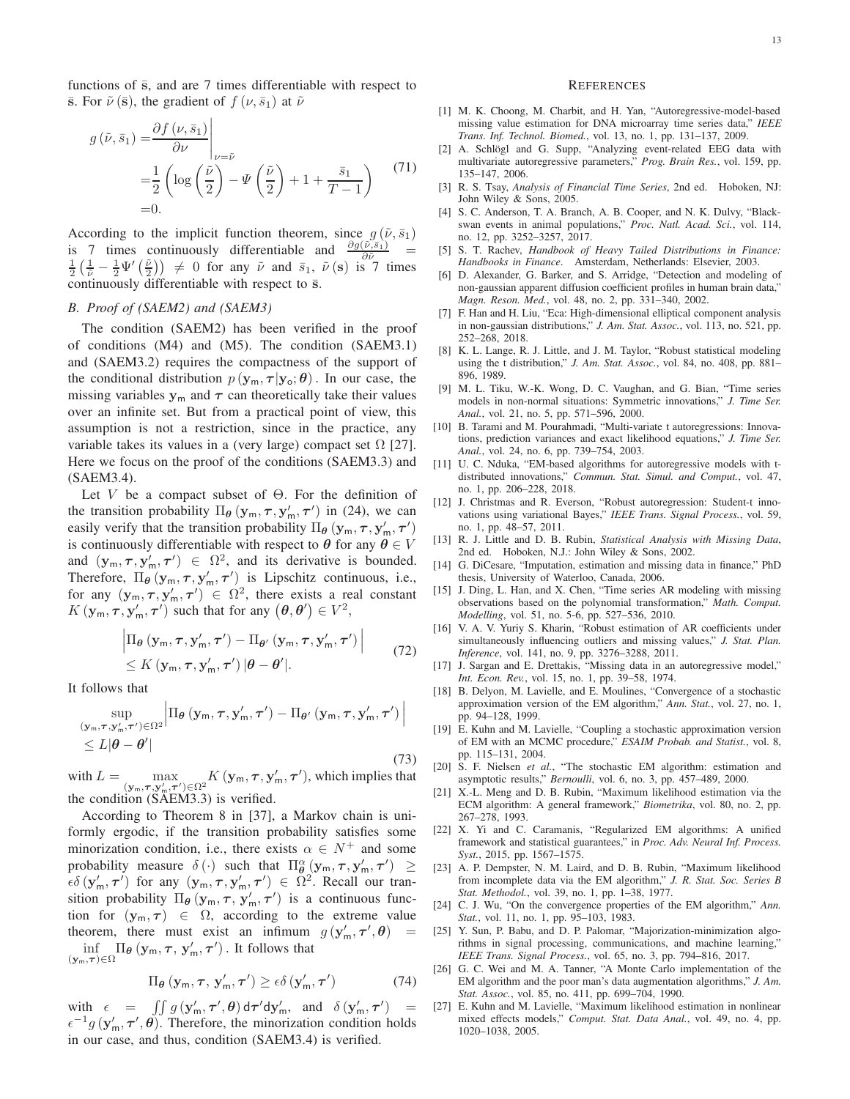functions of  $\bar{s}$ , and are 7 times differentiable with respect to  $\bar{s}$ . For  $\tilde{\nu}(\bar{s})$ , the gradient of  $f(\nu, \bar{s}_1)$  at  $\tilde{\nu}$ 

$$
g\left(\tilde{\nu}, \bar{s}_1\right) = \frac{\partial f\left(\nu, \bar{s}_1\right)}{\partial \nu} \Big|_{\nu = \tilde{\nu}}
$$
  
=  $\frac{1}{2} \left( \log \left( \frac{\tilde{\nu}}{2} \right) - \Psi \left( \frac{\tilde{\nu}}{2} \right) + 1 + \frac{\bar{s}_1}{T - 1} \right)$  (71)  
= 0.

According to the implicit function theorem, since  $g(\tilde{\nu}, \bar{s}_1)$ is 7 times continuously differentiable and  $\frac{\partial g(\tilde{\nu},\bar{s}_1)}{\partial \tilde{\nu}} = \frac{1}{2} \left( \frac{1}{\tilde{\nu}} - \frac{1}{2} \Psi' \left( \frac{\tilde{\nu}}{2} \right) \right) \neq 0$  for any  $\tilde{\nu}$  and  $\bar{s}_1$ ,  $\tilde{\nu}$  (s) is 7 times continuously differentiable with respect to  $\bar{s}$ .

#### *B. Proof of (SAEM2) and (SAEM3)*

The condition (SAEM2) has been verified in the proof of conditions (M4) and (M5). The condition (SAEM3.1) and (SAEM3.2) requires the compactness of the support of the conditional distribution  $p(\mathbf{y}_m, \tau | \mathbf{y}_o; \theta)$ . In our case, the missing variables  $y_m$  and  $\tau$  can theoretically take their values over an infinite set. But from a practical point of view, this assumption is not a restriction, since in the practice, any variable takes its values in a (very large) compact set  $\Omega$  [\[27\]](#page-12-24). Here we focus on the proof of the conditions (SAEM3.3) and (SAEM3.4).

Let V be a compact subset of  $\Theta$ . For the definition of the transition probability  $\Pi_{\theta}$  ( $\mathbf{y}_{m}, \tau, \mathbf{y}'_{m}, \tau'$ ) in [\(24\)](#page-3-6), we can easily verify that the transition probability  $\Pi_{\theta}$   $(\mathbf{y}_{m}, \tau, \mathbf{y}'_{m}, \tau')$ is continuously differentiable with respect to  $\theta$  for any  $\theta \in V$ and  $(\mathbf{y}_m, \tau, \mathbf{y}'_m, \tau') \in \Omega^2$ , and its derivative is bounded. Therefore,  $\Pi_{\theta}$   $(\mathbf{y}_m, \tau, \mathbf{y}'_m, \tau')$  is Lipschitz continuous, i.e., for any  $(\mathbf{y}_m, \tau, \mathbf{y}'_m, \tau') \in \Omega^2$ , there exists a real constant  $K(\mathbf{y}_m, \tau, \mathbf{y}'_m, \tau')$  such that for any  $(\theta, \theta') \in V^2$ ,

$$
\left| \Pi_{\theta} \left( \mathbf{y}_{\mathsf{m}}, \boldsymbol{\tau}, \mathbf{y}_{\mathsf{m}}', \boldsymbol{\tau}' \right) - \Pi_{\theta'} \left( \mathbf{y}_{\mathsf{m}}, \boldsymbol{\tau}, \mathbf{y}_{\mathsf{m}}', \boldsymbol{\tau}' \right) \right|
$$
\n
$$
\leq K \left( \mathbf{y}_{\mathsf{m}}, \boldsymbol{\tau}, \mathbf{y}_{\mathsf{m}}', \boldsymbol{\tau}' \right) \left| \theta - \theta' \right|.
$$
\n(72)

It follows that

$$
\sup_{\substack{(\mathbf{y}_m,\boldsymbol{\tau},\mathbf{y}'_m,\boldsymbol{\tau}')\in\Omega^2}} \left| \Pi_{\theta} \left( \mathbf{y}_m, \boldsymbol{\tau}, \mathbf{y}'_m, \boldsymbol{\tau}' \right) - \Pi_{\theta'} \left( \mathbf{y}_m, \boldsymbol{\tau}, \mathbf{y}'_m, \boldsymbol{\tau}' \right) \right|
$$
  
\$\leq L|\theta - \theta'\$ (73)

with  $L = \max_{(\mathbf{y}_m, \boldsymbol{\tau}, \mathbf{y}_m', \boldsymbol{\tau}') \in \Omega^2} K(\mathbf{y}_m, \boldsymbol{\tau}, \mathbf{y}_m', \boldsymbol{\tau}')$ , which implies that the condition (SAEM3.3) is verified.

According to Theorem 8 in [\[37\]](#page-13-6), a Markov chain is uniformly ergodic, if the transition probability satisfies some minorization condition, i.e., there exists  $\alpha \in N^+$  and some probability measure  $\delta(\cdot)$  such that  $\Pi_{\theta}^{\alpha}(y_m, \tau, y'_m, \tau') \geq$  $\epsilon \delta(\mathbf{y}'_{\mathsf{m}}, \boldsymbol{\tau}')$  for any  $(\mathbf{y}_{\mathsf{m}}, \boldsymbol{\tau}, \mathbf{y}'_{\mathsf{m}}, \boldsymbol{\tau}') \in \Omega^2$ . Recall our transition probability  $\Pi_{\theta}$  ( $\mathbf{y}_m$ ,  $\boldsymbol{\tau}$ ,  $\mathbf{y}'_m$ ,  $\boldsymbol{\tau}'$ ) is a continuous function for  $(y_m, \tau) \in \Omega$ , according to the extreme value theorem, there must exist an infimum  $g(\mathbf{y}'_m, \boldsymbol{\tau}', \boldsymbol{\theta})$  =  $\inf_{\tau \to \infty} \prod_{\theta} (\mathbf{y}_{\mathsf{m}}, \tau, \mathbf{y}'_{\mathsf{m}}, \tau')$ . It follows that  $(\mathbf{y}_m,\tau)\in\Omega$ 

$$
\Pi_{\boldsymbol{\theta}}\left(\mathbf{y}_{\mathsf{m}}, \boldsymbol{\tau}, \, \mathbf{y}_{\mathsf{m}}^{\prime}, \boldsymbol{\tau}^{\prime}\right) \geq \epsilon \delta\left(\mathbf{y}_{\mathsf{m}}^{\prime}, \boldsymbol{\tau}^{\prime}\right)
$$

) (74)

with  $\epsilon = \iint g(\mathbf{y}'_{m}, \tau', \theta) d\tau' d\mathbf{y}'_{m}$ , and  $\delta(\mathbf{y}'_{m}, \tau')$  $\, =$  $\epsilon^{-1}$ g (y'<sub>m</sub>,  $\tau'$ ,  $\theta$ ). Therefore, the minorization condition holds in our case, and thus, condition (SAEM3.4) is verified.

#### **REFERENCES**

- <span id="page-12-0"></span>[1] M. K. Choong, M. Charbit, and H. Yan, "Autoregressive-model-based missing value estimation for DNA microarray time series data," *IEEE Trans. Inf. Technol. Biomed.*, vol. 13, no. 1, pp. 131–137, 2009.
- <span id="page-12-1"></span>[2] A. Schlögl and G. Supp, "Analyzing event-related EEG data with multivariate autoregressive parameters," *Prog. Brain Res.*, vol. 159, pp. 135–147, 2006.
- <span id="page-12-2"></span>[3] R. S. Tsay, *Analysis of Financial Time Series*, 2nd ed. Hoboken, NJ: John Wiley & Sons, 2005.
- <span id="page-12-3"></span>[4] S. C. Anderson, T. A. Branch, A. B. Cooper, and N. K. Dulvy, "Blackswan events in animal populations," *Proc. Natl. Acad. Sci.*, vol. 114, no. 12, pp. 3252–3257, 2017.
- <span id="page-12-4"></span>[5] S. T. Rachev, *Handbook of Heavy Tailed Distributions in Finance: Handbooks in Finance*. Amsterdam, Netherlands: Elsevier, 2003.
- <span id="page-12-5"></span>[6] D. Alexander, G. Barker, and S. Arridge, "Detection and modeling of non-gaussian apparent diffusion coefficient profiles in human brain data," *Magn. Reson. Med.*, vol. 48, no. 2, pp. 331–340, 2002.
- <span id="page-12-6"></span>[7] F. Han and H. Liu, "Eca: High-dimensional elliptical component analysis in non-gaussian distributions," *J. Am. Stat. Assoc.*, vol. 113, no. 521, pp. 252–268, 2018.
- <span id="page-12-7"></span>[8] K. L. Lange, R. J. Little, and J. M. Taylor, "Robust statistical modeling using the t distribution," *J. Am. Stat. Assoc.*, vol. 84, no. 408, pp. 881– 896, 1989.
- <span id="page-12-8"></span>[9] M. L. Tiku, W.-K. Wong, D. C. Vaughan, and G. Bian, "Time series models in non-normal situations: Symmetric innovations," *J. Time Ser. Anal.*, vol. 21, no. 5, pp. 571–596, 2000.
- <span id="page-12-9"></span>[10] B. Tarami and M. Pourahmadi, "Multi-variate t autoregressions: Innovations, prediction variances and exact likelihood equations," *J. Time Ser. Anal.*, vol. 24, no. 6, pp. 739–754, 2003.
- <span id="page-12-10"></span>[11] U. C. Nduka, "EM-based algorithms for autoregressive models with tdistributed innovations," *Commun. Stat. Simul. and Comput.*, vol. 47, no. 1, pp. 206–228, 2018.
- <span id="page-12-11"></span>[12] J. Christmas and R. Everson, "Robust autoregression: Student-t innovations using variational Bayes," *IEEE Trans. Signal Process.*, vol. 59, no. 1, pp. 48–57, 2011.
- <span id="page-12-12"></span>[13] R. J. Little and D. B. Rubin, *Statistical Analysis with Missing Data*, 2nd ed. Hoboken, N.J.: John Wiley & Sons, 2002.
- <span id="page-12-13"></span>[14] G. DiCesare, "Imputation, estimation and missing data in finance," PhD thesis, University of Waterloo, Canada, 2006.
- [15] J. Ding, L. Han, and X. Chen, "Time series AR modeling with missing observations based on the polynomial transformation," *Math. Comput. Modelling*, vol. 51, no. 5-6, pp. 527–536, 2010.
- <span id="page-12-25"></span>[16] V. A. V. Yuriy S. Kharin, "Robust estimation of AR coefficients under simultaneously influencing outliers and missing values," *J. Stat. Plan. Inference*, vol. 141, no. 9, pp. 3276–3288, 2011.
- <span id="page-12-14"></span>[17] J. Sargan and E. Drettakis, "Missing data in an autoregressive model," *Int. Econ. Rev.*, vol. 15, no. 1, pp. 39–58, 1974.
- <span id="page-12-15"></span>[18] B. Delyon, M. Lavielle, and E. Moulines, "Convergence of a stochastic approximation version of the EM algorithm," *Ann. Stat.*, vol. 27, no. 1, pp. 94–128, 1999.
- <span id="page-12-16"></span>[19] E. Kuhn and M. Lavielle, "Coupling a stochastic approximation version of EM with an MCMC procedure," *ESAIM Probab. and Statist.*, vol. 8, pp. 115–131, 2004.
- <span id="page-12-17"></span>[20] S. F. Nielsen *et al.*, "The stochastic EM algorithm: estimation and asymptotic results," *Bernoulli*, vol. 6, no. 3, pp. 457–489, 2000.
- <span id="page-12-18"></span>[21] X.-L. Meng and D. B. Rubin, "Maximum likelihood estimation via the ECM algorithm: A general framework," *Biometrika*, vol. 80, no. 2, pp. 267–278, 1993.
- <span id="page-12-19"></span>[22] X. Yi and C. Caramanis, "Regularized EM algorithms: A unified framework and statistical guarantees," in *Proc. Adv. Neural Inf. Process. Syst.*, 2015, pp. 1567–1575.
- <span id="page-12-20"></span>[23] A. P. Dempster, N. M. Laird, and D. B. Rubin, "Maximum likelihood from incomplete data via the EM algorithm," *J. R. Stat. Soc. Series B Stat. Methodol.*, vol. 39, no. 1, pp. 1–38, 1977.
- <span id="page-12-21"></span>[24] C. J. Wu, "On the convergence properties of the EM algorithm," *Ann. Stat.*, vol. 11, no. 1, pp. 95–103, 1983.
- <span id="page-12-22"></span>[25] Y. Sun, P. Babu, and D. P. Palomar, "Majorization-minimization algorithms in signal processing, communications, and machine learning, *IEEE Trans. Signal Process.*, vol. 65, no. 3, pp. 794–816, 2017.
- <span id="page-12-23"></span>[26] G. C. Wei and M. A. Tanner, "A Monte Carlo implementation of the EM algorithm and the poor man's data augmentation algorithms," *J. Am. Stat. Assoc.*, vol. 85, no. 411, pp. 699–704, 1990.
- <span id="page-12-24"></span>[27] E. Kuhn and M. Lavielle, "Maximum likelihood estimation in nonlinear mixed effects models," *Comput. Stat. Data Anal.*, vol. 49, no. 4, pp. 1020–1038, 2005.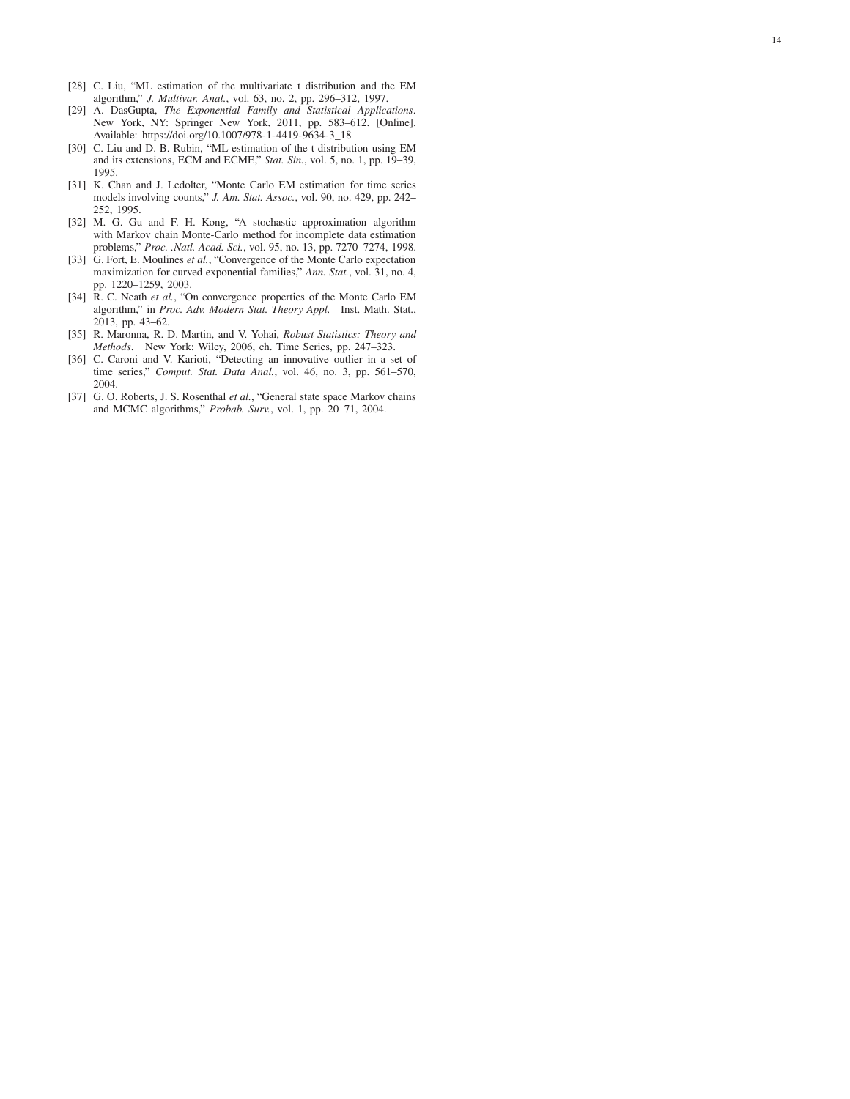- [28] C. Liu, "ML estimation of the multivariate t distribution and the EM algorithm," *J. Multivar. Anal.*, vol. 63, no. 2, pp. 296–312, 1997.
- <span id="page-13-0"></span>[29] A. DasGupta, *The Exponential Family and Statistical Applications* . New York, NY: Springer New York, 2011, pp. 583–612. [Online] . Available: [https://doi.org/10.1007/978-1-4419-9634-3\\_18](https://doi.org/10.1007/978-1-4419-9634-3_18)
- <span id="page-13-1"></span>[30] C. Liu and D. B. Rubin, "ML estimation of the t distribution using EM and its extensions, ECM and ECME," *Stat. Sin.*, vol. 5, no. 1, pp. 19–39, 1995.
- <span id="page-13-2"></span>[31] K. Chan and J. Ledolter, "Monte Carlo EM estimation for time series models involving counts," *J. Am. Stat. Assoc.*, vol. 90, no. 429, pp. 242– 252, 1995.
- [32] M. G. Gu and F. H. Kong, "A stochastic approximation algorithm with Markov chain Monte-Carlo method for incomplete data estimation problems," *Proc. .Natl. Acad. Sci.*, vol. 95, no. 13, pp. 7270–7274, 1998.
- [33] G. Fort, E. Moulines *et al.*, "Convergence of the Monte Carlo expectation maximization for curved exponential families," *Ann. Stat.*, vol. 31, no. 4, pp. 1220–1259, 2003.
- <span id="page-13-3"></span>[34] R. C. Neath *et al.*, "On convergence properties of the Monte Carlo EM algorithm," in *Proc. Adv. Modern Stat. Theory Appl.* Inst. Math. Stat., 2013, pp. 43–62.
- <span id="page-13-4"></span>[35] R. Maronna, R. D. Martin, and V. Yohai, *Robust Statistics: Theory and Methods*. New York: Wiley, 2006, ch. Time Series, pp. 247–323.
- <span id="page-13-5"></span>[36] C. Caroni and V. Karioti, "Detecting an innovative outlier in a set of time series," *Comput. Stat. Data Anal.*, vol. 46, no. 3, pp. 561–570, 2004.
- <span id="page-13-6"></span>[37] G. O. Roberts, J. S. Rosenthal et al., "General state space Markov chains and MCMC algorithms," *Probab. Surv.*, vol. 1, pp. 20–71, 2004.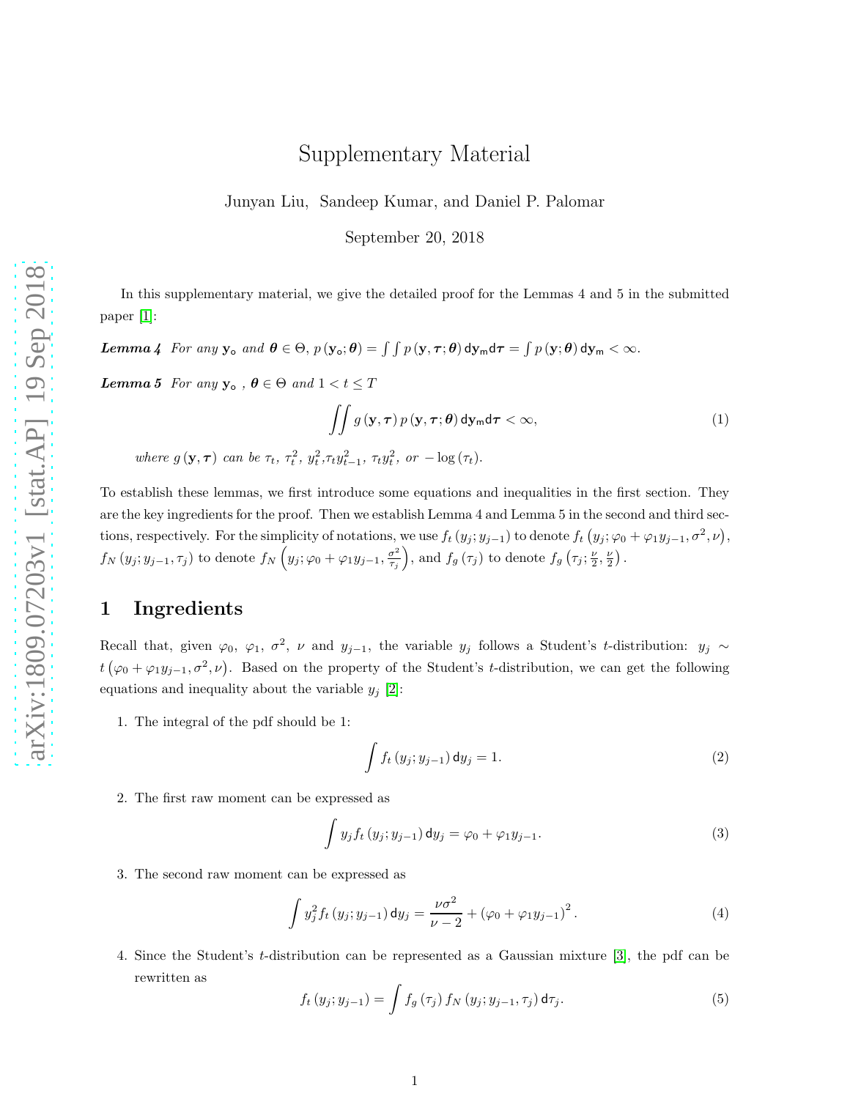# Supplementary Material

Junyan Liu, Sandeep Kumar, and Daniel P. Palomar

September 20, 2018

In this supplementary material, we give the detailed proof for the Lemmas 4 and 5 in the submitted paper [\[1\]](#page-21-1):

Lemma 4 For any  $y_o$  and  $\theta \in \Theta$ ,  $p(y_o; \theta) = \int \int p(y, \tau; \theta) dy_m d\tau = \int p(y; \theta) dy_m < \infty$ .

**Lemma 5** For any  $y_o$ ,  $\theta \in \Theta$  and  $1 < t \leq T$ 

<span id="page-14-1"></span>
$$
\iint g\left(\mathbf{y},\boldsymbol{\tau}\right)p\left(\mathbf{y},\boldsymbol{\tau};\boldsymbol{\theta}\right)d\mathbf{y}_{\mathsf{m}}d\boldsymbol{\tau}<\infty,\tag{1}
$$

where  $g(\mathbf{y}, \boldsymbol{\tau})$  can be  $\tau_t$ ,  $\tau_t^2$ ,  $y_t^2$ ,  $\tau_t y_{t-1}^2$ ,  $\tau_t y_t^2$ , or  $-\log(\tau_t)$ .

To establish these lemmas, we first introduce some equations and inequalities in the first section. They are the key ingredients for the proof. Then we establish Lemma 4 and Lemma 5 in the second and third sections, respectively. For the simplicity of notations, we use  $f_t(y_j; y_{j-1})$  to denote  $f_t(y_j; \varphi_0 + \varphi_1 y_{j-1}, \sigma^2, \nu)$ ,  $f_N(y_j; y_{j-1}, \tau_j)$  to denote  $f_N(y_j; \varphi_0 + \varphi_1 y_{j-1}, \frac{\sigma^2}{\tau_j})$  $\left(\frac{\sigma^2}{\tau_j}\right)$ , and  $f_g\left(\tau_j\right)$  to denote  $f_g\left(\tau_j; \frac{\nu}{2}, \frac{\nu}{2}\right)$ .

### 1 Ingredients

Recall that, given  $\varphi_0$ ,  $\varphi_1$ ,  $\sigma^2$ ,  $\nu$  and  $y_{j-1}$ , the variable  $y_j$  follows a Student's t-distribution:  $y_j \sim$  $t(\varphi_0+\varphi_1y_{j-1},\sigma^2,\nu)$ . Based on the property of the Student's t-distribution, we can get the following equations and inequality about the variable  $y_i$  [\[2\]](#page-21-2):

1. The integral of the pdf should be 1:

<span id="page-14-0"></span>
$$
\int f_t(y_j; y_{j-1}) dy_j = 1.
$$
\n(2)

2. The first raw moment can be expressed as

$$
\int y_j f_t (y_j; y_{j-1}) dy_j = \varphi_0 + \varphi_1 y_{j-1}.
$$
\n(3)

3. The second raw moment can be expressed as

<span id="page-14-2"></span>
$$
\int y_j^2 f_t(y_j; y_{j-1}) dy_j = \frac{\nu \sigma^2}{\nu - 2} + (\varphi_0 + \varphi_1 y_{j-1})^2.
$$
 (4)

4. Since the Student's t-distribution can be represented as a Gaussian mixture [\[3\]](#page-21-0), the pdf can be rewritten as

$$
f_t(y_j; y_{j-1}) = \int f_g(\tau_j) f_N(y_j; y_{j-1}, \tau_j) d\tau_j.
$$
 (5)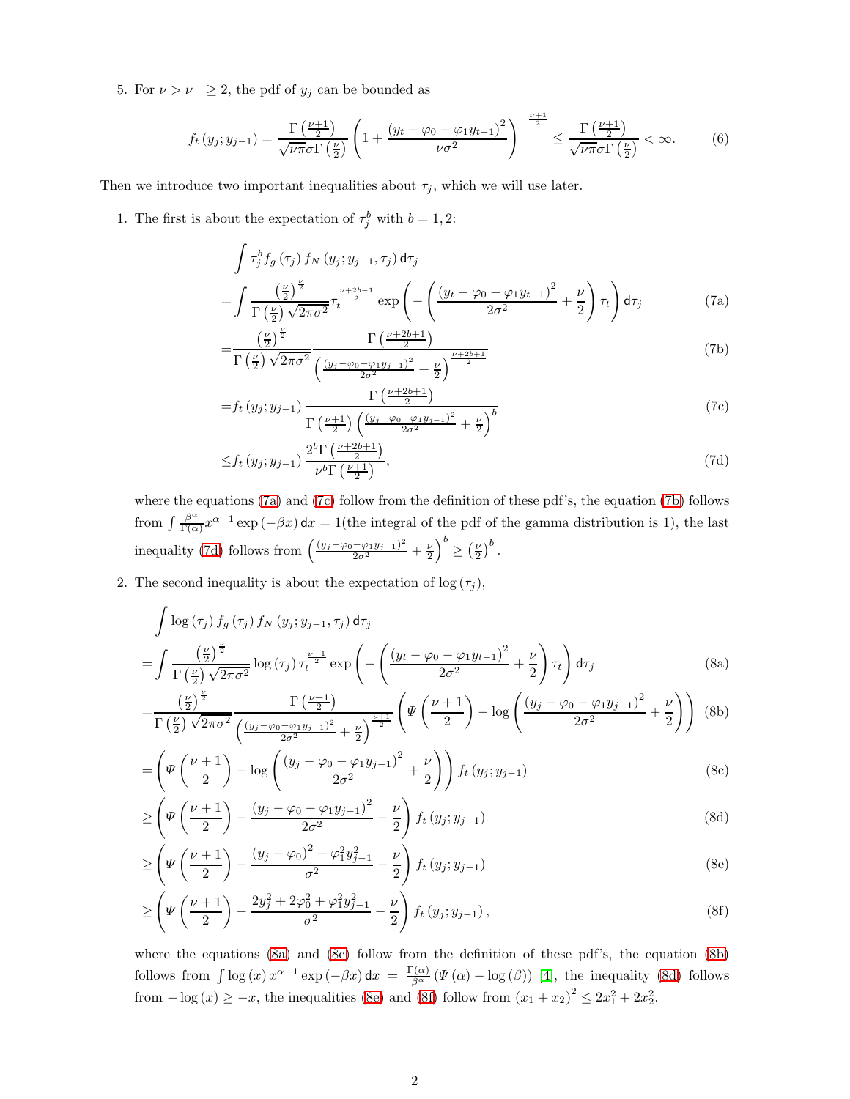5. For  $\nu > \nu^- \geq 2$ , the pdf of  $y_j$  can be bounded as

<span id="page-15-10"></span>
$$
f_t(y_j; y_{j-1}) = \frac{\Gamma\left(\frac{\nu+1}{2}\right)}{\sqrt{\nu \pi} \sigma \Gamma\left(\frac{\nu}{2}\right)} \left(1 + \frac{\left(y_t - \varphi_0 - \varphi_1 y_{t-1}\right)^2}{\nu \sigma^2}\right)^{-\frac{\nu+1}{2}} \le \frac{\Gamma\left(\frac{\nu+1}{2}\right)}{\sqrt{\nu \pi} \sigma \Gamma\left(\frac{\nu}{2}\right)} < \infty. \tag{6}
$$

Then we introduce two important inequalities about  $\tau_j$ , which we will use later.

1. The first is about the expectation of  $\tau_j^b$  with  $b = 1, 2$ :

$$
\int \tau_j^b f_g(\tau_j) f_N(y_j; y_{j-1}, \tau_j) d\tau_j
$$
\n
$$
= \int \frac{\left(\frac{\nu}{2}\right)^{\frac{\nu}{2}}}{\Gamma\left(\frac{\nu}{2}\right) \sqrt{2\pi\sigma^2}} \tau_t^{\frac{\nu+2b-1}{2}} \exp\left(-\left(\frac{\left(y_t - \varphi_0 - \varphi_1 y_{t-1}\right)^2}{2\sigma^2} + \frac{\nu}{2}\right) \tau_t\right) d\tau_j \tag{7a}
$$

<span id="page-15-2"></span><span id="page-15-0"></span>
$$
=\frac{\left(\frac{\nu}{2}\right)^{\frac{\nu}{2}}}{\Gamma\left(\frac{\nu}{2}\right)\sqrt{2\pi\sigma^2}}\frac{\Gamma\left(\frac{\nu+2b+1}{2}\right)}{\left(\frac{\left(y_j-\varphi_0-\varphi_1y_{j-1}\right)^2}{2\sigma^2}+\frac{\nu}{2}\right)^{\frac{\nu+2b+1}{2}}}\tag{7b}
$$

<span id="page-15-1"></span>
$$
=f_t(y_j; y_{j-1}) \frac{\Gamma\left(\frac{\nu+2b+1}{2}\right)}{\Gamma\left(\frac{\nu+1}{2}\right) \left(\frac{(y_j-\varphi_0-\varphi_1y_{j-1})^2}{2\sigma^2}+\frac{\nu}{2}\right)^b}
$$
(7c)

<span id="page-15-6"></span><span id="page-15-4"></span><span id="page-15-3"></span>
$$
\leq f_t\left(y_j; y_{j-1}\right) \frac{2^b \Gamma\left(\frac{\nu+2b+1}{2}\right)}{\nu^b \Gamma\left(\frac{\nu+1}{2}\right)},\tag{7d}
$$

where the equations [\(7a\)](#page-15-0) and [\(7c\)](#page-15-1) follow from the definition of these pdf's, the equation [\(7b\)](#page-15-2) follows from  $\int \frac{\beta^{\alpha}}{\Gamma(\alpha)}$  $\frac{\beta^{\alpha}}{\Gamma(\alpha)}x^{\alpha-1}$  exp  $(-\beta x)$  dx = 1(the integral of the pdf of the gamma distribution is 1), the last inequality [\(7d\)](#page-15-3) follows from  $\left(\frac{(y_j-\varphi_0-\varphi_1y_{j-1})^2}{2\sigma^2}+\frac{\nu}{2}\right)^b \geq \left(\frac{\nu}{2}\right)^b$ .

2. The second inequality is about the expectation of  $\log(\tau_j)$ ,

$$
\int \log \left(\tau_{j}\right) f_{g}\left(\tau_{j}\right) f_{N}\left(y_{j}; y_{j-1}, \tau_{j}\right) d\tau_{j}
$$
\n
$$
= \int \frac{\left(\frac{\nu}{2}\right)^{\frac{\nu}{2}}}{\Gamma\left(\frac{\nu}{2}\right) \sqrt{2\pi\sigma^{2}}} \log \left(\tau_{j}\right) \tau_{t}^{\frac{\nu-1}{2}} \exp \left(-\left(\frac{\left(y_{t} - \varphi_{0} - \varphi_{1} y_{t-1}\right)^{2}}{2\sigma^{2}} + \frac{\nu}{2}\right) \tau_{t}\right) d\tau_{j}
$$
\n(8a)

$$
=\frac{\left(\frac{\nu}{2}\right)^{\frac{\nu}{2}}}{\Gamma\left(\frac{\nu}{2}\right)\sqrt{2\pi\sigma^2}}\frac{\Gamma\left(\frac{\nu+1}{2}\right)}{\left(\frac{\left(y_j-\varphi_0-\varphi_1y_{j-1}\right)^2}{2\sigma^2}+\frac{\nu}{2}\right)^{\frac{\nu+1}{2}}}\left(\Psi\left(\frac{\nu+1}{2}\right)-\log\left(\frac{\left(y_j-\varphi_0-\varphi_1y_{j-1}\right)^2}{2\sigma^2}+\frac{\nu}{2}\right)\right)
$$
(8b)

<span id="page-15-5"></span>
$$
= \left(\Psi\left(\frac{\nu+1}{2}\right) - \log\left(\frac{\left(y_j - \varphi_0 - \varphi_1 y_{j-1}\right)^2}{2\sigma^2} + \frac{\nu}{2}\right)\right) f_t\left(y_j; y_{j-1}\right) \tag{8c}
$$

$$
\geq \left(\Psi\left(\frac{\nu+1}{2}\right) - \frac{\left(y_j - \varphi_0 - \varphi_1 y_{j-1}\right)^2}{2\sigma^2} - \frac{\nu}{2}\right) f_t\left(y_j; y_{j-1}\right) \tag{8d}
$$

<span id="page-15-9"></span><span id="page-15-8"></span><span id="page-15-7"></span>
$$
\geq \left(\Psi\left(\frac{\nu+1}{2}\right) - \frac{\left(y_j - \varphi_0\right)^2 + \varphi_1^2 y_{j-1}^2}{\sigma^2} - \frac{\nu}{2}\right) f_t\left(y_j; y_{j-1}\right) \tag{8e}
$$

$$
\geq \left(\Psi\left(\frac{\nu+1}{2}\right) - \frac{2y_j^2 + 2\varphi_0^2 + \varphi_1^2 y_{j-1}^2}{\sigma^2} - \frac{\nu}{2}\right) f_t\left(y_j; y_{j-1}\right),\tag{8f}
$$

where the equations [\(8a\)](#page-15-4) and [\(8c\)](#page-15-5) follow from the definition of these pdf's, the equation [\(8b\)](#page-15-6) follows from  $\int \log(x) x^{\alpha-1} \exp(-\beta x) dx = \frac{\Gamma(\alpha)}{\beta^{\alpha}} (\Psi(\alpha) - \log(\beta))$  [\[4\]](#page-21-3), the inequality [\(8d\)](#page-15-7) follows from  $-\log(x) \ge -x$ , the inequalities [\(8e\)](#page-15-8) and [\(8f\)](#page-15-9) follow from  $(x_1 + x_2)^2 \le 2x_1^2 + 2x_2^2$ .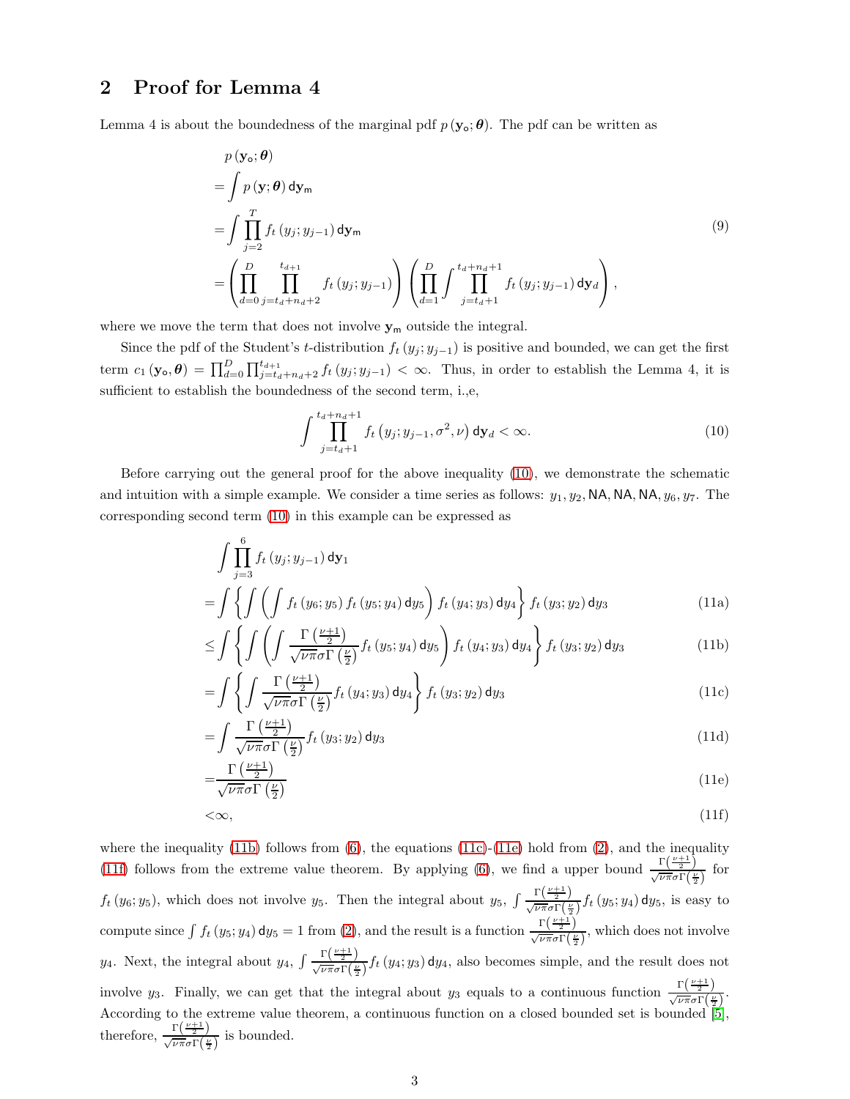# 2 Proof for Lemma 4

=

Lemma 4 is about the boundedness of the marginal pdf  $p(\mathbf{y}_{\circ}; \boldsymbol{\theta})$ . The pdf can be written as

$$
p(\mathbf{y}_{\mathbf{o}}; \boldsymbol{\theta})
$$
\n
$$
= \int p(\mathbf{y}; \boldsymbol{\theta}) d\mathbf{y}_{\mathsf{m}}
$$
\n
$$
= \int \prod_{j=2}^{T} f_t(y_j; y_{j-1}) d\mathbf{y}_{\mathsf{m}}
$$
\n
$$
= \left(\prod_{d=0}^{D} \prod_{j=t_d+n_d+2}^{t_{d+1}} f_t(y_j; y_{j-1})\right) \left(\prod_{d=1}^{D} \int \prod_{j=t_d+1}^{t_d+n_d+1} f_t(y_j; y_{j-1}) d\mathbf{y}_{d}\right),
$$
\n(9)

where we move the term that does not involve  $y_m$  outside the integral.

Since the pdf of the Student's t-distribution  $f_t(y_j; y_{j-1})$  is positive and bounded, we can get the first term  $c_1(\mathbf{y}_0, \boldsymbol{\theta}) = \prod_{d=0}^D \prod_{j=t_d+n_d+2}^{t_{d+1}} f_t(y_j; y_{j-1}) < \infty$ . Thus, in order to establish the Lemma 4, it is sufficient to establish the boundedness of the second term, i.,e,

<span id="page-16-2"></span><span id="page-16-1"></span><span id="page-16-0"></span>
$$
\int_{j=t_d+1}^{t_d+n_d+1} f_t(y_j; y_{j-1}, \sigma^2, \nu) \, \mathrm{d}y_d < \infty. \tag{10}
$$

Before carrying out the general proof for the above inequality [\(10\)](#page-16-0), we demonstrate the schematic and intuition with a simple example. We consider a time series as follows:  $y_1, y_2, \text{NA}, \text{NA}, \text{NA}, \text{NA}, y_6, y_7$ . The corresponding second term [\(10\)](#page-16-0) in this example can be expressed as

$$
\int \prod_{j=3}^{6} f_t(y_j; y_{j-1}) \, dy_1
$$
\n
$$
= \int \left\{ \int \left( \int f_t(y_6; y_5) f_t(y_5; y_4) \, dy_5 \right) f_t(y_4; y_3) \, dy_4 \right\} f_t(y_3; y_2) \, dy_3 \tag{11a}
$$

$$
\leq \int \left\{ \int \left( \int \frac{\Gamma\left(\frac{\nu+1}{2}\right)}{\sqrt{\nu \pi} \sigma \Gamma\left(\frac{\nu}{2}\right)} f_t\left(y_5; y_4\right) dy_5 \right) f_t\left(y_4; y_3\right) dy_4 \right\} f_t\left(y_3; y_2\right) dy_3 \tag{11b}
$$

$$
= \int \left\{ \int \frac{\Gamma\left(\frac{\nu+1}{2}\right)}{\sqrt{\nu \pi} \sigma \Gamma\left(\frac{\nu}{2}\right)} f_t\left(y_4; y_3\right) \mathrm{d}y_4 \right\} f_t\left(y_3; y_2\right) \mathrm{d}y_3 \tag{11c}
$$

$$
=\int \frac{\Gamma\left(\frac{\nu+1}{2}\right)}{\sqrt{\nu \pi} \sigma \Gamma\left(\frac{\nu}{2}\right)} f_t\left(y_3; y_2\right) \mathrm{d}y_3\tag{11d}
$$

<span id="page-16-4"></span><span id="page-16-3"></span>
$$
=\frac{\Gamma\left(\frac{\nu+1}{2}\right)}{\sqrt{\nu\pi}\sigma\Gamma\left(\frac{\nu}{2}\right)}\tag{11e}
$$

$$
\langle \infty, \tag{11f}
$$

where the inequality [\(11b\)](#page-16-1) follows from  $(6)$ , the equations [\(11c\)](#page-16-2)-[\(11e\)](#page-16-3) hold from [\(2\)](#page-14-0), and the inequality [\(11f\)](#page-16-4) follows from the extreme value theorem. By applying [\(6\)](#page-15-10), we find a upper bound  $\frac{\Gamma(\frac{\nu+1}{2})}{\sqrt{\nu \pi} \sigma \Gamma(\frac{\nu}{2})}$  for  $f_t(y_6; y_5)$ , which does not involve  $y_5$ . Then the integral about  $y_5$ ,  $\int \frac{\Gamma(\frac{\nu+1}{2})}{\sqrt{\nu \pi} \sigma \Gamma(\frac{\nu}{2})} f_t(y_5; y_4) dy_5$ , is easy to compute since  $\int f_t(y_5; y_4) dy_5 = 1$  from [\(2\)](#page-14-0), and the result is a function  $\frac{\Gamma(\frac{\nu+1}{2})}{\sqrt{\nu \pi} \sigma \Gamma(\frac{\nu}{2})}$ , which does not involve y<sub>4</sub>. Next, the integral about y<sub>4</sub>,  $\int \frac{\Gamma(\frac{\nu+1}{2})}{\sqrt{\nu \pi} \sigma \Gamma(\frac{\nu}{2})} f_t(y_4; y_3) dy_4$ , also becomes simple, and the result does not involve  $y_3$ . Finally, we can get that the integral about  $y_3$  equals to a continuous function  $\frac{\Gamma(\frac{\nu+1}{2})}{\sqrt{\nu \pi} \sigma \Gamma(\frac{\nu}{2})}$ . According to the extreme value theorem, a continuous function on a closed bounded set is bounded  $[5]$ , therefore,  $\frac{\Gamma(\frac{\nu+1}{2})}{\sqrt{\nu \pi} \sigma \Gamma(\frac{\nu}{2})}$  is bounded.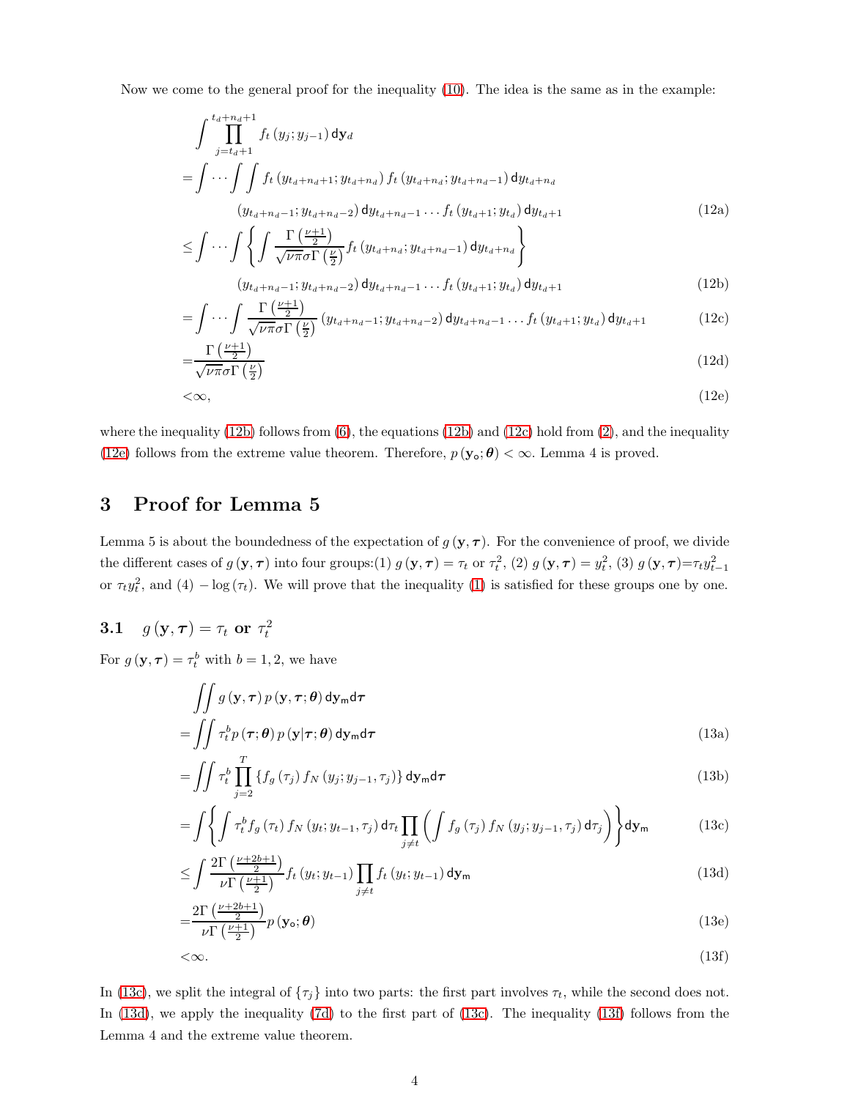Now we come to the general proof for the inequality [\(10\)](#page-16-0). The idea is the same as in the example:

$$
\int_{j=t_d+1}^{t_d+n_d+1} f_t(y_j; y_{j-1}) \, d\mathbf{y}_d
$$
\n
$$
= \int \cdots \int_{j}^{t_d+n_d+1} f_t(y_{t_d+n_d+1}; y_{t_d+n_d}) f_t(y_{t_d+n_d}; y_{t_d+n_d-1}) \, dy_{t_d+n_d}
$$
\n
$$
(y_{t_d+n_d-1}; y_{t_d+n_d-2}) \, dy_{t_d+n_d-1} \cdots f_t(y_{t_d+1}; y_{t_d}) \, dy_{t_d+1}
$$
\n
$$
(12a)
$$

$$
\leq \int \cdots \int \left\{ \int \frac{\Gamma\left(\frac{\nu+1}{2}\right)}{\sqrt{\nu \pi} \sigma \Gamma\left(\frac{\nu}{2}\right)} f_t \left(y_{t_d+n_d}; y_{t_d+n_d-1}\right) \mathrm{d}y_{t_d+n_d} \right\}
$$
\n
$$
\left(y_{t_d+n_d-1}; y_{t_d+n_d-2}\right) \mathrm{d}y_{t_d+n_d-1} \cdots f_t \left(y_{t_d+1}; y_{t_d}\right) \mathrm{d}y_{t_d+1} \tag{12b}
$$

<span id="page-17-6"></span><span id="page-17-2"></span><span id="page-17-1"></span><span id="page-17-0"></span>
$$
\int \cdots \int \frac{\Gamma\left(\frac{\nu+1}{2}\right)}{\sqrt{\nu \pi} \sigma \Gamma\left(\frac{\nu}{2}\right)} \left(y_{t_d+n_d-1}; y_{t_d+n_d-2}\right) \mathrm{d}y_{t_d+n_d-1} \ldots f_t\left(y_{t_d+1}; y_{t_d}\right) \mathrm{d}y_{t_d+1} \tag{12c}
$$

$$
=\frac{\Gamma\left(\frac{\nu+1}{2}\right)}{\sqrt{\nu\pi}\sigma\Gamma\left(\frac{\nu}{2}\right)}\tag{12d}
$$

$$
\langle 2 \rangle
$$
\n
$$
\langle 2 \rangle
$$
\n
$$
\langle 12 \mathbf{e} \rangle
$$
\n(12e)

where the inequality [\(12b\)](#page-17-0) follows from  $(6)$ , the equations (12b) and [\(12c\)](#page-17-1) hold from [\(2\)](#page-14-0), and the inequality [\(12e\)](#page-17-2) follows from the extreme value theorem. Therefore,  $p(\mathbf{y_o}; \boldsymbol{\theta}) < \infty$ . Lemma 4 is proved.

## 3 Proof for Lemma 5

=

Lemma 5 is about the boundedness of the expectation of  $g(\mathbf{y},\boldsymbol{\tau})$ . For the convenience of proof, we divide the different cases of  $g(\mathbf{y}, \boldsymbol{\tau})$  into four groups:(1)  $g(\mathbf{y}, \boldsymbol{\tau}) = \tau_t$  or  $\tau_t^2$ , (2)  $g(\mathbf{y}, \boldsymbol{\tau}) = y_t^2$ , (3)  $g(\mathbf{y}, \boldsymbol{\tau}) = \tau_t y_{t-1}^2$ or  $\tau_t y_t^2$ , and (4)  $-\log(\tau_t)$ . We will prove that the inequality [\(1\)](#page-14-1) is satisfied for these groups one by one.

# 3.1  $g(\mathbf{y}, \boldsymbol{\tau}) = \tau_t$  or  $\tau_t^2$

For  $g(\mathbf{y}, \boldsymbol{\tau}) = \tau_t^b$  with  $b = 1, 2$ , we have

$$
\iint g(\mathbf{y}, \boldsymbol{\tau}) p(\mathbf{y}, \boldsymbol{\tau}; \boldsymbol{\theta}) d\mathbf{y}_{\mathsf{m}} d\boldsymbol{\tau} = \iint \tau_t^b p(\boldsymbol{\tau}; \boldsymbol{\theta}) p(\mathbf{y} | \boldsymbol{\tau}; \boldsymbol{\theta}) d\mathbf{y}_{\mathsf{m}} d\boldsymbol{\tau}
$$
\n(13a)

$$
= \iint \tau_t^b \prod_{j=2}^T \left\{ f_g(\tau_j) \, f_N\left(y_j; y_{j-1}, \tau_j\right) \right\} \mathrm{d}\mathbf{y}_m \mathrm{d}\boldsymbol{\tau} \tag{13b}
$$

<span id="page-17-3"></span>
$$
= \int \left\{ \int \tau_t^b f_g(\tau_t) f_N(y_t; y_{t-1}, \tau_j) d\tau_t \prod_{j \neq t} \left( \int f_g(\tau_j) f_N(y_j; y_{j-1}, \tau_j) d\tau_j \right) \right\} d\mathbf{y}_m \tag{13c}
$$

<span id="page-17-4"></span>
$$
\leq \int \frac{2\Gamma\left(\frac{\nu+2b+1}{2}\right)}{\nu \Gamma\left(\frac{\nu+1}{2}\right)} f_t\left(y_t; y_{t-1}\right) \prod_{j \neq t} f_t\left(y_t; y_{t-1}\right) \mathrm{d} \mathbf{y}_m \tag{13d}
$$

$$
=\frac{2\Gamma\left(\frac{\nu+2b+1}{2}\right)}{\nu\Gamma\left(\frac{\nu+1}{2}\right)}p\left(\mathbf{y}_\mathbf{o};\boldsymbol{\theta}\right) \tag{13e}
$$

<span id="page-17-5"></span>
$$
\langle \infty. \tag{13f}
$$

In [\(13c\)](#page-17-3), we split the integral of  $\{\tau_j\}$  into two parts: the first part involves  $\tau_t$ , while the second does not. In [\(13d\)](#page-17-4), we apply the inequality [\(7d\)](#page-15-3) to the first part of [\(13c\)](#page-17-3). The inequality [\(13f\)](#page-17-5) follows from the Lemma 4 and the extreme value theorem.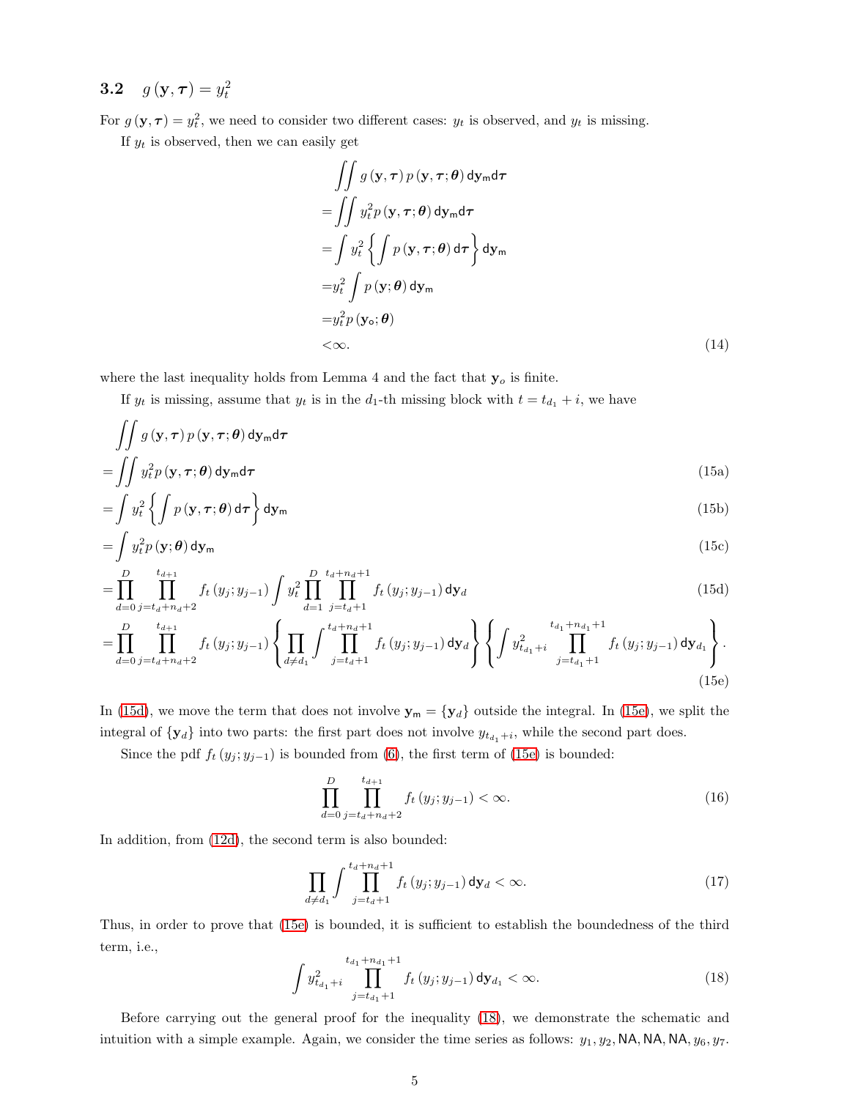# 3.2  $g(\mathbf{y}, \boldsymbol{\tau}) = y_t^2$

For  $g(\mathbf{y}, \boldsymbol{\tau}) = y_t^2$ , we need to consider two different cases:  $y_t$  is observed, and  $y_t$  is missing.

If  $y_t$  is observed, then we can easily get

$$
\iint g(\mathbf{y}, \boldsymbol{\tau}) p(\mathbf{y}, \boldsymbol{\tau}; \boldsymbol{\theta}) d\mathbf{y}_{m} d\boldsymbol{\tau} \n= \iint y_{t}^{2} p(\mathbf{y}, \boldsymbol{\tau}; \boldsymbol{\theta}) d\mathbf{y}_{m} d\boldsymbol{\tau} \n= \int y_{t}^{2} \left\{ \int p(\mathbf{y}, \boldsymbol{\tau}; \boldsymbol{\theta}) d\boldsymbol{\tau} \right\} d\mathbf{y}_{m} \n= y_{t}^{2} \int p(\mathbf{y}; \boldsymbol{\theta}) d\mathbf{y}_{m} \n= y_{t}^{2} p(\mathbf{y}_{0}; \boldsymbol{\theta}) \n< \infty.
$$
\n(14)

where the last inequality holds from Lemma 4 and the fact that  $y_o$  is finite.

If  $y_t$  is missing, assume that  $y_t$  is in the  $d_1$ -th missing block with  $t = t_{d_1} + i$ , we have

$$
\iint g\left( \mathbf{y},\boldsymbol{\tau}\right) p\left( \mathbf{y},\boldsymbol{\tau};\boldsymbol{\theta}\right) \mathsf{d} \mathbf{y}_\mathsf{m} \mathsf{d} \boldsymbol{\tau}
$$

$$
= \iint y_t^2 p(\mathbf{y}, \boldsymbol{\tau}; \boldsymbol{\theta}) \, \mathrm{d}\mathbf{y}_m \mathrm{d}\boldsymbol{\tau} \tag{15a}
$$

$$
= \int y_t^2 \left\{ \int p\left(\mathbf{y}, \boldsymbol{\tau}; \boldsymbol{\theta}\right) d\boldsymbol{\tau} \right\} d\mathbf{y}_m \tag{15b}
$$

$$
= \int y_t^2 p(\mathbf{y}; \boldsymbol{\theta}) \, \mathrm{d}\mathbf{y}_\mathsf{m} \tag{15c}
$$

$$
= \prod_{d=0}^{D} \prod_{j=t_d+n_d+2}^{t_{d+1}} f_t(y_j; y_{j-1}) \int y_t^2 \prod_{d=1}^{D} \prod_{j=t_d+1}^{t_d+n_d+1} f_t(y_j; y_{j-1}) \, \mathrm{d} \mathbf{y}_d \tag{15d}
$$

$$
= \prod_{d=0}^{D} \prod_{j=t_d+n_d+2}^{t_{d+1}} f_t(y_j; y_{j-1}) \left\{ \prod_{d \neq d_1} \int \prod_{j=t_d+1}^{t_d+n_d+1} f_t(y_j; y_{j-1}) \, dy_d \right\} \left\{ \int y_{t_{d_1}+i}^2 \prod_{j=t_{d_1}+1}^{t_{d_1}+n_{d_1}+1} f_t(y_j; y_{j-1}) \, dy_{d_1} \right\}.
$$
\n(15e)

In [\(15d\)](#page-18-0), we move the term that does not involve  $y_m = \{y_d\}$  outside the integral. In [\(15e\)](#page-18-1), we split the integral of  $\{y_d\}$  into two parts: the first part does not involve  $y_{t_{d_1}+i}$ , while the second part does.

Since the pdf  $f_t(y_j; y_{j-1})$  is bounded from [\(6\)](#page-15-10), the first term of [\(15e\)](#page-18-1) is bounded:

<span id="page-18-1"></span><span id="page-18-0"></span>
$$
\prod_{d=0}^{D} \prod_{j=t_d+n_d+2}^{t_{d+1}} f_t(y_j; y_{j-1}) < \infty. \tag{16}
$$

In addition, from [\(12d\)](#page-17-6), the second term is also bounded:

$$
\prod_{d \neq d_1} \int \prod_{j=t_d+1}^{t_d+n_d+1} f_t(y_j; y_{j-1}) \, \mathrm{d} \mathbf{y}_d < \infty. \tag{17}
$$

Thus, in order to prove that [\(15e\)](#page-18-1) is bounded, it is sufficient to establish the boundedness of the third term, i.e.,

<span id="page-18-2"></span>
$$
\int y_{t_{d_1}+i}^2 \prod_{j=t_{d_1}+1}^{t_{d_1}+n_{d_1}+1} f_t(y_j; y_{j-1}) \, \mathrm{d}y_{d_1} < \infty. \tag{18}
$$

Before carrying out the general proof for the inequality [\(18\)](#page-18-2), we demonstrate the schematic and intuition with a simple example. Again, we consider the time series as follows:  $y_1, y_2, \text{NA}, \text{NA}, \text{NA}, y_6, y_7$ .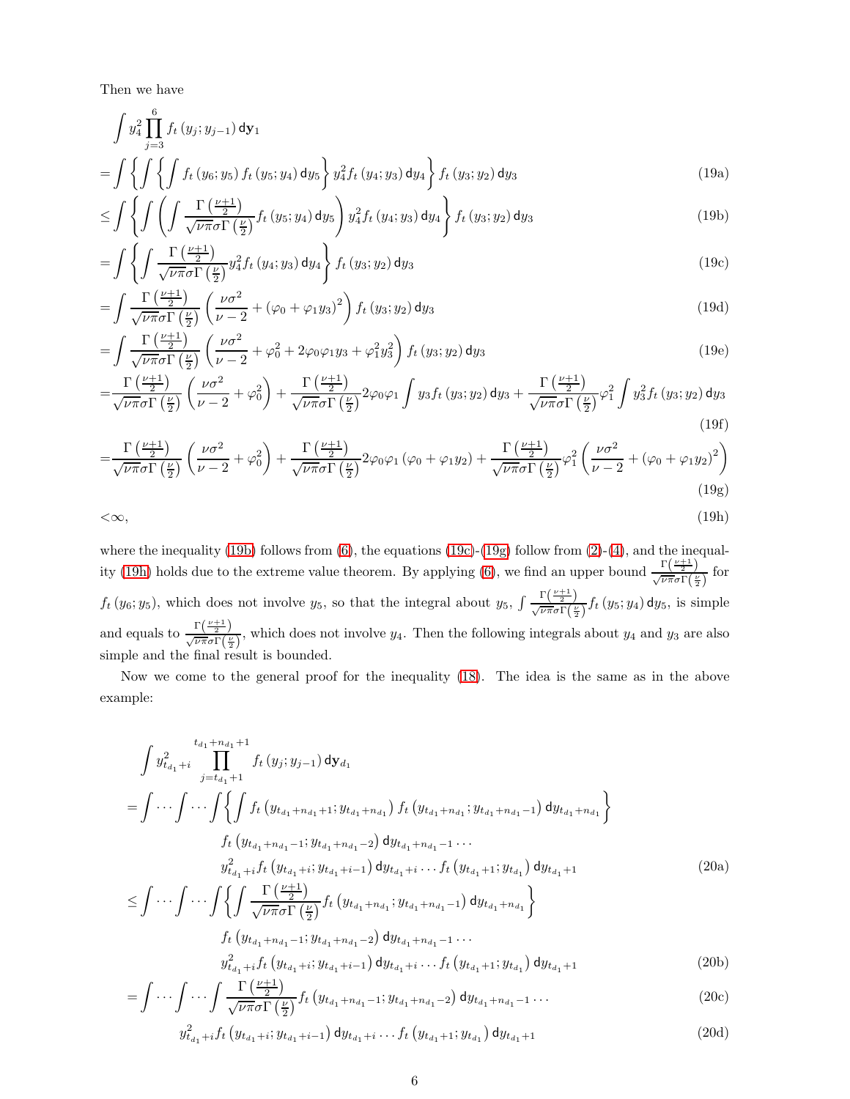Then we have

$$
\int y_4^2 \prod_{j=3}^6 f_t(y_j; y_{j-1}) dy_1
$$
\n
$$
= \int \left\{ \int \left\{ \int f_t(y_6; y_5) f_t(y_5; y_4) dy_5 \right\} y_4^2 f_t(y_4; y_3) dy_4 \right\} f_t(y_3; y_2) dy_3
$$
\n(19a)

<span id="page-19-0"></span>
$$
\leq \int \left\{ \int \left( \int \frac{\Gamma\left(\frac{\nu+1}{2}\right)}{\sqrt{\nu \pi} \sigma \Gamma\left(\frac{\nu}{2}\right)} f_t\left(y_5; y_4\right) dy_5 \right) y_4^2 f_t\left(y_4; y_3\right) dy_4 \right\} f_t\left(y_3; y_2\right) dy_3 \tag{19b}
$$

<span id="page-19-1"></span>
$$
= \int \left\{ \int \frac{\Gamma\left(\frac{\nu+1}{2}\right)}{\sqrt{\nu \pi} \sigma \Gamma\left(\frac{\nu}{2}\right)} y_4^2 f_t\left(y_4; y_3\right) \mathrm{d}y_4 \right\} f_t\left(y_3; y_2\right) \mathrm{d}y_3 \tag{19c}
$$

$$
= \int \frac{\Gamma\left(\frac{\nu+1}{2}\right)}{\sqrt{\nu \pi} \sigma \Gamma\left(\frac{\nu}{2}\right)} \left(\frac{\nu \sigma^2}{\nu - 2} + (\varphi_0 + \varphi_1 y_3)^2\right) f_t\left(y_3; y_2\right) \mathrm{d}y_3 \tag{19d}
$$

$$
= \int \frac{\Gamma\left(\frac{\nu+1}{2}\right)}{\sqrt{\nu \pi} \sigma \Gamma\left(\frac{\nu}{2}\right)} \left(\frac{\nu \sigma^2}{\nu-2} + \varphi_0^2 + 2\varphi_0 \varphi_1 y_3 + \varphi_1^2 y_3^2\right) f_t\left(y_3; y_2\right) \mathrm{d}y_3 \tag{19e}
$$

$$
=\frac{\Gamma\left(\frac{\nu+1}{2}\right)}{\sqrt{\nu\pi}\sigma\Gamma\left(\frac{\nu}{2}\right)}\left(\frac{\nu\sigma^2}{\nu-2}+\varphi_0^2\right)+\frac{\Gamma\left(\frac{\nu+1}{2}\right)}{\sqrt{\nu\pi}\sigma\Gamma\left(\frac{\nu}{2}\right)}2\varphi_0\varphi_1\int y_3f_t\left(y_3;y_2\right)\mathrm{d}y_3+\frac{\Gamma\left(\frac{\nu+1}{2}\right)}{\sqrt{\nu\pi}\sigma\Gamma\left(\frac{\nu}{2}\right)}\varphi_1^2\int y_3^2f_t\left(y_3;y_2\right)\mathrm{d}y_3\tag{19f}
$$

$$
=\frac{\Gamma\left(\frac{\nu+1}{2}\right)}{\sqrt{\nu\pi}\sigma\Gamma\left(\frac{\nu}{2}\right)}\left(\frac{\nu\sigma^2}{\nu-2}+\varphi_0^2\right)+\frac{\Gamma\left(\frac{\nu+1}{2}\right)}{\sqrt{\nu\pi}\sigma\Gamma\left(\frac{\nu}{2}\right)}2\varphi_0\varphi_1\left(\varphi_0+\varphi_1y_2\right)+\frac{\Gamma\left(\frac{\nu+1}{2}\right)}{\sqrt{\nu\pi}\sigma\Gamma\left(\frac{\nu}{2}\right)}\varphi_1^2\left(\frac{\nu\sigma^2}{\nu-2}+(\varphi_0+\varphi_1y_2)^2\right)\tag{19g}
$$

<span id="page-19-3"></span><span id="page-19-2"></span>
$$
\langle \infty, \tag{19h}
$$

where the inequality [\(19b\)](#page-19-0) follows from  $(6)$ , the equations [\(19c\)](#page-19-1)-[\(19g\)](#page-19-2) follow from [\(2\)](#page-14-0)-[\(4\)](#page-14-2), and the inequal-ity [\(19h\)](#page-19-3) holds due to the extreme value theorem. By applying [\(6\)](#page-15-10), we find an upper bound  $\frac{\Gamma(\frac{\nu+1}{2})}{\sqrt{\nu \pi} \sigma \Gamma(\frac{\nu}{2})}$  for  $f_t(y_6; y_5)$ , which does not involve  $y_5$ , so that the integral about  $y_5$ ,  $\int \frac{\Gamma(\frac{\nu+1}{2})}{\sqrt{\nu \pi} \sigma \Gamma(\frac{\nu}{2})} f_t(y_5; y_4) dy_5$ , is simple and equals to  $\frac{\Gamma(\frac{\nu+1}{2})}{\sqrt{\nu\pi}\sigma\Gamma(\frac{\nu}{2})}$ , which does not involve  $y_4$ . Then the following integrals about  $y_4$  and  $y_3$  are also simple and the final result is bounded.

Now we come to the general proof for the inequality [\(18\)](#page-18-2). The idea is the same as in the above example:

$$
\int y_{t_{d_1}+i}^{2} \prod_{j=t_{d_1}+1}^{t_{d_1}+n_{d_1}+1} f_t(y_j; y_{j-1}) dy_{d_1}
$$
\n
$$
= \int \cdots \int \cdots \int \left\{ \int f_t(y_{t_{d_1}+n_{d_1}+1}; y_{t_{d_1}+n_{d_1}}) f_t(y_{t_{d_1}+n_{d_1}}; y_{t_{d_1}+n_{d_1}-1}) dy_{t_{d_1}+n_{d_1}} \right\}
$$
\n
$$
f_t(y_{t_{d_1}+n_{d_1}-1}; y_{t_{d_1}+n_{d_1}-2}) dy_{t_{d_1}+n_{d_1}-1} \cdots
$$
\n
$$
y_{t_{d_1}+i}^{2} f_t(y_{t_{d_1}+i}; y_{t_{d_1}+i-1}) dy_{t_{d_1}+i} \cdots f_t(y_{t_{d_1}+1}; y_{t_{d_1}}) dy_{t_{d_1}+1}
$$
\n
$$
\leq \int \cdots \int \cdots \int \left\{ \int \frac{\Gamma(\frac{\nu+1}{2})}{\sqrt{\nu \pi} \sigma \Gamma(\frac{\nu}{2})} f_t(y_{t_{d_1}+n_{d_1}}; y_{t_{d_1}+n_{d_1}-1}) dy_{t_{d_1}+n_{d_1}} \right\}
$$
\n
$$
f_t(y_{t_{d_1}+n_{d_1}-1}; y_{t_{d_1}+n_{d_1}-2}) dy_{t_{d_1}+n_{d_1}-1} \cdots
$$
\n
$$
y_{t_{d_1}+i}^{2} f_t(y_{t_{d_1}+i}; y_{t_{d_1}+i-1}) dy_{t_{d_1}+i} \cdots f_t(y_{t_{d_1}+1}; y_{t_{d_1}}) dy_{t_{d_1}+1}
$$
\n(20b)

$$
= \int \cdots \int \cdots \int \frac{\Gamma\left(\frac{\nu+1}{2}\right)}{\sqrt{\nu \pi} \sigma \Gamma\left(\frac{\nu}{2}\right)} f_t \left(y_{t_{d_1}+n_{d_1}-1}; y_{t_{d_1}+n_{d_1}-2}\right) dy_{t_{d_1}+n_{d_1}-1} \cdots \tag{20c}
$$

<span id="page-19-5"></span><span id="page-19-4"></span>
$$
y_{t_{d_1}+i}^2 f_t \left( y_{t_{d_1}+i}, y_{t_{d_1}+i-1} \right) \mathrm{d}y_{t_{d_1}+i} \dots f_t \left( y_{t_{d_1}+1}; y_{t_{d_1}} \right) \mathrm{d}y_{t_{d_1}+1} \tag{20d}
$$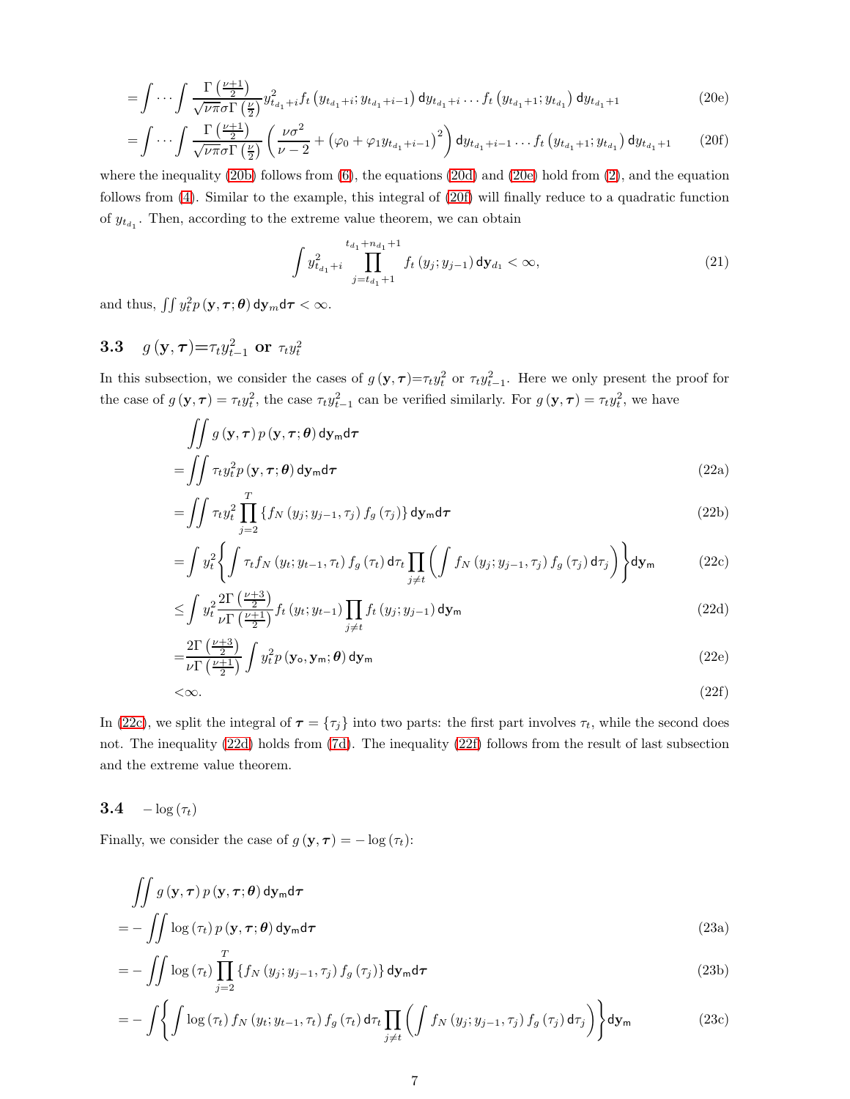$$
= \int \cdots \int \frac{\Gamma\left(\frac{\nu+1}{2}\right)}{\sqrt{\nu \pi} \sigma \Gamma\left(\frac{\nu}{2}\right)} y_{t_{d_1}+i}^2 f_t \left(y_{t_{d_1}+i}; y_{t_{d_1}+i-1}\right) dy_{t_{d_1}+i} \dots f_t \left(y_{t_{d_1}+1}; y_{t_{d_1}}\right) dy_{t_{d_1}+1} \tag{20e}
$$

$$
= \int \cdots \int \frac{\Gamma\left(\frac{\nu+1}{2}\right)}{\sqrt{\nu \pi} \sigma \Gamma\left(\frac{\nu}{2}\right)} \left(\frac{\nu \sigma^2}{\nu - 2} + \left(\varphi_0 + \varphi_1 y_{t_{d_1} + i - 1}\right)^2\right) dy_{t_{d_1} + i - 1} \cdots f_t\left(y_{t_{d_1} + 1}; y_{t_{d_1}}\right) dy_{t_{d_1} + 1} \qquad (20f)
$$

where the inequality [\(20b\)](#page-19-4) follows from  $(6)$ , the equations [\(20d\)](#page-19-5) and [\(20e\)](#page-20-0) hold from [\(2\)](#page-14-0), and the equation follows from [\(4\)](#page-14-2). Similar to the example, this integral of [\(20f\)](#page-20-1) will finally reduce to a quadratic function of  $y_{t_{d_1}}$ . Then, according to the extreme value theorem, we can obtain

<span id="page-20-2"></span><span id="page-20-1"></span><span id="page-20-0"></span>
$$
\int y_{t_{d_1}+i}^2 \prod_{j=t_{d_1}+1}^{t_{d_1}+n_{d_1}+1} f_t(y_j; y_{j-1}) \, \mathrm{d}y_{d_1} < \infty,\tag{21}
$$

and thus,  $\iint y_t^2 p(\mathbf{y}, \boldsymbol{\tau}; \boldsymbol{\theta}) \, \mathrm{d} \mathbf{y}_m \mathrm{d} \boldsymbol{\tau} < \infty.$ 

# 3.3  $g(\mathbf{y}, \tau) = \tau_t y_{t-1}^2 \text{ or } \tau_t y_t^2$

In this subsection, we consider the cases of  $g(y, \tau) = \tau_t y_t^2$  or  $\tau_t y_{t-1}^2$ . Here we only present the proof for the case of  $g(\mathbf{y}, \boldsymbol{\tau}) = \tau_t y_t^2$ , the case  $\tau_t y_{t-1}^2$  can be verified similarly. For  $g(\mathbf{y}, \boldsymbol{\tau}) = \tau_t y_t^2$ , we have

$$
\iint g(\mathbf{y}, \boldsymbol{\tau}) p(\mathbf{y}, \boldsymbol{\tau}; \boldsymbol{\theta}) d\mathbf{y}_{\mathsf{m}} d\boldsymbol{\tau}
$$
\n
$$
= \iint \tau_{t} y_{t}^{2} p(\mathbf{y}, \boldsymbol{\tau}; \boldsymbol{\theta}) d\mathbf{y}_{\mathsf{m}} d\boldsymbol{\tau}
$$
\n(22a)

$$
= \iint \tau_t y_t^2 \prod_{j=2}^T \left\{ f_N \left( y_j; y_{j-1}, \tau_j \right) f_g \left( \tau_j \right) \right\} \mathrm{d} \mathbf{y}_m \mathrm{d} \tau \tag{22b}
$$

$$
= \int y_t^2 \left\{ \int \tau_t f_N \left( y_t; y_{t-1}, \tau_t \right) f_g \left( \tau_t \right) \mathrm{d}\tau_t \prod_{j \neq t} \left( \int f_N \left( y_j; y_{j-1}, \tau_j \right) f_g \left( \tau_j \right) \mathrm{d}\tau_j \right) \right\} \mathrm{d}\mathbf{y}_m \tag{22c}
$$

<span id="page-20-3"></span>
$$
\leq \int y_t^2 \frac{2\Gamma\left(\frac{\nu+3}{2}\right)}{\nu \Gamma\left(\frac{\nu+1}{2}\right)} f_t\left(y_t; y_{t-1}\right) \prod_{j \neq t} f_t\left(y_j; y_{j-1}\right) \mathrm{d} \mathbf{y}_m \tag{22d}
$$

$$
=\frac{2\Gamma\left(\frac{\nu+3}{2}\right)}{\nu\Gamma\left(\frac{\nu+1}{2}\right)}\int y_t^2 p\left(\mathbf{y}_\text{o}, \mathbf{y}_\text{m}; \boldsymbol{\theta}\right) \mathrm{d}\mathbf{y}_\text{m}
$$
\n(22e)

<span id="page-20-4"></span>
$$
\langle \infty. \tag{22f}
$$

In [\(22c\)](#page-20-2), we split the integral of  $\tau = {\tau_j}$  into two parts: the first part involves  $\tau_t$ , while the second does not. The inequality [\(22d\)](#page-20-3) holds from [\(7d\)](#page-15-3). The inequality [\(22f\)](#page-20-4) follows from the result of last subsection and the extreme value theorem.

#### 3.4  $-\log(\tau_t)$

Finally, we consider the case of  $g(\mathbf{y}, \boldsymbol{\tau}) = -\log(\tau_t)$ :

$$
\iint g(\mathbf{y}, \boldsymbol{\tau}) p(\mathbf{y}, \boldsymbol{\tau}; \boldsymbol{\theta}) d\mathbf{y}_{\mathsf{m}} d\boldsymbol{\tau} = - \iint \log(\tau_t) p(\mathbf{y}, \boldsymbol{\tau}; \boldsymbol{\theta}) d\mathbf{y}_{\mathsf{m}} d\boldsymbol{\tau}
$$
\n(23a)

$$
= -\iint \log(\tau_t) \prod_{j=2}^T \left\{ f_N\left(y_j; y_{j-1}, \tau_j\right) f_g\left(\tau_j\right) \right\} \mathrm{d} \mathbf{y}_m \mathrm{d} \tau \tag{23b}
$$

<span id="page-20-5"></span>
$$
= - \int \left\{ \int \log \left( \tau_t \right) f_N \left( y_t; y_{t-1}, \tau_t \right) f_g \left( \tau_t \right) \mathrm{d} \tau_t \prod_{j \neq t} \left( \int f_N \left( y_j; y_{j-1}, \tau_j \right) f_g \left( \tau_j \right) \mathrm{d} \tau_j \right) \right\} \mathrm{d} \mathbf{y}_m \tag{23c}
$$